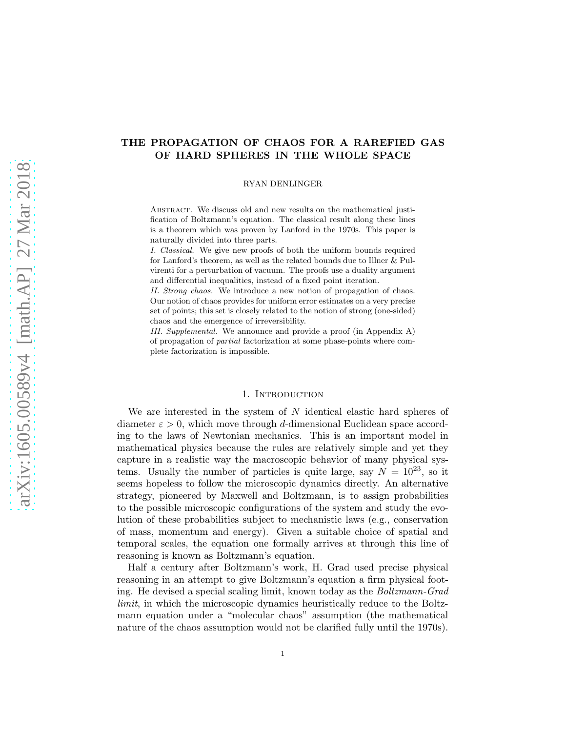# THE PROPAGATION OF CHAOS FOR A RAREFIED GAS OF HARD SPHERES IN THE WHOLE SPACE

RYAN DENLINGER

ABSTRACT. We discuss old and new results on the mathematical justification of Boltzmann's equation. The classical result along these lines is a theorem which was proven by Lanford in the 1970s. This paper is naturally divided into three parts.

I. Classical. We give new proofs of both the uniform bounds required for Lanford's theorem, as well as the related bounds due to Illner & Pulvirenti for a perturbation of vacuum. The proofs use a duality argument and differential inequalities, instead of a fixed point iteration.

II. Strong chaos. We introduce a new notion of propagation of chaos. Our notion of chaos provides for uniform error estimates on a very precise set of points; this set is closely related to the notion of strong (one-sided) chaos and the emergence of irreversibility.

III. Supplemental. We announce and provide a proof (in Appendix A) of propagation of partial factorization at some phase-points where complete factorization is impossible.

#### 1. INTRODUCTION

We are interested in the system of N identical elastic hard spheres of diameter  $\varepsilon > 0$ , which move through d-dimensional Euclidean space according to the laws of Newtonian mechanics. This is an important model in mathematical physics because the rules are relatively simple and yet they capture in a realistic way the macroscopic behavior of many physical systems. Usually the number of particles is quite large, say  $N = 10^{23}$ , so it seems hopeless to follow the microscopic dynamics directly. An alternative strategy, pioneered by Maxwell and Boltzmann, is to assign probabilities to the possible microscopic configurations of the system and study the evolution of these probabilities subject to mechanistic laws (e.g., conservation of mass, momentum and energy). Given a suitable choice of spatial and temporal scales, the equation one formally arrives at through this line of reasoning is known as Boltzmann's equation.

Half a century after Boltzmann's work, H. Grad used precise physical reasoning in an attempt to give Boltzmann's equation a firm physical footing. He devised a special scaling limit, known today as the Boltzmann-Grad limit, in which the microscopic dynamics heuristically reduce to the Boltzmann equation under a "molecular chaos" assumption (the mathematical nature of the chaos assumption would not be clarified fully until the 1970s).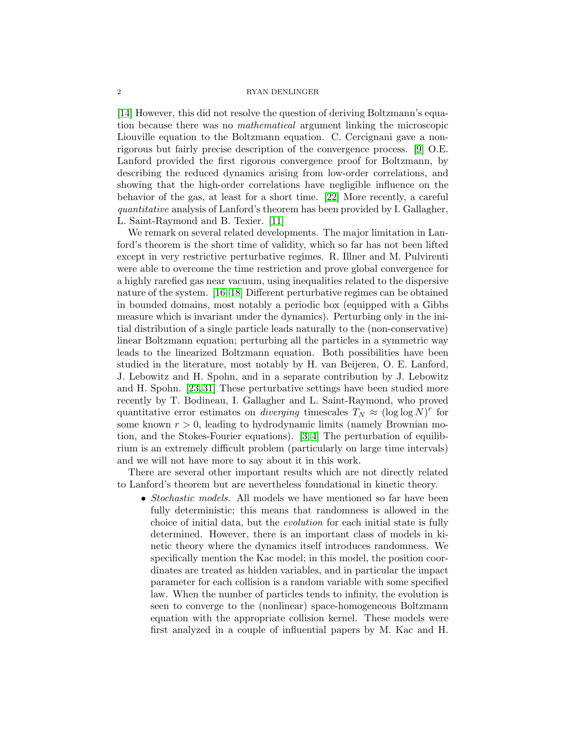[\[14\]](#page-67-0) However, this did not resolve the question of deriving Boltzmann's equation because there was no mathematical argument linking the microscopic Liouville equation to the Boltzmann equation. C. Cercignani gave a nonrigorous but fairly precise description of the convergence process. [9] O.E. Lanford provided the first rigorous convergence proof for Boltzmann, by describing the reduced dynamics arising from low-order correlations, and showing that the high-order correlations have negligible influence on the behavior of the gas, at least for a short time. [\[22\]](#page-67-1) More recently, a careful quantitative analysis of Lanford's theorem has been provided by I. Gallagher, L. Saint-Raymond and B. Texier. [\[11\]](#page-67-2)

We remark on several related developments. The major limitation in Lanford's theorem is the short time of validity, which so far has not been lifted except in very restrictive perturbative regimes. R. Illner and M. Pulvirenti were able to overcome the time restriction and prove global convergence for a highly rarefied gas near vacuum, using inequalities related to the dispersive nature of the system. [\[16](#page-67-3)[–18\]](#page-67-4) Different perturbative regimes can be obtained in bounded domains, most notably a periodic box (equipped with a Gibbs measure which is invariant under the dynamics). Perturbing only in the initial distribution of a single particle leads naturally to the (non-conservative) linear Boltzmann equation; perturbing all the particles in a symmetric way leads to the linearized Boltzmann equation. Both possibilities have been studied in the literature, most notably by H. van Beijeren, O. E. Lanford, J. Lebowitz and H. Spohn, and in a separate contribution by J. Lebowitz and H. Spohn. [\[23,](#page-67-5) [31\]](#page-68-0) These perturbative settings have been studied more recently by T. Bodineau, I. Gallagher and L. Saint-Raymond, who proved quantitative error estimates on *diverging* timescales  $T_N \approx (\log \log N)^r$  for some known  $r > 0$ , leading to hydrodynamic limits (namely Brownian motion, and the Stokes-Fourier equations). [\[3,](#page-66-0) [4\]](#page-66-1) The perturbation of equilibrium is an extremely difficult problem (particularly on large time intervals) and we will not have more to say about it in this work.

There are several other important results which are not directly related to Lanford's theorem but are nevertheless foundational in kinetic theory.

• Stochastic models. All models we have mentioned so far have been fully deterministic; this means that randomness is allowed in the choice of initial data, but the evolution for each initial state is fully determined. However, there is an important class of models in kinetic theory where the dynamics itself introduces randomness. We specifically mention the Kac model; in this model, the position coordinates are treated as hidden variables, and in particular the impact parameter for each collision is a random variable with some specified law. When the number of particles tends to infinity, the evolution is seen to converge to the (nonlinear) space-homogeneous Boltzmann equation with the appropriate collision kernel. These models were first analyzed in a couple of influential papers by M. Kac and H.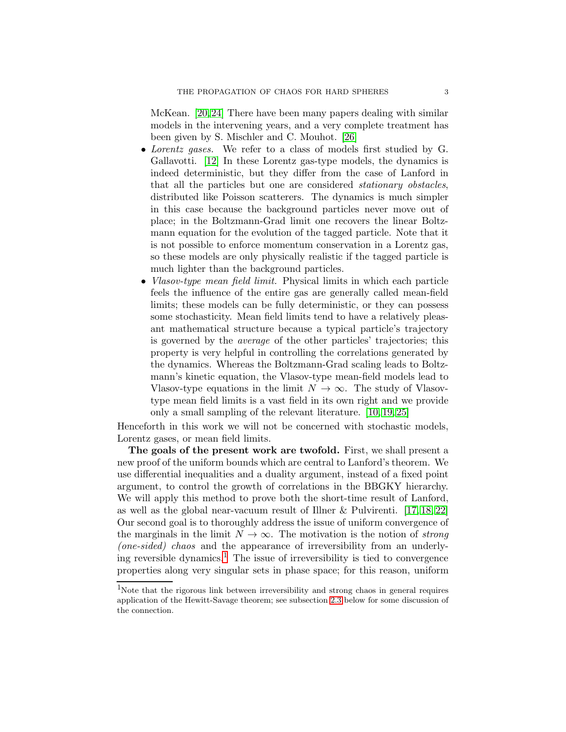McKean. [\[20,](#page-67-6) [24\]](#page-67-7) There have been many papers dealing with similar models in the intervening years, and a very complete treatment has been given by S. Mischler and C. Mouhot. [\[26\]](#page-67-8)

- Lorentz gases. We refer to a class of models first studied by G. Gallavotti. [\[12\]](#page-67-9) In these Lorentz gas-type models, the dynamics is indeed deterministic, but they differ from the case of Lanford in that all the particles but one are considered stationary obstacles, distributed like Poisson scatterers. The dynamics is much simpler in this case because the background particles never move out of place; in the Boltzmann-Grad limit one recovers the linear Boltzmann equation for the evolution of the tagged particle. Note that it is not possible to enforce momentum conservation in a Lorentz gas, so these models are only physically realistic if the tagged particle is much lighter than the background particles.
- *Vlasov-type mean field limit.* Physical limits in which each particle feels the influence of the entire gas are generally called mean-field limits; these models can be fully deterministic, or they can possess some stochasticity. Mean field limits tend to have a relatively pleasant mathematical structure because a typical particle's trajectory is governed by the average of the other particles' trajectories; this property is very helpful in controlling the correlations generated by the dynamics. Whereas the Boltzmann-Grad scaling leads to Boltzmann's kinetic equation, the Vlasov-type mean-field models lead to Vlasov-type equations in the limit  $N \to \infty$ . The study of Vlasovtype mean field limits is a vast field in its own right and we provide only a small sampling of the relevant literature. [\[10,](#page-67-10) [19,](#page-67-11) [25\]](#page-67-12)

Henceforth in this work we will not be concerned with stochastic models, Lorentz gases, or mean field limits.

The goals of the present work are twofold. First, we shall present a new proof of the uniform bounds which are central to Lanford's theorem. We use differential inequalities and a duality argument, instead of a fixed point argument, to control the growth of correlations in the BBGKY hierarchy. We will apply this method to prove both the short-time result of Lanford, as well as the global near-vacuum result of Illner & Pulvirenti. [\[17,](#page-67-13) [18,](#page-67-4) [22\]](#page-67-1) Our second goal is to thoroughly address the issue of uniform convergence of the marginals in the limit  $N \to \infty$ . The motivation is the notion of *strong* (one-sided) chaos and the appearance of irreversibility from an underly-ing reversible dynamics.<sup>[1](#page-2-0)</sup> The issue of irreversibility is tied to convergence properties along very singular sets in phase space; for this reason, uniform

<span id="page-2-0"></span><sup>1</sup>Note that the rigorous link between irreversibility and strong chaos in general requires application of the Hewitt-Savage theorem; see subsection [2.3](#page-11-0) below for some discussion of the connection.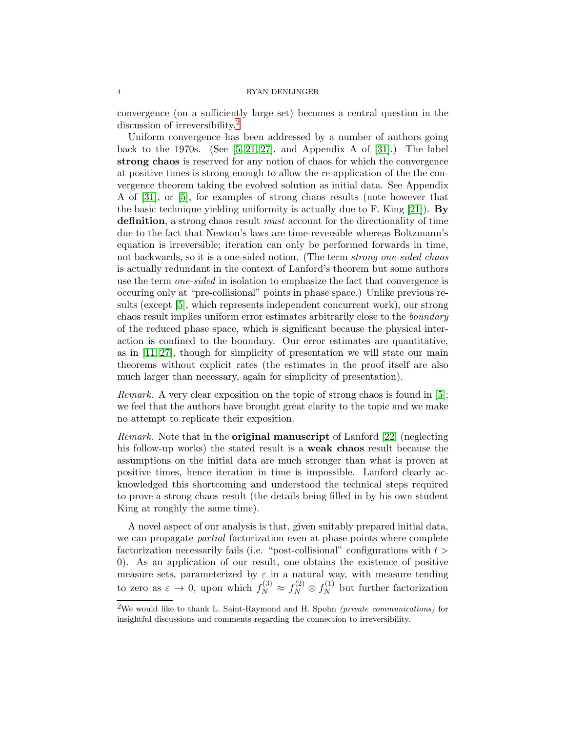convergence (on a sufficiently large set) becomes a central question in the discussion of irreversibility.<sup>[2](#page-3-0)</sup>

Uniform convergence has been addressed by a number of authors going back to the 1970s. (See  $[5, 21, 27]$  $[5, 21, 27]$  $[5, 21, 27]$ , and Appendix A of  $[31]$ .) The label strong chaos is reserved for any notion of chaos for which the convergence at positive times is strong enough to allow the re-application of the the convergence theorem taking the evolved solution as initial data. See Appendix A of [\[31\]](#page-68-0), or [\[5\]](#page-67-14), for examples of strong chaos results (note however that the basic technique yielding uniformity is actually due to F. King  $[21]$ ). By definition, a strong chaos result must account for the directionality of time due to the fact that Newton's laws are time-reversible whereas Boltzmann's equation is irreversible; iteration can only be performed forwards in time, not backwards, so it is a one-sided notion. (The term strong one-sided chaos is actually redundant in the context of Lanford's theorem but some authors use the term one-sided in isolation to emphasize the fact that convergence is occuring only at "pre-collisional" points in phase space.) Unlike previous results (except [\[5\]](#page-67-14), which represents independent concurrent work), our strong chaos result implies uniform error estimates arbitrarily close to the boundary of the reduced phase space, which is significant because the physical interaction is confined to the boundary. Our error estimates are quantitative, as in [\[11,](#page-67-2) [27\]](#page-67-16), though for simplicity of presentation we will state our main theorems without explicit rates (the estimates in the proof itself are also much larger than necessary, again for simplicity of presentation).

Remark. A very clear exposition on the topic of strong chaos is found in [\[5\]](#page-67-14); we feel that the authors have brought great clarity to the topic and we make no attempt to replicate their exposition.

Remark. Note that in the original manuscript of Lanford [\[22\]](#page-67-1) (neglecting his follow-up works) the stated result is a weak chaos result because the assumptions on the initial data are much stronger than what is proven at positive times, hence iteration in time is impossible. Lanford clearly acknowledged this shortcoming and understood the technical steps required to prove a strong chaos result (the details being filled in by his own student King at roughly the same time).

A novel aspect of our analysis is that, given suitably prepared initial data, we can propagate partial factorization even at phase points where complete factorization necessarily fails (i.e. "post-collisional" configurations with  $t >$ 0). As an application of our result, one obtains the existence of positive measure sets, parameterized by  $\varepsilon$  in a natural way, with measure tending to zero as  $\varepsilon \to 0$ , upon which  $f_N^{(3)} \approx f_N^{(2)} \otimes f_N^{(1)}$  $N^{(1)}$  but further factorization

<span id="page-3-0"></span><sup>2</sup>We would like to thank L. Saint-Raymond and H. Spohn (private communications) for insightful discussions and comments regarding the connection to irreversibility.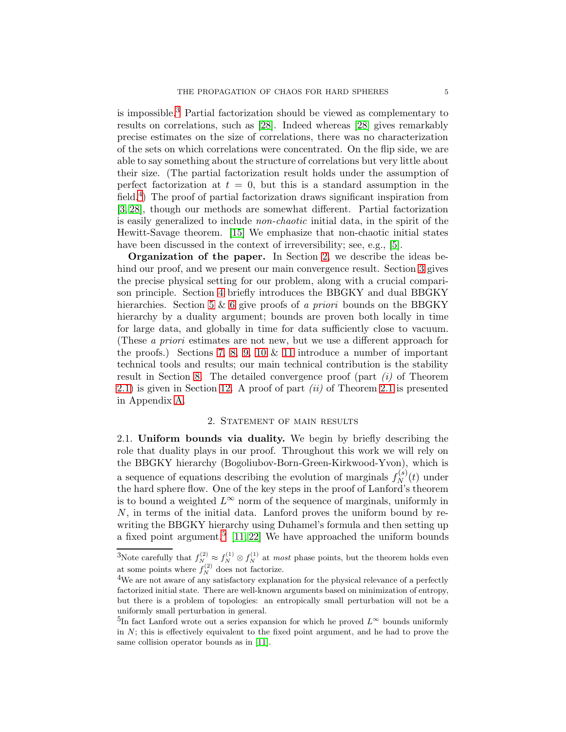is impossible.[3](#page-4-0) Partial factorization should be viewed as complementary to results on correlations, such as [\[28\]](#page-67-17). Indeed whereas [\[28\]](#page-67-17) gives remarkably precise estimates on the size of correlations, there was no characterization of the sets on which correlations were concentrated. On the flip side, we are able to say something about the structure of correlations but very little about their size. (The partial factorization result holds under the assumption of perfect factorization at  $t = 0$ , but this is a standard assumption in the field.<sup>[4](#page-4-1)</sup>) The proof of partial factorization draws significant inspiration from [\[3,](#page-66-0) [28\]](#page-67-17), though our methods are somewhat different. Partial factorization is easily generalized to include non-chaotic initial data, in the spirit of the Hewitt-Savage theorem. [\[15\]](#page-67-18) We emphasize that non-chaotic initial states have been discussed in the context of irreversibility; see, e.g., [\[5\]](#page-67-14).

Organization of the paper. In Section [2,](#page-4-2) we describe the ideas behind our proof, and we present our main convergence result. Section [3](#page-13-0) gives the precise physical setting for our problem, along with a crucial comparison principle. Section [4](#page-15-0) briefly introduces the BBGKY and dual BBGKY hierarchies. Section [5](#page-17-0) & [6](#page-21-0) give proofs of a priori bounds on the BBGKY hierarchy by a duality argument; bounds are proven both locally in time for large data, and globally in time for data sufficiently close to vacuum. (These a priori estimates are not new, but we use a different approach for the proofs.) Sections [7,](#page-27-0) [8,](#page-30-0) [9,](#page-37-0) [10](#page-40-0)  $\&$  [11](#page-46-0) introduce a number of important technical tools and results; our main technical contribution is the stability result in Section [8.](#page-30-0) The detailed convergence proof (part  $(i)$  of Theorem [2.1\)](#page-9-0) is given in Section [12.](#page-49-0) A proof of part  $(ii)$  of Theorem [2.1](#page-9-0) is presented in Appendix [A.](#page-55-0)

# 2. STATEMENT OF MAIN RESULTS

<span id="page-4-4"></span><span id="page-4-2"></span>2.1. Uniform bounds via duality. We begin by briefly describing the role that duality plays in our proof. Throughout this work we will rely on the BBGKY hierarchy (Bogoliubov-Born-Green-Kirkwood-Yvon), which is a sequence of equations describing the evolution of marginals  $f_N^{(s)}(t)$  under a sequence of equations describing the evolution of marginals  $J_N$  ( $\iota$ ) under the hard sphere flow. One of the key steps in the proof of Lanford's theorem is to bound a weighted  $L^{\infty}$  norm of the sequence of marginals, uniformly in N, in terms of the initial data. Lanford proves the uniform bound by rewriting the BBGKY hierarchy using Duhamel's formula and then setting up a fixed point argument.<sup>[5](#page-4-3)</sup> [\[11,](#page-67-2) [22\]](#page-67-1) We have approached the uniform bounds

<span id="page-4-0"></span><sup>&</sup>lt;sup>3</sup>Note carefully that  $f_N^{(2)} \approx f_N^{(1)} \otimes f_N^{(1)}$  at most phase points, but the theorem holds even at some points where  $f_N^{(2)}$  does not factorize.

<span id="page-4-1"></span><sup>&</sup>lt;sup>4</sup>We are not aware of any satisfactory explanation for the physical relevance of a perfectly factorized initial state. There are well-known arguments based on minimization of entropy, but there is a problem of topologies: an entropically small perturbation will not be a uniformly small perturbation in general.

<span id="page-4-3"></span><sup>&</sup>lt;sup>5</sup>In fact Lanford wrote out a series expansion for which he proved  $L^{\infty}$  bounds uniformly in  $N$ ; this is effectively equivalent to the fixed point argument, and he had to prove the same collision operator bounds as in [\[11\]](#page-67-2).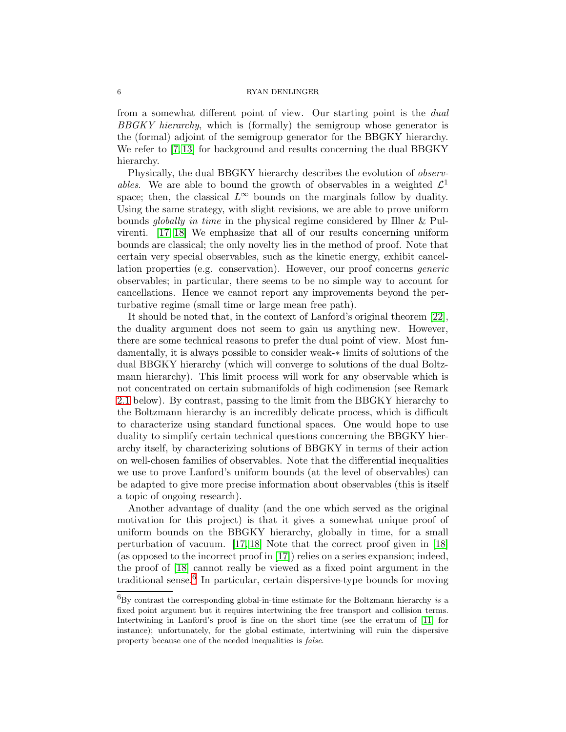from a somewhat different point of view. Our starting point is the dual BBGKY hierarchy, which is (formally) the semigroup whose generator is the (formal) adjoint of the semigroup generator for the BBGKY hierarchy. We refer to [\[7,](#page-67-19)13] for background and results concerning the dual BBGKY hierarchy.

Physically, the dual BBGKY hierarchy describes the evolution of observ*ables.* We are able to bound the growth of observables in a weighted  $\mathcal{L}^1$ space; then, the classical  $L^{\infty}$  bounds on the marginals follow by duality. Using the same strategy, with slight revisions, we are able to prove uniform bounds globally in time in the physical regime considered by Illner & Pulvirenti. [\[17,](#page-67-13) [18\]](#page-67-4) We emphasize that all of our results concerning uniform bounds are classical; the only novelty lies in the method of proof. Note that certain very special observables, such as the kinetic energy, exhibit cancellation properties (e.g. conservation). However, our proof concerns generic observables; in particular, there seems to be no simple way to account for cancellations. Hence we cannot report any improvements beyond the perturbative regime (small time or large mean free path).

It should be noted that, in the context of Lanford's original theorem [\[22\]](#page-67-1), the duality argument does not seem to gain us anything new. However, there are some technical reasons to prefer the dual point of view. Most fundamentally, it is always possible to consider weak-∗ limits of solutions of the dual BBGKY hierarchy (which will converge to solutions of the dual Boltzmann hierarchy). This limit process will work for any observable which is not concentrated on certain submanifolds of high codimension (see Remark [2.1](#page-4-4) below). By contrast, passing to the limit from the BBGKY hierarchy to the Boltzmann hierarchy is an incredibly delicate process, which is difficult to characterize using standard functional spaces. One would hope to use duality to simplify certain technical questions concerning the BBGKY hierarchy itself, by characterizing solutions of BBGKY in terms of their action on well-chosen families of observables. Note that the differential inequalities we use to prove Lanford's uniform bounds (at the level of observables) can be adapted to give more precise information about observables (this is itself a topic of ongoing research).

Another advantage of duality (and the one which served as the original motivation for this project) is that it gives a somewhat unique proof of uniform bounds on the BBGKY hierarchy, globally in time, for a small perturbation of vacuum. [\[17,](#page-67-13) [18\]](#page-67-4) Note that the correct proof given in [\[18\]](#page-67-4) (as opposed to the incorrect proof in [\[17\]](#page-67-13)) relies on a series expansion; indeed, the proof of [\[18\]](#page-67-4) cannot really be viewed as a fixed point argument in the traditional sense.<sup>[6](#page-5-0)</sup> In particular, certain dispersive-type bounds for moving

<span id="page-5-0"></span> ${}^{6}$ By contrast the corresponding global-in-time estimate for the Boltzmann hierarchy is a fixed point argument but it requires intertwining the free transport and collision terms. Intertwining in Lanford's proof is fine on the short time (see the erratum of [\[11\]](#page-67-2) for instance); unfortunately, for the global estimate, intertwining will ruin the dispersive property because one of the needed inequalities is false.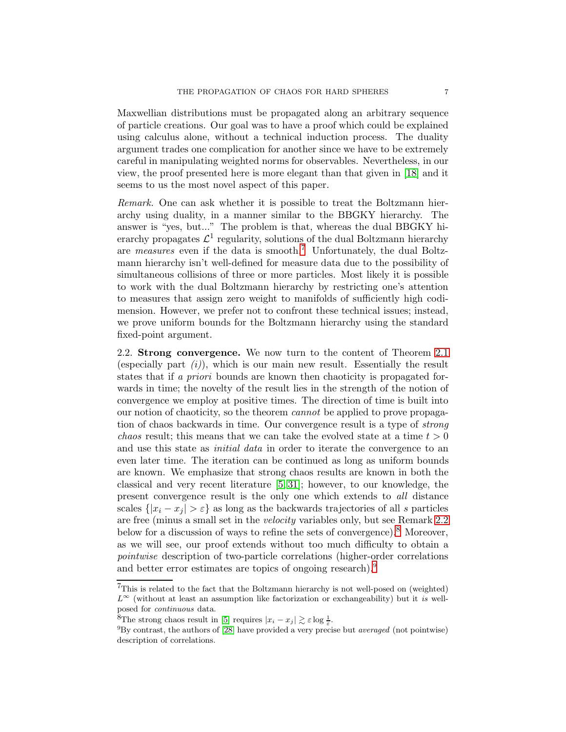Maxwellian distributions must be propagated along an arbitrary sequence of particle creations. Our goal was to have a proof which could be explained using calculus alone, without a technical induction process. The duality argument trades one complication for another since we have to be extremely careful in manipulating weighted norms for observables. Nevertheless, in our view, the proof presented here is more elegant than that given in [\[18\]](#page-67-4) and it seems to us the most novel aspect of this paper.

Remark. One can ask whether it is possible to treat the Boltzmann hierarchy using duality, in a manner similar to the BBGKY hierarchy. The answer is "yes, but..." The problem is that, whereas the dual BBGKY hierarchy propagates  $\mathcal{L}^1$  regularity, solutions of the dual Boltzmann hierarchy are *measures* even if the data is smooth.<sup>[7](#page-6-0)</sup> Unfortunately, the dual Boltzmann hierarchy isn't well-defined for measure data due to the possibility of simultaneous collisions of three or more particles. Most likely it is possible to work with the dual Boltzmann hierarchy by restricting one's attention to measures that assign zero weight to manifolds of sufficiently high codimension. However, we prefer not to confront these technical issues; instead, we prove uniform bounds for the Boltzmann hierarchy using the standard fixed-point argument.

2.2. Strong convergence. We now turn to the content of Theorem [2.1](#page-9-0) (especially part  $(i)$ ), which is our main new result. Essentially the result states that if a priori bounds are known then chaoticity is propagated forwards in time; the novelty of the result lies in the strength of the notion of convergence we employ at positive times. The direction of time is built into our notion of chaoticity, so the theorem cannot be applied to prove propagation of chaos backwards in time. Our convergence result is a type of strong *chaos* result; this means that we can take the evolved state at a time  $t > 0$ and use this state as *initial data* in order to iterate the convergence to an even later time. The iteration can be continued as long as uniform bounds are known. We emphasize that strong chaos results are known in both the classical and very recent literature [\[5,](#page-67-14) [31\]](#page-68-0); however, to our knowledge, the present convergence result is the only one which extends to all distance scales  $\{|x_i - x_j| > \varepsilon\}$  as long as the backwards trajectories of all s particles are free (minus a small set in the velocity variables only, but see Remark [2.2](#page-9-1) below for a discussion of ways to refine the sets of convergence).[8](#page-6-1) Moreover, as we will see, our proof extends without too much difficulty to obtain a pointwise description of two-particle correlations (higher-order correlations and better error estimates are topics of ongoing research).<sup>[9](#page-6-2)</sup>

<span id="page-6-0"></span><sup>7</sup>This is related to the fact that the Boltzmann hierarchy is not well-posed on (weighted)  $L^{\infty}$  (without at least an assumption like factorization or exchangeability) but it is wellposed for continuous data.

<sup>&</sup>lt;sup>8</sup>The strong chaos result in [\[5\]](#page-67-14) requires  $|x_i - x_j| \gtrsim \varepsilon \log \frac{1}{\varepsilon}$ .

<span id="page-6-2"></span><span id="page-6-1"></span> $^{9}$ By contrast, the authors of [\[28\]](#page-67-17) have provided a very precise but *averaged* (not pointwise) description of correlations.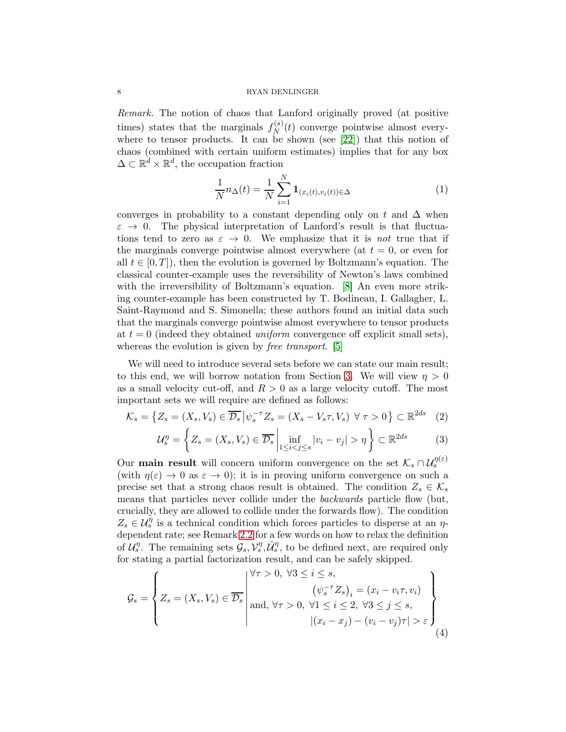Remark. The notion of chaos that Lanford originally proved (at positive times) states that the marginals  $f_N^{(s)}$  $N^{(s)}(t)$  converge pointwise almost everywhere to tensor products. It can be shown (see [\[22\]](#page-67-1)) that this notion of chaos (combined with certain uniform estimates) implies that for any box  $\Delta \subset \mathbb{R}^d \times \mathbb{R}^d$ , the occupation fraction

$$
\frac{1}{N}n_{\Delta}(t) = \frac{1}{N} \sum_{i=1}^{N} \mathbf{1}_{(x_i(t), v_i(t)) \in \Delta} \tag{1}
$$

converges in probability to a constant depending only on t and  $\Delta$  when  $\varepsilon \rightarrow 0$ . The physical interpretation of Lanford's result is that fluctuations tend to zero as  $\varepsilon \to 0$ . We emphasize that it is not true that if the marginals converge pointwise almost everywhere (at  $t = 0$ , or even for all  $t \in [0, T]$ , then the evolution is governed by Boltzmann's equation. The classical counter-example uses the reversibility of Newton's laws combined with the irreversibility of Boltzmann's equation. [\[8\]](#page-67-21) An even more striking counter-example has been constructed by T. Bodineau, I. Gallagher, L. Saint-Raymond and S. Simonella; these authors found an initial data such that the marginals converge pointwise almost everywhere to tensor products at  $t = 0$  (indeed they obtained *uniform* convergence off explicit small sets), whereas the evolution is given by *free transport*. [\[5\]](#page-67-14)

We will need to introduce several sets before we can state our main result; to this end, we will borrow notation from Section [3.](#page-13-0) We will view  $\eta > 0$ as a small velocity cut-off, and  $R > 0$  as a large velocity cutoff. The most important sets we will require are defined as follows:

$$
\mathcal{K}_s = \left\{ Z_s = (X_s, V_s) \in \overline{\mathcal{D}_s} \left| \psi_s^{-\tau} Z_s = (X_s - V_s \tau, V_s) \ \forall \ \tau > 0 \right. \right\} \subset \mathbb{R}^{2ds} \tag{2}
$$

$$
\mathcal{U}_s^{\eta} = \left\{ Z_s = (X_s, V_s) \in \overline{\mathcal{D}_s} \left| \inf_{1 \le i < j \le s} |v_i - v_j| > \eta \right. \right\} \subset \mathbb{R}^{2ds} \tag{3}
$$

Our **main result** will concern uniform convergence on the set  $\mathcal{K}_s \cap \mathcal{U}_s^{\eta(\varepsilon)}$ (with  $\eta(\varepsilon) \to 0$  as  $\varepsilon \to 0$ ); it is in proving uniform convergence on such a precise set that a strong chaos result is obtained. The condition  $Z_s \in \mathcal{K}_s$ means that particles never collide under the backwards particle flow (but, crucially, they are allowed to collide under the forwards flow). The condition  $Z_s \in \mathcal{U}_s^{\eta}$  is a technical condition which forces particles to disperse at an  $\eta$ dependent rate; see Remark [2.2](#page-9-1) for a few words on how to relax the definition of  $\mathcal{U}_s^{\eta}$ . The remaining sets  $\mathcal{G}_s, \mathcal{V}_s^{\eta}, \hat{\mathcal{U}}_s^{\eta}$ , to be defined next, are required only for stating a partial factorization result, and can be safely skipped.

$$
\mathcal{G}_s = \left\{ Z_s = (X_s, V_s) \in \overline{\mathcal{D}_s} \middle| \begin{aligned} &\forall \tau > 0, \ \forall 3 \leq i \leq s, \\ &\left(\psi_s^{-\tau} Z_s\right)_i = (x_i - v_i \tau, v_i) \\ &\text{and, } \forall \tau > 0, \ \forall 1 \leq i \leq 2, \ \forall 3 \leq j \leq s, \\ &|(x_i - x_j) - (v_i - v_j) \tau| > \varepsilon \end{aligned} \right\} (4)
$$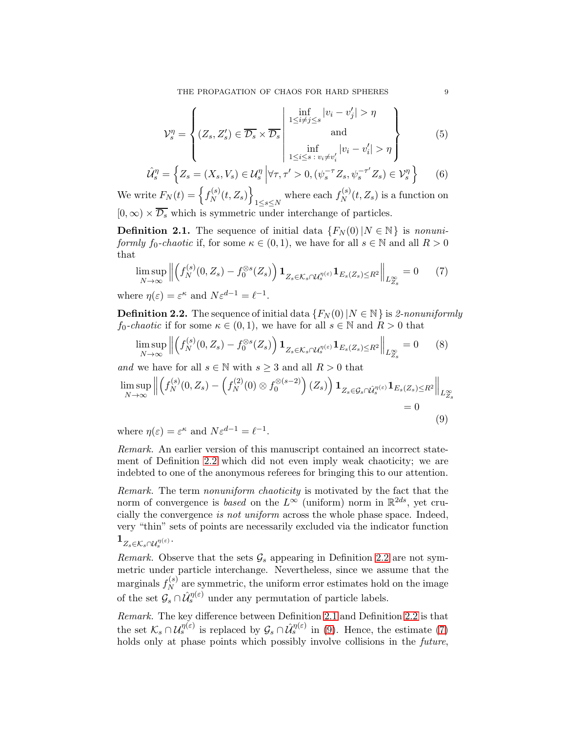THE PROPAGATION OF CHAOS FOR HARD SPHERES 9

$$
\mathcal{V}_s^{\eta} = \left\{ (Z_s, Z_s') \in \overline{\mathcal{D}_s} \times \overline{\mathcal{D}_s} \middle| \begin{array}{l} \inf_{1 \le i \neq j \le s} |v_i - v_j'| > \eta \\ \text{and} \\ \inf_{1 \le i \le s \colon v_i \ne v_i'} |v_i - v_i'| > \eta \end{array} \right\} \tag{5}
$$

$$
\hat{\mathcal{U}}_s^{\eta} = \left\{ Z_s = (X_s, V_s) \in \mathcal{U}_s^{\eta} \middle| \forall \tau, \tau' > 0, (\psi_s^{-\tau} Z_s, \psi_s^{-\tau'} Z_s) \in \mathcal{V}_s^{\eta} \right\}
$$
(6)

We write  $F_N(t) = \left\{ f_N^{(s)} \right\}$  $\left.\frac{N^{(s)}(t,Z_s)}{N}\right\}$  $1\leq s\leq N$ where each  $f_N^{(s)}$  $N^{(s)}(t, Z_s)$  is a function on  $[0,\infty) \times \overline{\mathcal{D}_s}$  which is symmetric under interchange of particles.

<span id="page-8-1"></span>**Definition 2.1.** The sequence of initial data  $\{F_N(0)|N \in \mathbb{N}\}\$ is nonuniformly  $f_0$ -chaotic if, for some  $\kappa \in (0,1)$ , we have for all  $s \in \mathbb{N}$  and all  $R > 0$ that

<span id="page-8-3"></span>
$$
\limsup_{N \to \infty} \left\| \left( f_N^{(s)}(0, Z_s) - f_0^{\otimes s}(Z_s) \right) \mathbf{1}_{Z_s \in \mathcal{K}_s \cap \mathcal{U}_s^{\eta(\varepsilon)}} \mathbf{1}_{E_s(Z_s) \le R^2} \right\|_{L^{\infty}_{Z_s}} = 0 \qquad (7)
$$

where  $\eta(\varepsilon) = \varepsilon^{\kappa}$  and  $N \varepsilon^{d-1} = \ell^{-1}$ .

<span id="page-8-0"></span>**Definition 2.2.** The sequence of initial data  $\{F_N(0)|N \in \mathbb{N}\}\$ is 2-nonuniformly  $f_0$ -chaotic if for some  $\kappa \in (0,1)$ , we have for all  $s \in \mathbb{N}$  and  $R > 0$  that

$$
\limsup_{N \to \infty} \left\| \left( f_N^{(s)}(0, Z_s) - f_0^{\otimes s}(Z_s) \right) \mathbf{1}_{Z_s \in \mathcal{K}_s \cap \mathcal{U}_s^{\eta(\varepsilon)}} \mathbf{1}_{E_s(Z_s) \le R^2} \right\|_{L_{Z_s}^{\infty}} = 0 \qquad (8)
$$

and we have for all  $s \in \mathbb{N}$  with  $s \geq 3$  and all  $R > 0$  that

<span id="page-8-2"></span>
$$
\limsup_{N \to \infty} \left\| \left( f_N^{(s)}(0, Z_s) - \left( f_N^{(2)}(0) \otimes f_0^{\otimes (s-2)} \right) (Z_s) \right) \mathbf{1}_{Z_s \in \mathcal{G}_s \cap \hat{\mathcal{U}}_s^{\eta(\varepsilon)}} \mathbf{1}_{E_s(Z_s) \le R^2} \right\|_{L_{Z_s}^{\infty}} = 0
$$
\n(9)

where  $\eta(\varepsilon) = \varepsilon^{\kappa}$  and  $N \varepsilon^{d-1} = \ell^{-1}$ .

Remark. An earlier version of this manuscript contained an incorrect statement of Definition [2.2](#page-8-0) which did not even imply weak chaoticity; we are indebted to one of the anonymous referees for bringing this to our attention.

Remark. The term nonuniform chaoticity is motivated by the fact that the norm of convergence is *based* on the  $L^{\infty}$  (uniform) norm in  $\mathbb{R}^{2ds}$ , yet crucially the convergence is not uniform across the whole phase space. Indeed, very "thin" sets of points are necessarily excluded via the indicator function .

$$
\mathbf{1}_{Z_s \in \mathcal{K}_s \cap \mathcal{U}_s^{\eta(\varepsilon)}}
$$

Remark. Observe that the sets  $\mathcal{G}_s$  appearing in Definition [2.2](#page-8-0) are not symmetric under particle interchange. Nevertheless, since we assume that the marginals  $f_N^{(s)}$  $N<sup>(s)</sup>$  are symmetric, the uniform error estimates hold on the image of the set  $\mathcal{G}_s \cap \hat{\mathcal{U}}_s^{\eta(\varepsilon)}$  under any permutation of particle labels.

Remark. The key difference between Definition [2.1](#page-8-1) and Definition [2.2](#page-8-0) is that the set  $\mathcal{K}_s \cap \mathcal{U}_s^{\eta(\varepsilon)}$  is replaced by  $\mathcal{G}_s \cap \hat{\mathcal{U}}_s^{\eta(\varepsilon)}$  in [\(9\)](#page-8-2). Hence, the estimate [\(7\)](#page-8-3) holds only at phase points which possibly involve collisions in the *future*,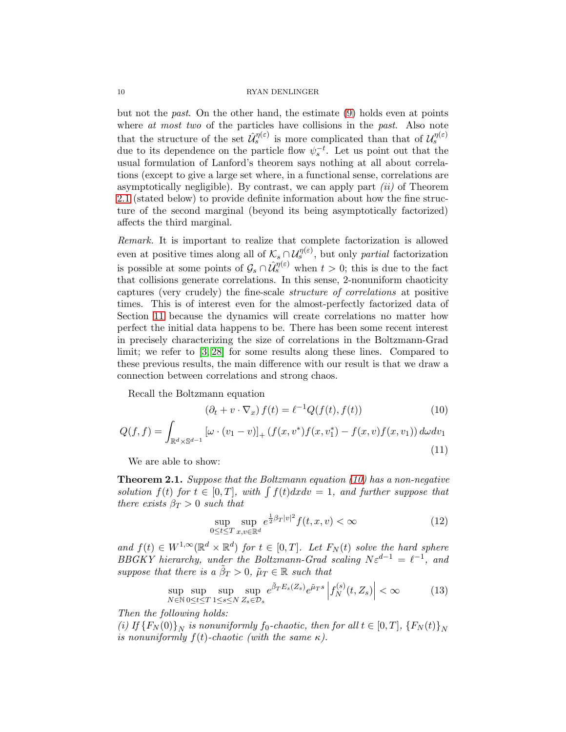but not the past. On the other hand, the estimate [\(9\)](#page-8-2) holds even at points where at most two of the particles have collisions in the past. Also note that the structure of the set  $\hat{\mathcal{U}}_s^{\eta(\varepsilon)}$  is more complicated than that of  $\mathcal{U}_s^{\eta(\varepsilon)}$ due to its dependence on the particle flow  $\psi_s^{-t}$ . Let us point out that the usual formulation of Lanford's theorem says nothing at all about correlations (except to give a large set where, in a functional sense, correlations are asymptotically negligible). By contrast, we can apply part  $(ii)$  of Theorem [2.1](#page-9-0) (stated below) to provide definite information about how the fine structure of the second marginal (beyond its being asymptotically factorized) affects the third marginal.

Remark. It is important to realize that complete factorization is allowed even at positive times along all of  $\mathcal{K}_s \cap \mathcal{U}_s^{\eta(\varepsilon)}$ , but only partial factorization is possible at some points of  $\mathcal{G}_s \cap \mathcal{U}_s^{\eta(\varepsilon)}$  when  $t > 0$ ; this is due to the fact that collisions generate correlations. In this sense, 2-nonuniform chaoticity captures (very crudely) the fine-scale structure of correlations at positive times. This is of interest even for the almost-perfectly factorized data of Section [11](#page-46-0) because the dynamics will create correlations no matter how perfect the initial data happens to be. There has been some recent interest in precisely characterizing the size of correlations in the Boltzmann-Grad limit; we refer to [\[3,](#page-66-0) [28\]](#page-67-17) for some results along these lines. Compared to these previous results, the main difference with our result is that we draw a connection between correlations and strong chaos.

Recall the Boltzmann equation

<span id="page-9-2"></span>
$$
\left(\partial_t + v \cdot \nabla_x\right) f(t) = \ell^{-1} Q(f(t), f(t))\tag{10}
$$

$$
Q(f, f) = \int_{\mathbb{R}^d \times \mathbb{S}^{d-1}} \left[ \omega \cdot (v_1 - v) \right]_+ (f(x, v^*) f(x, v_1^*) - f(x, v) f(x, v_1)) d\omega dv_1
$$
\n(11)

We are able to show:

<span id="page-9-0"></span>**Theorem 2.1.** Suppose that the Boltzmann equation  $(10)$  has a non-negative solution  $f(t)$  for  $t \in [0, T]$ , with  $\int f(t) dx dv = 1$ , and further suppose that there exists  $\beta_T > 0$  such that

$$
\sup_{0 \le t \le T} \sup_{x,v \in \mathbb{R}^d} e^{\frac{1}{2}\beta_T |v|^2} f(t,x,v) < \infty \tag{12}
$$

and  $f(t) \in W^{1,\infty}(\mathbb{R}^d \times \mathbb{R}^d)$  for  $t \in [0,T]$ . Let  $F_N(t)$  solve the hard sphere BBGKY hierarchy, under the Boltzmann-Grad scaling  $N\varepsilon^{d-1} = \ell^{-1}$ , and suppose that there is a  $\tilde{\beta}_T > 0$ ,  $\tilde{\mu}_T \in \mathbb{R}$  such that

<span id="page-9-1"></span>
$$
\sup_{N \in \mathbb{N}} \sup_{0 \le t \le T} \sup_{1 \le s \le N} \sup_{Z_s \in \mathcal{D}_s} e^{\tilde{\beta}_T E_s(Z_s)} e^{\tilde{\mu}_T s} \left| f_N^{(s)}(t, Z_s) \right| < \infty \tag{13}
$$

Then the following holds:

(i) If  $\{F_N(0)\}_N$  is nonuniformly f<sub>0</sub>-chaotic, then for all  $t \in [0, T]$ ,  $\{F_N(t)\}_N$ is nonuniformly  $f(t)$ -chaotic (with the same  $\kappa$ ).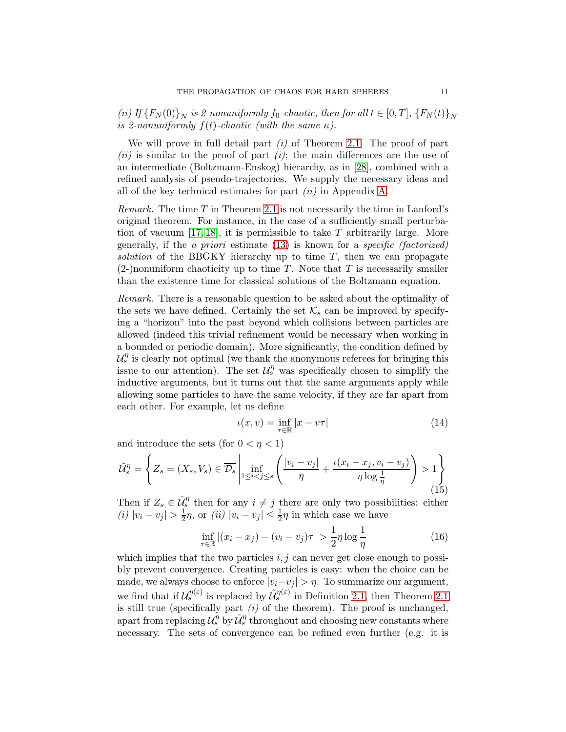(ii) If  $\{F_N(0)\}_N$  is 2-nonuniformly f<sub>0</sub>-chaotic, then for all  $t \in [0,T]$ ,  $\{F_N(t)\}_N$ is 2-nonuniformly  $f(t)$ -chaotic (with the same  $\kappa$ ).

We will prove in full detail part  $(i)$  of Theorem [2.1.](#page-9-0) The proof of part  $(ii)$  is similar to the proof of part  $(i)$ ; the main differences are the use of an intermediate (Boltzmann-Enskog) hierarchy, as in [\[28\]](#page-67-17), combined with a refined analysis of pseudo-trajectories. We supply the necessary ideas and all of the key technical estimates for part  $(ii)$  in Appendix [A.](#page-55-0)

*Remark.* The time  $T$  in Theorem [2.1](#page-9-0) is not necessarily the time in Lanford's original theorem. For instance, in the case of a sufficiently small perturbation of vacuum  $[17, 18]$  $[17, 18]$ , it is permissible to take T arbitrarily large. More generally, if the a priori estimate  $(13)$  is known for a specific *(factorized)* solution of the BBGKY hierarchy up to time  $T$ , then we can propagate  $(2-)$ nonuniform chaoticity up to time T. Note that T is necessarily smaller than the existence time for classical solutions of the Boltzmann equation.

Remark. There is a reasonable question to be asked about the optimality of the sets we have defined. Certainly the set  $\mathcal{K}_s$  can be improved by specifying a "horizon" into the past beyond which collisions between particles are allowed (indeed this trivial refinement would be necessary when working in a bounded or periodic domain). More significantly, the condition defined by  $\mathcal{U}_{s}^{\eta}$  is clearly not optimal (we thank the anonymous referees for bringing this issue to our attention). The set  $\mathcal{U}_{s}^{\eta}$  was specifically chosen to simplify the inductive arguments, but it turns out that the same arguments apply while allowing some particles to have the same velocity, if they are far apart from each other. For example, let us define

$$
\iota(x,v) = \inf_{\tau \in \mathbb{R}} |x - v\tau| \tag{14}
$$

and introduce the sets (for  $0 < \eta < 1$ )

$$
\widetilde{\mathcal{U}}_s^{\eta} = \left\{ Z_s = (X_s, V_s) \in \overline{\mathcal{D}_s} \left| \inf_{1 \le i < j \le s} \left( \frac{|v_i - v_j|}{\eta} + \frac{\iota(x_i - x_j, v_i - v_j)}{\eta \log \frac{1}{\eta}} \right) > 1 \right\} \tag{15}
$$

Then if  $Z_s \in \tilde{\mathcal{U}}_s^{\eta}$  then for any  $i \neq j$  there are only two possibilities: either (i)  $|v_i - v_j| > \frac{1}{2}$  $\frac{1}{2}\eta$ , or *(ii)*  $|v_i - v_j| \leq \frac{1}{2}\eta$  in which case we have

$$
\inf_{\tau \in \mathbb{R}} |(x_i - x_j) - (v_i - v_j)\tau| > \frac{1}{2}\eta \log \frac{1}{\eta}
$$
 (16)

which implies that the two particles  $i, j$  can never get close enough to possibly prevent convergence. Creating particles is easy: when the choice can be made, we always choose to enforce  $|v_i-v_j| > \eta$ . To summarize our argument, we find that if  $\mathcal{U}_s^{\eta(\varepsilon)}$  is replaced by  $\tilde{\mathcal{U}}_s^{\eta(\varepsilon)}$  in Definition [2.1,](#page-8-1) then Theorem [2.1](#page-9-0) is still true (specifically part  $(i)$  of the theorem). The proof is unchanged, apart from replacing  $\mathcal{U}^\eta_s$  by  $\tilde{\mathcal{U}}^\eta_s$  throughout and choosing new constants where necessary. The sets of convergence can be refined even further (e.g. it is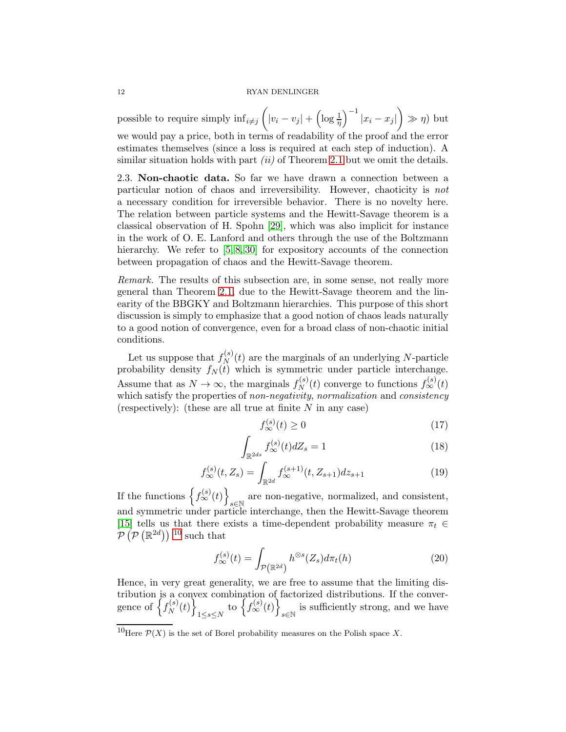possible to require simply  $\inf_{i \neq j} \left( |v_i - v_j| + \left( \log \frac{1}{\eta} \right)^{-1} |x_i - x_j| \right) \gg \eta$  but we would pay a price, both in terms of readability of the proof and the error estimates themselves (since a loss is required at each step of induction). A similar situation holds with part  $(ii)$  of Theorem [2.1](#page-9-0) but we omit the details.

<span id="page-11-0"></span>2.3. Non-chaotic data. So far we have drawn a connection between a particular notion of chaos and irreversibility. However, chaoticity is not a necessary condition for irreversible behavior. There is no novelty here. The relation between particle systems and the Hewitt-Savage theorem is a classical observation of H. Spohn [\[29\]](#page-67-22), which was also implicit for instance in the work of O. E. Lanford and others through the use of the Boltzmann hierarchy. We refer to  $[5, 8, 30]$  $[5, 8, 30]$  $[5, 8, 30]$  for expository accounts of the connection between propagation of chaos and the Hewitt-Savage theorem.

Remark. The results of this subsection are, in some sense, not really more general than Theorem [2.1,](#page-9-0) due to the Hewitt-Savage theorem and the linearity of the BBGKY and Boltzmann hierarchies. This purpose of this short discussion is simply to emphasize that a good notion of chaos leads naturally to a good notion of convergence, even for a broad class of non-chaotic initial conditions.

Let us suppose that  $f_N^{(s)}$  $N^{(s)}(t)$  are the marginals of an underlying N-particle probability density  $f_N(t)$  which is symmetric under particle interchange. Assume that as  $N \to \infty$ , the marginals  $f_N^{(s)}$  $\mathcal{L}_{N}^{(s)}(t)$  converge to functions  $f_{\infty}^{(s)}(t)$ which satisfy the properties of non-negativity, normalization and consistency (respectively): (these are all true at finite  $N$  in any case)

$$
f_{\infty}^{(s)}(t) \ge 0 \tag{17}
$$

$$
\int_{\mathbb{R}^{2ds}} f_{\infty}^{(s)}(t) dZ_s = 1
$$
\n(18)

$$
f_{\infty}^{(s)}(t, Z_s) = \int_{\mathbb{R}^{2d}} f_{\infty}^{(s+1)}(t, Z_{s+1}) dz_{s+1}
$$
 (19)

If the functions  $\left\{f^{(s)}_{\infty}(t)\right\}$ are non-negative, normalized, and consistent, and symmetric under particle interchange, then the Hewitt-Savage theorem [\[15\]](#page-67-18) tells us that there exists a time-dependent probability measure  $\pi_t \in$  $\mathcal{P}\left(\mathcal{P}\left(\mathbb{R}^{2d}\right)\right)$  <sup>[10](#page-11-1)</sup> such that

$$
f_{\infty}^{(s)}(t) = \int_{\mathcal{P}(\mathbb{R}^{2d})} h^{\otimes s}(Z_s) d\pi_t(h)
$$
 (20)

Hence, in very great generality, we are free to assume that the limiting distribution is a convex combination of factorized distributions. If the convergence of  $\left\{f_N^{(s)}\right\}$  $\left.\begin{array}{c} \lambda^{(s)}(t) \lambda^{(s)} \end{array}\right\}$  $1\leq s\leq N$ to  $\left\{f_\infty^{(s)}(t)\right\}$ is sufficiently strong, and we have  $s\in\mathbb{N}$ 

<span id="page-11-1"></span><sup>&</sup>lt;sup>10</sup>Here  $P(X)$  is the set of Borel probability measures on the Polish space X.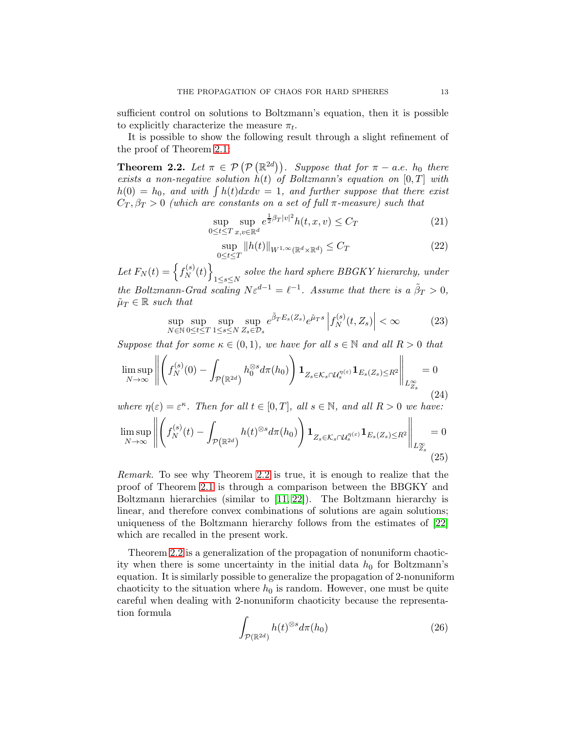sufficient control on solutions to Boltzmann's equation, then it is possible to explicitly characterize the measure  $\pi_t$ .

It is possible to show the following result through a slight refinement of the proof of Theorem [2.1:](#page-9-0)

<span id="page-12-0"></span>**Theorem 2.2.** Let  $\pi \in \mathcal{P}(\mathcal{P}(\mathbb{R}^{2d}))$ . Suppose that for  $\pi - a.e.$  h<sub>0</sub> there exists a non-negative solution  $h(t)$  of Boltzmann's equation on  $[0, T]$  with  $h(0) = h_0$ , and with  $\int h(t) dx dv = 1$ , and further suppose that there exist  $C_T$ ,  $\beta_T > 0$  (which are constants on a set of full  $\pi$ -measure) such that

$$
\sup_{0 \le t \le T} \sup_{x,v \in \mathbb{R}^d} e^{\frac{1}{2}\beta_T |v|^2} h(t,x,v) \le C_T \tag{21}
$$

$$
\sup_{0 \le t \le T} \|h(t)\|_{W^{1,\infty}(\mathbb{R}^d \times \mathbb{R}^d)} \le C_T \tag{22}
$$

Let  $F_N(t) = \left\{ f_N^{(s)} \right\}$  $\left.\begin{array}{c} \lambda^{(s)}(t) \lambda^{(s)} \end{array}\right\}$  $1\leq s\leq N$ solve the hard sphere BBGKY hierarchy, under the Boltzmann-Grad scaling  $N\varepsilon^{d-1} = \ell^{-1}$ . Assume that there is a  $\tilde{\beta}_T > 0$ ,  $\tilde{\mu}_T \in \mathbb{R}$  such that

$$
\sup_{N \in \mathbb{N}} \sup_{0 \le t \le T} \sup_{1 \le s \le N} \sup_{Z_s \in \mathcal{D}_s} e^{\tilde{\beta}_T E_s(Z_s)} e^{\tilde{\mu}_T s} \left| f_N^{(s)}(t, Z_s) \right| < \infty \tag{23}
$$

Suppose that for some  $\kappa \in (0,1)$ , we have for all  $s \in \mathbb{N}$  and all  $R > 0$  that

$$
\limsup_{N \to \infty} \left\| \left( f_N^{(s)}(0) - \int_{\mathcal{P}(\mathbb{R}^{2d})} h_0^{\otimes s} d\pi(h_0) \right) \mathbf{1}_{Z_s \in \mathcal{K}_s \cap \mathcal{U}_s^{\eta(\varepsilon)}} \mathbf{1}_{E_s(Z_s) \le R^2} \right\|_{L^{\infty}_{Z_s}} = 0
$$
\n(24)

where  $\eta(\varepsilon) = \varepsilon^{\kappa}$ . Then for all  $t \in [0, T]$ , all  $s \in \mathbb{N}$ , and all  $R > 0$  we have:

$$
\limsup_{N \to \infty} \left\| \left( f_N^{(s)}(t) - \int_{\mathcal{P}(\mathbb{R}^{2d})} h(t)^{\otimes s} d\pi(h_0) \right) \mathbf{1}_{Z_s \in \mathcal{K}_s \cap \mathcal{U}_s^{\eta(\varepsilon)}} \mathbf{1}_{E_s(Z_s) \le R^2} \right\|_{L_{Z_s}^{\infty}} = 0
$$
\n(25)

Remark. To see why Theorem [2.2](#page-12-0) is true, it is enough to realize that the proof of Theorem [2.1](#page-9-0) is through a comparison between the BBGKY and Boltzmann hierarchies (similar to [\[11,](#page-67-2) [22\]](#page-67-1)). The Boltzmann hierarchy is linear, and therefore convex combinations of solutions are again solutions; uniqueness of the Boltzmann hierarchy follows from the estimates of [\[22\]](#page-67-1) which are recalled in the present work.

Theorem [2.2](#page-12-0) is a generalization of the propagation of nonuniform chaoticity when there is some uncertainty in the initial data  $h_0$  for Boltzmann's equation. It is similarly possible to generalize the propagation of 2-nonuniform chaoticity to the situation where  $h_0$  is random. However, one must be quite careful when dealing with 2-nonuniform chaoticity because the representation formula

$$
\int_{\mathcal{P}(\mathbb{R}^{2d})} h(t)^{\otimes s} d\pi(h_0) \tag{26}
$$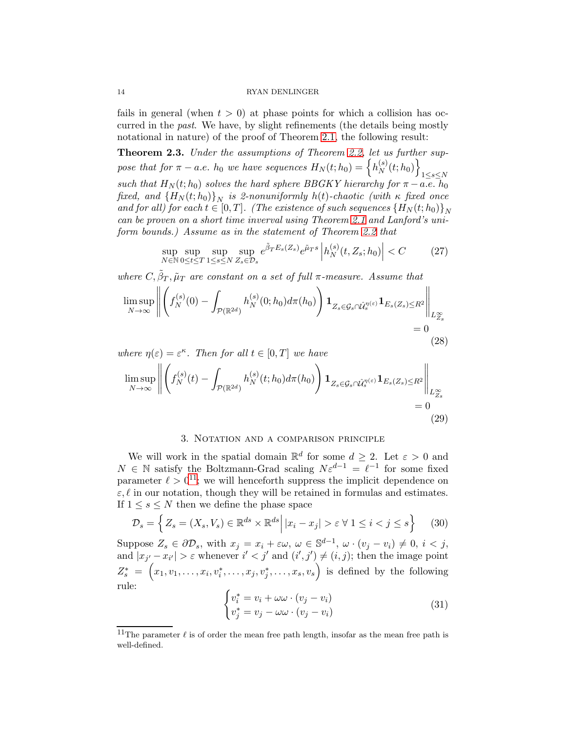fails in general (when  $t > 0$ ) at phase points for which a collision has occurred in the past. We have, by slight refinements (the details being mostly notational in nature) of the proof of Theorem [2.1,](#page-9-0) the following result:

Theorem 2.3. Under the assumptions of Theorem [2.2,](#page-12-0) let us further suppose that for  $\pi - a.e.$   $h_0$  we have sequences  $H_N(t; h_0) = \left\{ h_N^{(s)} \right\}$  $_{N}^{(s)}(t;h_{0})\Big\}$  $1{\leq} s{\leq} N$ such that  $H_N(t; h_0)$  solves the hard sphere BBGKY hierarchy for  $\pi - a.e.$  h<sub>0</sub> fixed, and  $\{H_N(t; h_0)\}_N$  is 2-nonuniformly h(t)-chaotic (with  $\kappa$  fixed once and for all) for each  $t \in [0, T]$ . (The existence of such sequences  $\{H_N(t; h_0)\}_N$ can be proven on a short time inverval using Theorem [2.1](#page-9-0) and Lanford's uniform bounds.) Assume as in the statement of Theorem [2.2](#page-12-0) that

$$
\sup_{N \in \mathbb{N}} \sup_{0 \le t \le T} \sup_{1 \le s \le N} \sup_{Z_s \in \mathcal{D}_s} e^{\tilde{\beta}_T E_s(Z_s)} e^{\tilde{\mu}_T s} \left| h_N^{(s)}(t, Z_s; h_0) \right| < C \tag{27}
$$

where  $C, \tilde{\beta}_T, \tilde{\mu}_T$  are constant on a set of full  $\pi$ -measure. Assume that

$$
\limsup_{N \to \infty} \left\| \left( f_N^{(s)}(0) - \int_{\mathcal{P}(\mathbb{R}^{2d})} h_N^{(s)}(0; h_0) d\pi(h_0) \right) \mathbf{1}_{Z_s \in \mathcal{G}_s \cap \hat{\mathcal{U}}_s^{\eta(\varepsilon)}} \mathbf{1}_{E_s(Z_s) \le R^2} \right\|_{L^{\infty}_{Z_s}} = 0
$$
\n(38)

(28)

where 
$$
\eta(\varepsilon) = \varepsilon^{\kappa}
$$
. Then for all  $t \in [0, T]$  we have  
\n
$$
\limsup_{N \to \infty} \left\| \left( f_N^{(s)}(t) - \int_{\mathcal{P}(\mathbb{R}^{2d})} h_N^{(s)}(t; h_0) d\pi(h_0) \right) \mathbf{1}_{Z_s \in \mathcal{G}_s \cap \hat{\mathcal{U}}_s^{n(\varepsilon)}} \mathbf{1}_{E_s(Z_s) \le R^2} \right\|_{L^{\infty}_{Z_s}} = 0
$$
\n(29)

#### 3. Notation and a comparison principle

<span id="page-13-0"></span>We will work in the spatial domain  $\mathbb{R}^d$  for some  $d \geq 2$ . Let  $\varepsilon > 0$  and  $N \in \mathbb{N}$  satisfy the Boltzmann-Grad scaling  $N\varepsilon^{d-1} = \ell^{-1}$  for some fixed parameter  $\ell > 0^{11}$  $\ell > 0^{11}$  $\ell > 0^{11}$ ; we will henceforth suppress the implicit dependence on  $\varepsilon, \ell$  in our notation, though they will be retained in formulas and estimates. If  $1 \leq s \leq N$  then we define the phase space

$$
\mathcal{D}_s = \left\{ Z_s = (X_s, V_s) \in \mathbb{R}^{ds} \times \mathbb{R}^{ds} \middle| |x_i - x_j| > \varepsilon \,\forall \, 1 \le i < j \le s \right\} \tag{30}
$$

Suppose  $Z_s \in \partial \mathcal{D}_s$ , with  $x_j = x_i + \varepsilon \omega$ ,  $\omega \in \mathbb{S}^{d-1}$ ,  $\omega \cdot (v_j - v_i) \neq 0$ ,  $i < j$ , and  $|x_{j'} - x_{i'}| > \varepsilon$  whenever  $i' < j'$  and  $(i', j') \neq (i, j)$ ; then the image point  $Z_s^* = (x_1, v_1, \ldots, x_i, v_i^*, \ldots, x_j, v_j^*, \ldots, x_s, v_s)$  is defined by the following rule:

$$
\begin{cases} v_i^* = v_i + \omega \omega \cdot (v_j - v_i) \\ v_j^* = v_j - \omega \omega \cdot (v_j - v_i) \end{cases} \tag{31}
$$

<span id="page-13-1"></span><sup>&</sup>lt;sup>11</sup>The parameter  $\ell$  is of order the mean free path length, insofar as the mean free path is well-defined.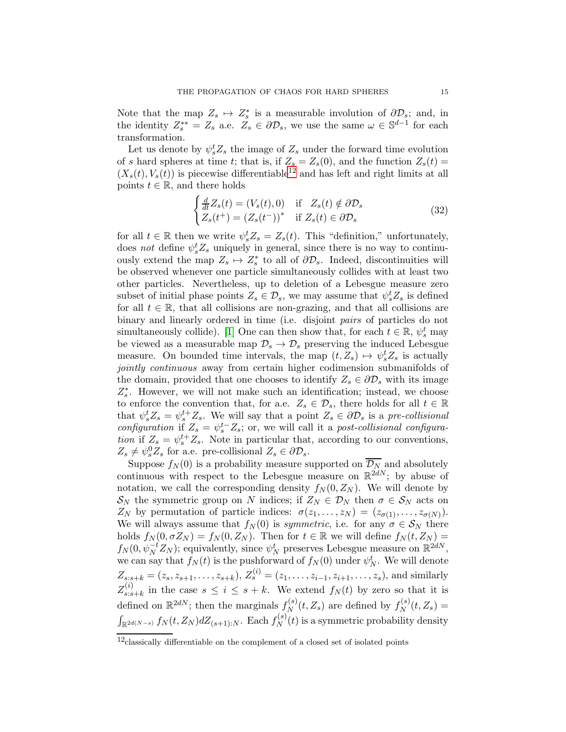Note that the map  $Z_s \mapsto Z_s^*$  is a measurable involution of  $\partial \mathcal{D}_s$ ; and, in the identity  $Z_s^{**} = Z_s$  a.e.  $Z_s \in \partial \mathcal{D}_s$ , we use the same  $\omega \in \mathbb{S}^{d-1}$  for each transformation.

Let us denote by  $\psi_s^t Z_s$  the image of  $Z_s$  under the forward time evolution of s hard spheres at time t; that is, if  $Z_s = Z_s(0)$ , and the function  $Z_s(t) =$  $(X_s(t), V_s(t))$  is piecewise differentiable<sup>[12](#page-14-0)</sup> and has left and right limits at all points  $t \in \mathbb{R}$ , and there holds

$$
\begin{cases}\n\frac{d}{dt}Z_s(t) = (V_s(t), 0) & \text{if } Z_s(t) \notin \partial \mathcal{D}_s \\
Z_s(t^+) = (Z_s(t^-))^* & \text{if } Z_s(t) \in \partial \mathcal{D}_s\n\end{cases}
$$
\n(32)

for all  $t \in \mathbb{R}$  then we write  $\psi_s^t Z_s = Z_s(t)$ . This "definition," unfortunately, does *not* define  $\psi_s^t Z_s$  uniquely in general, since there is no way to continuously extend the map  $Z_s \mapsto Z_s^*$  to all of  $\partial \mathcal{D}_s$ . Indeed, discontinuities will be observed whenever one particle simultaneously collides with at least two other particles. Nevertheless, up to deletion of a Lebesgue measure zero subset of initial phase points  $Z_s \in \mathcal{D}_s$ , we may assume that  $\psi_s^t Z_s$  is defined for all  $t \in \mathbb{R}$ , that all collisions are non-grazing, and that all collisions are binary and linearly ordered in time (i.e. disjoint *pairs* of particles do not simultaneously collide). [\[1\]](#page-66-2) One can then show that, for each  $t \in \mathbb{R}$ ,  $\psi_s^t$  may be viewed as a measurable map  $\mathcal{D}_s \to \mathcal{D}_s$  preserving the induced Lebesgue measure. On bounded time intervals, the map  $(t, Z_s) \mapsto \psi_s^t Z_s$  is actually jointly continuous away from certain higher codimension submanifolds of the domain, provided that one chooses to identify  $Z_s \in \partial \mathcal{D}_s$  with its image  $Z_s^*$ . However, we will not make such an identification; instead, we choose to enforce the convention that, for a.e.  $Z_s \in \mathcal{D}_s$ , there holds for all  $t \in \mathbb{R}$ that  $\psi_s^t Z_s = \psi_s^{t+} Z_s$ . We will say that a point  $Z_s \in \partial \mathcal{D}_s$  is a pre-collisional configuration if  $Z_s = \psi_s^{t-} Z_s$ ; or, we will call it a post-collisional configuration if  $Z_s = \psi_s^{t+} Z_s$ . Note in particular that, according to our conventions,  $Z_s \neq \psi_s^0 Z_s$  for a.e. pre-collisional  $Z_s \in \partial \mathcal{D}_s$ .

Suppose  $f_N(0)$  is a probability measure supported on  $\overline{\mathcal{D}_N}$  and absolutely continuous with respect to the Lebesgue measure on  $\mathbb{R}^{2dN}$ ; by abuse of notation, we call the corresponding density  $f_N(0, Z_N)$ . We will denote by  $\mathcal{S}_N$  the symmetric group on N indices; if  $Z_N \in \mathcal{D}_N$  then  $\sigma \in \mathcal{S}_N$  acts on  $Z_N$  by permutation of particle indices:  $\sigma(z_1,\ldots,z_N) = (z_{\sigma(1)},\ldots,z_{\sigma(N)})$ . We will always assume that  $f_N(0)$  is *symmetric*, i.e. for any  $\sigma \in S_N$  there holds  $f_N(0, \sigma Z_N) = f_N(0, Z_N)$ . Then for  $t \in \mathbb{R}$  we will define  $f_N(t, Z_N) =$  $f_N(0, \psi_N^{-t} Z_N)$ ; equivalently, since  $\psi_N^t$  preserves Lebesgue measure on  $\mathbb{R}^{2dN}$ , we can say that  $f_N(t)$  is the pushforward of  $f_N(0)$  under  $\psi_N^t$ . We will denote  $Z_{s:s+k} = (z_s, z_{s+1}, \ldots, z_{s+k}), Z_s^{(i)} = (z_1, \ldots, z_{i-1}, z_{i+1}, \ldots, z_s),$  and similarly  $Z_{s:s}^{(i)}$  $s_{s+k}^{(i)}$  in the case  $s \leq i \leq s+k$ . We extend  $f_N(t)$  by zero so that it is defined on  $\mathbb{R}^{2dN}$ ; then the marginals  $f_N^{(s)}$  $f_N^{(s)}(t, Z_s)$  are defined by  $f_N^{(s)}$  $S_N^{(s)}(t, Z_s) =$  $\int_{\mathbb{R}^{2d(N-s)}} f_N(t,Z_N) dZ_{(s+1):N}$ . Each  $f_N^{(s)}$  $N^{(s)}(t)$  is a symmetric probability density

<span id="page-14-0"></span> $^{12}$ classically differentiable on the complement of a closed set of isolated points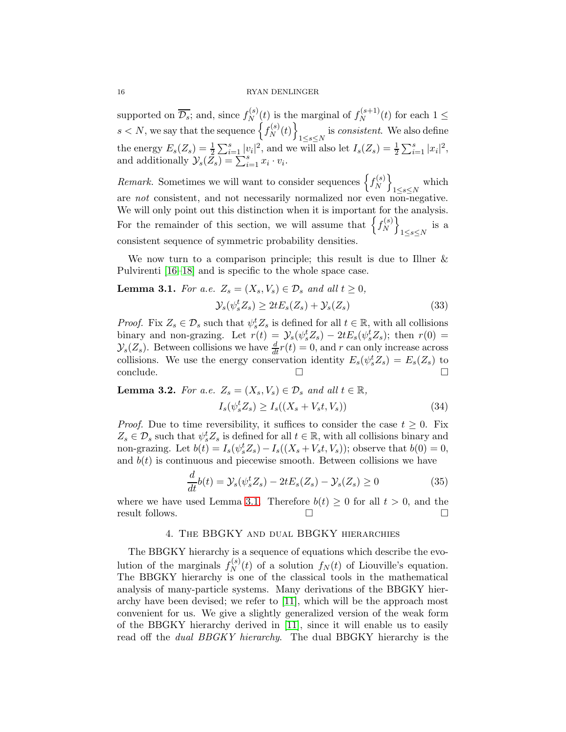supported on  $\overline{\mathcal{D}_s}$ ; and, since  $f_N^{(s)}$  $N^{(s)}(t)$  is the marginal of  $f_N^{(s+1)}$  $\chi_N^{(s+1)}(t)$  for each  $1 \leq$  $s < N$ , we say that the sequence  $\left\{f_N^{(s)}\right\}$  $\left.\frac{(s)}{N}(t)\right\}$  $1\leq s\leq N$ is consistent. We also define the energy  $E_s(Z_s) = \frac{1}{2} \sum_{i=1}^s |v_i|^2$ , and we will also let  $I_s(Z_s) = \frac{1}{2} \sum_{i=1}^s |x_i|^2$ , and additionally  $\mathcal{Y}_s(\tilde{Z}_s) = \sum_{i=1}^s x_i \cdot v_i$ .

Remark. Sometimes we will want to consider sequences  $\left\{f_N^{(s)}\right\}$  $\left\{ \begin{matrix} s \\ N \end{matrix} \right\}$  $1\leq s\leq N$ which are not consistent, and not necessarily normalized nor even non-negative. We will only point out this distinction when it is important for the analysis. For the remainder of this section, we will assume that  $\left\{f_N^{(s)}\right\}$  $\left\{ \begin{matrix} s \\ N \end{matrix} \right\}$  $1\leq s\leq N$ is a consistent sequence of symmetric probability densities.

We now turn to a comparison principle; this result is due to Illner  $\&$ Pulvirenti [\[16–](#page-67-3)[18\]](#page-67-4) and is specific to the whole space case.

<span id="page-15-1"></span>**Lemma 3.1.** For a.e. 
$$
Z_s = (X_s, V_s) \in \mathcal{D}_s
$$
 and all  $t \ge 0$ ,  

$$
\mathcal{Y}_s(\psi_s^t Z_s) \ge 2t E_s(Z_s) + \mathcal{Y}_s(Z_s)
$$
(33)

*Proof.* Fix  $Z_s \in \mathcal{D}_s$  such that  $\psi_s^t Z_s$  is defined for all  $t \in \mathbb{R}$ , with all collisions binary and non-grazing. Let  $r(t) = \mathcal{Y}_s(\psi_s^t Z_s) - 2t E_s(\psi_s^t Z_s)$ ; then  $r(0) =$  $\mathcal{Y}_s(Z_s)$ . Between collisions we have  $\frac{d}{dt}r(t) = 0$ , and r can only increase across collisions. We use the energy conservation identity  $E_s(\psi_s^t Z_s) = E_s(Z_s)$  to conclude.  $\Box$ 

<span id="page-15-2"></span>**Lemma 3.2.** For a.e.  $Z_s = (X_s, V_s) \in \mathcal{D}_s$  and all  $t \in \mathbb{R}$ ,  $I_s(\psi_s^t Z_s) \ge I_s((X_s + V_s t, V_s))$  (34)

*Proof.* Due to time reversibility, it suffices to consider the case  $t \geq 0$ . Fix  $Z_s \in \mathcal{D}_s$  such that  $\psi_s^t Z_s$  is defined for all  $t \in \mathbb{R}$ , with all collisions binary and non-grazing. Let  $b(t) = I_s(\psi_s^t Z_s) - I_s((X_s + V_s t, V_s))$ ; observe that  $b(0) = 0$ , and  $b(t)$  is continuous and piecewise smooth. Between collisions we have

$$
\frac{d}{dt}b(t) = \mathcal{Y}_s(\psi_s^t Z_s) - 2t E_s(Z_s) - \mathcal{Y}_s(Z_s) \ge 0
$$
\n(35)

<span id="page-15-0"></span>where we have used Lemma [3.1.](#page-15-1) Therefore  $b(t) \geq 0$  for all  $t > 0$ , and the result follows. result follows.

# 4. The BBGKY and dual BBGKY hierarchies

The BBGKY hierarchy is a sequence of equations which describe the evolution of the marginals  $f_N^{(s)}$  $N^{(s)}(t)$  of a solution  $f_N(t)$  of Liouville's equation. The BBGKY hierarchy is one of the classical tools in the mathematical analysis of many-particle systems. Many derivations of the BBGKY hierarchy have been devised; we refer to [\[11\]](#page-67-2), which will be the approach most convenient for us. We give a slightly generalized version of the weak form of the BBGKY hierarchy derived in [\[11\]](#page-67-2), since it will enable us to easily read off the dual BBGKY hierarchy. The dual BBGKY hierarchy is the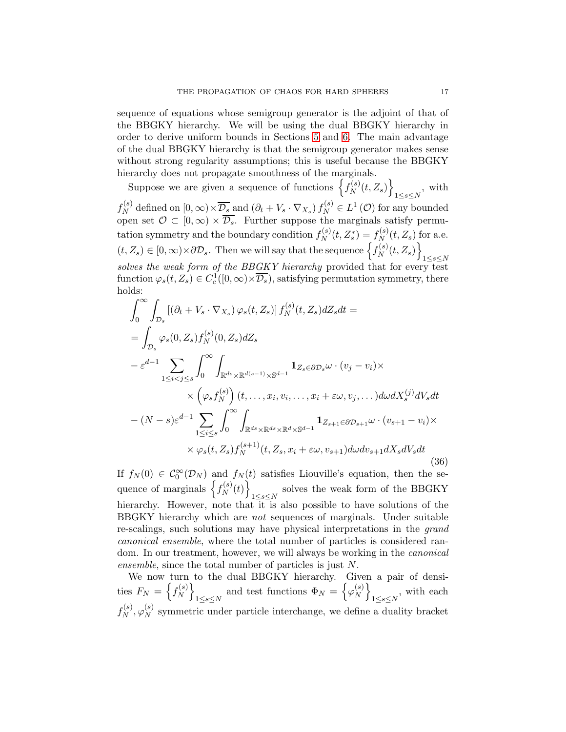sequence of equations whose semigroup generator is the adjoint of that of the BBGKY hierarchy. We will be using the dual BBGKY hierarchy in order to derive uniform bounds in Sections [5](#page-17-0) and [6.](#page-21-0) The main advantage of the dual BBGKY hierarchy is that the semigroup generator makes sense without strong regularity assumptions; this is useful because the BBGKY hierarchy does not propagate smoothness of the marginals.

Suppose we are given a sequence of functions  $\left\{f_N^{(s)}\right\}$  $\left\{\n \begin{array}{c}\n \chi^{(s)}(t, Z_s)\n \end{array}\n \right\}_{1 \leq s \leq N}$ , with  $1\leq s\leq N$  $f_N^{(s)}$  $\mathcal{D}_N^{(s)}$  defined on  $[0,\infty)\times\overline{\mathcal{D}_s}$  and  $(\partial_t + V_s \cdot \nabla_{X_s}) f_N^{(s)} \in L^1(\mathcal{O})$  for any bounded open set  $\mathcal{O} \subset [0,\infty) \times \mathcal{D}_s$ . Further suppose the marginals satisfy permutation symmetry and the boundary condition  $f_N^{(s)}$  $f_N^{(s)}(t, Z_s^*) = f_N^{(s)}$  $\int_{N}^{(s)}(t, Z_s)$  for a.e.  $(t, Z_s) \in [0, \infty) \times \partial \mathcal{D}_s$ . Then we will say that the sequence  $\left\{f_N^{(s)}\right\}$  $\left.\frac{d(s)}{N}(t, Z_s)\right\}$  $1\leq s\leq N$ solves the weak form of the BBGKY hierarchy provided that for every test function  $\varphi_s(t, Z_s) \in C_c^1([0, \infty) \times \overline{\mathcal{D}_s})$ , satisfying permutation symmetry, there holds:

<span id="page-16-0"></span>
$$
\int_{0}^{\infty} \int_{\mathcal{D}_{s}} \left[ (\partial_{t} + V_{s} \cdot \nabla_{X_{s}}) \varphi_{s}(t, Z_{s}) \right] f_{N}^{(s)}(t, Z_{s}) dZ_{s} dt =
$$
\n
$$
= \int_{\mathcal{D}_{s}} \varphi_{s}(0, Z_{s}) f_{N}^{(s)}(0, Z_{s}) dZ_{s}
$$
\n
$$
- \varepsilon^{d-1} \sum_{1 \leq i < j \leq s} \int_{0}^{\infty} \int_{\mathbb{R}^{ds} \times \mathbb{R}^{d(s-1)} \times \mathbb{S}^{d-1}} \mathbf{1}_{Z_{s} \in \partial \mathcal{D}_{s}} \omega \cdot (v_{j} - v_{i}) \times
$$
\n
$$
\times \left( \varphi_{s} f_{N}^{(s)} \right) (t, \dots, x_{i}, v_{i}, \dots, x_{i} + \varepsilon \omega, v_{j}, \dots) d\omega dX_{s}^{(j)} dV_{s} dt
$$
\n
$$
- (N - s) \varepsilon^{d-1} \sum_{1 \leq i \leq s} \int_{0}^{\infty} \int_{\mathbb{R}^{ds} \times \mathbb{R}^{ds} \times \mathbb{R}^{d} \times \mathbb{S}^{d-1}} \mathbf{1}_{Z_{s+1} \in \partial \mathcal{D}_{s+1}} \omega \cdot (v_{s+1} - v_{i}) \times
$$
\n
$$
\times \varphi_{s}(t, Z_{s}) f_{N}^{(s+1)}(t, Z_{s}, x_{i} + \varepsilon \omega, v_{s+1}) d\omega dv_{s+1} dX_{s} dV_{s} dt \tag{36}
$$

If  $f_N(0) \in C_0^{\infty}(\mathcal{D}_N)$  and  $f_N(t)$  satisfies Liouville's equation, then the sequence of marginals  $\left\{f_N^{(s)}\right\}$  $\left.\begin{array}{c} \lambda^{(s)}(t)\\N \end{array}\right\}$  $1\leq s\leq N$ solves the weak form of the BBGKY hierarchy. However, note that  $\overline{t}$  is also possible to have solutions of the BBGKY hierarchy which are not sequences of marginals. Under suitable re-scalings, such solutions may have physical interpretations in the grand canonical ensemble, where the total number of particles is considered random. In our treatment, however, we will always be working in the *canonical* ensemble, since the total number of particles is just N.

We now turn to the dual BBGKY hierarchy. Given a pair of densities  $F_N = \left\{ f_N^{(s)} \right\}$  $\begin{matrix} (s) \ N \end{matrix}$  $1\leq s\leq N$ and test functions  $\Phi_N = \left\{ \varphi_N^{(s)} \right\}$  $\begin{matrix} (s) \\ N \end{matrix}$  $1\leq s\leq N$ , with each  $f_N^{(s)}$  $\overset{(s)}{N}, \overset{(s)}{\varphi_N^{(s)}}$  $_N^{(8)}$  symmetric under particle interchange, we define a duality bracket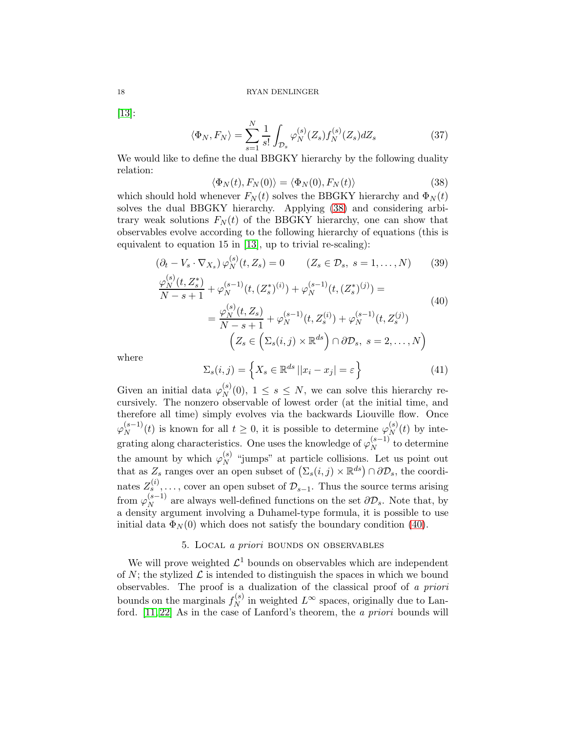[\[13\]](#page-67-20):

$$
\langle \Phi_N, F_N \rangle = \sum_{s=1}^N \frac{1}{s!} \int_{\mathcal{D}_s} \varphi_N^{(s)}(Z_s) f_N^{(s)}(Z_s) dZ_s \tag{37}
$$

We would like to define the dual BBGKY hierarchy by the following duality relation:

<span id="page-17-1"></span>
$$
\langle \Phi_N(t), F_N(0) \rangle = \langle \Phi_N(0), F_N(t) \rangle \tag{38}
$$

which should hold whenever  $F_N(t)$  solves the BBGKY hierarchy and  $\Phi_N(t)$ solves the dual BBGKY hierarchy. Applying [\(38\)](#page-17-1) and considering arbitrary weak solutions  $F_N(t)$  of the BBGKY hierarchy, one can show that observables evolve according to the following hierarchy of equations (this is equivalent to equation 15 in [\[13\]](#page-67-20), up to trivial re-scaling):

<span id="page-17-3"></span>
$$
(\partial_t - V_s \cdot \nabla_{X_s}) \varphi_N^{(s)}(t, Z_s) = 0 \qquad (Z_s \in \mathcal{D}_s, \ s = 1, \dots, N) \tag{39}
$$

<span id="page-17-2"></span>
$$
\frac{\varphi_N^{(s)}(t, Z_s^*)}{N - s + 1} + \varphi_N^{(s-1)}(t, (Z_s^*)^{(i)}) + \varphi_N^{(s-1)}(t, (Z_s^*)^{(j)}) =
$$
\n
$$
= \frac{\varphi_N^{(s)}(t, Z_s)}{N - s + 1} + \varphi_N^{(s-1)}(t, Z_s^{(i)}) + \varphi_N^{(s-1)}(t, Z_s^{(j)})
$$
\n
$$
\left(Z_s \in \left(\Sigma_s(i, j) \times \mathbb{R}^{ds}\right) \cap \partial \mathcal{D}_s, \ s = 2, \dots, N\right)
$$
\n(40)

where

$$
\Sigma_s(i,j) = \left\{ X_s \in \mathbb{R}^{ds} \, | |x_i - x_j| = \varepsilon \right\} \tag{41}
$$

Given an initial data  $\varphi_N^{(s)}$  $N(N)$ ,  $1 \leq s \leq N$ , we can solve this hierarchy recursively. The nonzero observable of lowest order (at the initial time, and therefore all time) simply evolves via the backwards Liouville flow. Once  $\varphi_N^{(s-1)}(t)$  is known for all  $t \geq 0$ , it is possible to determine  $\varphi_N^{(s)}$  $_N^{(s)}(t)$  by integrating along characteristics. One uses the knowledge of  $\varphi_N^{(s-1)}$  to determine the amount by which  $\varphi_N^{(s)}$  $_{N}^{\left( s\right) }$  "jumps" at particle collisions. Let us point out that as  $Z_s$  ranges over an open subset of  $(\Sigma_s(i,j) \times \mathbb{R}^{ds}) \cap \partial \mathcal{D}_s$ , the coordinates  $Z_s^{(i)}, \ldots$ , cover an open subset of  $\mathcal{D}_{s-1}$ . Thus the source terms arising from  $\varphi_N^{(s-1)}$  are always well-defined functions on the set  $\partial \mathcal{D}_s$ . Note that, by a density argument involving a Duhamel-type formula, it is possible to use initial data  $\Phi_N(0)$  which does not satisfy the boundary condition [\(40\)](#page-17-2).

# 5. Local a priori bounds on observables

<span id="page-17-0"></span>We will prove weighted  $\mathcal{L}^1$  bounds on observables which are independent of  $N$ ; the stylized  $\mathcal L$  is intended to distinguish the spaces in which we bound observables. The proof is a dualization of the classical proof of a priori bounds on the marginals  $f_N^{(s)}$  $N^{\left(s\right)}$  in weighted  $L^{\infty}$  spaces, originally due to Lan-ford. [\[11,](#page-67-2) [22\]](#page-67-1) As in the case of Lanford's theorem, the *a priori* bounds will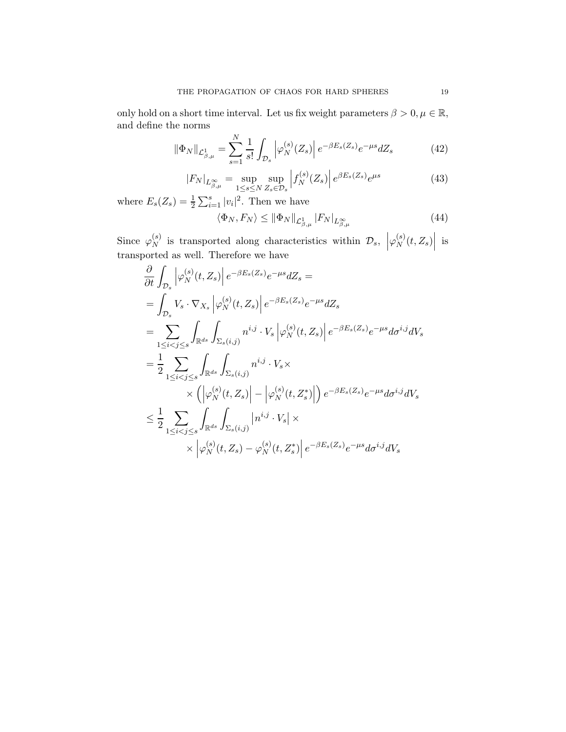only hold on a short time interval. Let us fix weight parameters  $\beta > 0, \mu \in \mathbb{R}$ , and define the norms

$$
\|\Phi_N\|_{\mathcal{L}^1_{\beta,\mu}} = \sum_{s=1}^N \frac{1}{s!} \int_{\mathcal{D}_s} \left| \varphi_N^{(s)}(Z_s) \right| e^{-\beta E_s(Z_s)} e^{-\mu s} dZ_s \tag{42}
$$

$$
|F_N|_{L_{\beta,\mu}^\infty} = \sup_{1 \le s \le N} \sup_{Z_s \in \mathcal{D}_s} \left| f_N^{(s)}(Z_s) \right| e^{\beta E_s(Z_s)} e^{\mu s} \tag{43}
$$

where  $E_s(Z_s) = \frac{1}{2} \sum_{i=1}^s |v_i|^2$ . Then we have

$$
\langle \Phi_N, F_N \rangle \le ||\Phi_N||_{\mathcal{L}^1_{\beta,\mu}} |F_N|_{L^{\infty}_{\beta,\mu}} \tag{44}
$$

Since  $\varphi_N^{(s)}$  $\mathcal{D}_N^{(s)}$  is transported along characteristics within  $\mathcal{D}_s$ ,  $\varphi_N^{(s)}$  $\binom{s}{N}(t, Z_s)$ is transported as well. Therefore we have

$$
\frac{\partial}{\partial t} \int_{\mathcal{D}_s} \left| \varphi_N^{(s)}(t, Z_s) \right| e^{-\beta E_s(Z_s)} e^{-\mu s} dZ_s =
$$
\n
$$
= \int_{\mathcal{D}_s} V_s \cdot \nabla_{X_s} \left| \varphi_N^{(s)}(t, Z_s) \right| e^{-\beta E_s(Z_s)} e^{-\mu s} dZ_s
$$
\n
$$
= \sum_{1 \le i < j \le s} \int_{\mathbb{R}^{ds}} \int_{\Sigma_s(i,j)} n^{i,j} \cdot V_s \left| \varphi_N^{(s)}(t, Z_s) \right| e^{-\beta E_s(Z_s)} e^{-\mu s} d\sigma^{i,j} dV_s
$$
\n
$$
= \frac{1}{2} \sum_{1 \le i < j \le s} \int_{\mathbb{R}^{ds}} \int_{\Sigma_s(i,j)} n^{i,j} \cdot V_s \times
$$
\n
$$
\times \left( \left| \varphi_N^{(s)}(t, Z_s) \right| - \left| \varphi_N^{(s)}(t, Z_s^*) \right| \right) e^{-\beta E_s(Z_s)} e^{-\mu s} d\sigma^{i,j} dV_s
$$
\n
$$
\le \frac{1}{2} \sum_{1 \le i < j \le s} \int_{\mathbb{R}^{ds}} \int_{\Sigma_s(i,j)} |n^{i,j} \cdot V_s| \times
$$
\n
$$
\times \left| \varphi_N^{(s)}(t, Z_s) - \varphi_N^{(s)}(t, Z_s^*) \right| e^{-\beta E_s(Z_s)} e^{-\mu s} d\sigma^{i,j} dV_s
$$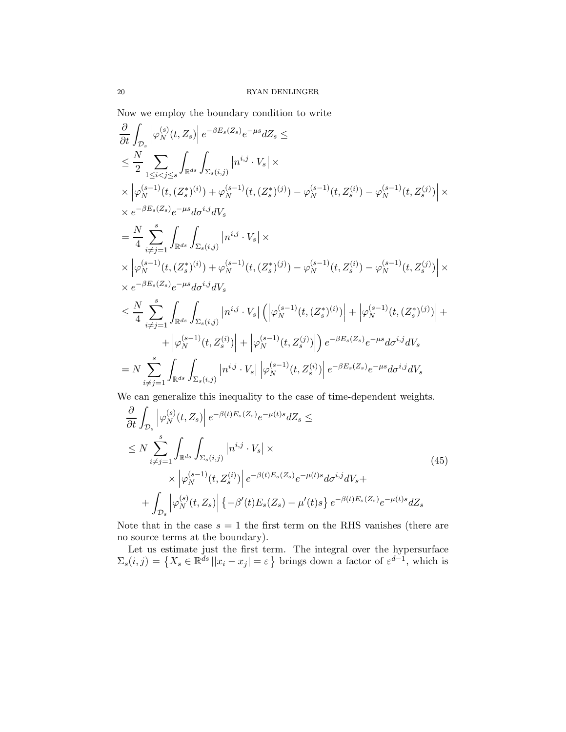Now we employ the boundary condition to write

$$
\begin{split} &\frac{\partial}{\partial t}\int_{\mathcal{D}_{s}}\left|\varphi_{N}^{(s)}(t,Z_{s})\right|e^{-\beta E_{s}(Z_{s})}e^{-\mu s}dZ_{s} \leq\\ &\leq\frac{N}{2}\sum_{1\leq i < j \leq s}\int_{\mathbb{R}^{ds}}\int_{\Sigma_{s}(i,j)}|n^{i,j}\cdot V_{s}|\times\\ &\times\left|\varphi_{N}^{(s-1)}(t,(Z_{s}^{*})^{(i)})+\varphi_{N}^{(s-1)}(t,(Z_{s}^{*})^{(j)})-\varphi_{N}^{(s-1)}(t,Z_{s}^{(i)})-\varphi_{N}^{(s-1)}(t,Z_{s}^{(j)})\right|\times\\ &\times e^{-\beta E_{s}(Z_{s})}e^{-\mu s}d\sigma^{i,j}dV_{s}\\ &=\frac{N}{4}\sum_{i\neq j=1}^{s}\int_{\mathbb{R}^{ds}}\int_{\Sigma_{s}(i,j)}|n^{i,j}\cdot V_{s}|\times\\ &\times\left|\varphi_{N}^{(s-1)}(t,(Z_{s}^{*})^{(i)})+\varphi_{N}^{(s-1)}(t,(Z_{s}^{*})^{(j)})-\varphi_{N}^{(s-1)}(t,Z_{s}^{(i)})-\varphi_{N}^{(s-1)}(t,Z_{s}^{(j)})\right|\times\\ &\times e^{-\beta E_{s}(Z_{s})}e^{-\mu s}d\sigma^{i,j}dV_{s}\\ &\leq\frac{N}{4}\sum_{i\neq j=1}^{s}\int_{\mathbb{R}^{ds}}\int_{\Sigma_{s}(i,j)}\left|n^{i,j}\cdot V_{s}\right|\left(\left|\varphi_{N}^{(s-1)}(t,(Z_{s}^{*})^{(i)})\right|+\left|\varphi_{N}^{(s-1)}(t,(Z_{s}^{*})^{(j)})\right|\right.+\\ &\left.+\left|\varphi_{N}^{(s-1)}(t,Z_{s}^{(i)})\right|+\left|\varphi_{N}^{(s-1)}(t,Z_{s}^{(j)})\right|\right)e^{-\beta E_{s}(Z_{s})}e^{-\mu s}d\sigma^{i,j}dV_{s}\\ &=N\sum_{i\neq j=1}^{s}\int_{\mathbb{R}^{ds}}\int_{\Sigma_{s}(i,j)}\left|n^{i,j}\cdot V_{s}\right|\left|\varphi_{N}^{(s-1)}(t,Z_{s
$$

We can generalize this inequality to the case of time-dependent weights.

$$
\frac{\partial}{\partial t} \int_{\mathcal{D}_s} \left| \varphi_N^{(s)}(t, Z_s) \right| e^{-\beta(t) E_s(Z_s)} e^{-\mu(t)s} dZ_s \le
$$
\n
$$
\leq N \sum_{i \neq j=1}^s \int_{\mathbb{R}^{ds}} \int_{\Sigma_s(i,j)} |n^{i,j} \cdot V_s| \times
$$
\n
$$
\times \left| \varphi_N^{(s-1)}(t, Z_s^{(i)}) \right| e^{-\beta(t) E_s(Z_s)} e^{-\mu(t)s} d\sigma^{i,j} dV_s +
$$
\n
$$
+ \int_{\mathcal{D}_s} \left| \varphi_N^{(s)}(t, Z_s) \right| \left\{ -\beta'(t) E_s(Z_s) - \mu'(t)s \right\} e^{-\beta(t) E_s(Z_s)} e^{-\mu(t)s} dZ_s
$$
\n(45)

Note that in the case  $s = 1$  the first term on the RHS vanishes (there are no source terms at the boundary).

Let us estimate just the first term. The integral over the hypersurface  $\Sigma_s(i,j) = \left\{X_s \in \mathbb{R}^{ds} \, | |x_i - x_j| = \varepsilon \right\}$  brings down a factor of  $\varepsilon^{d-1}$ , which is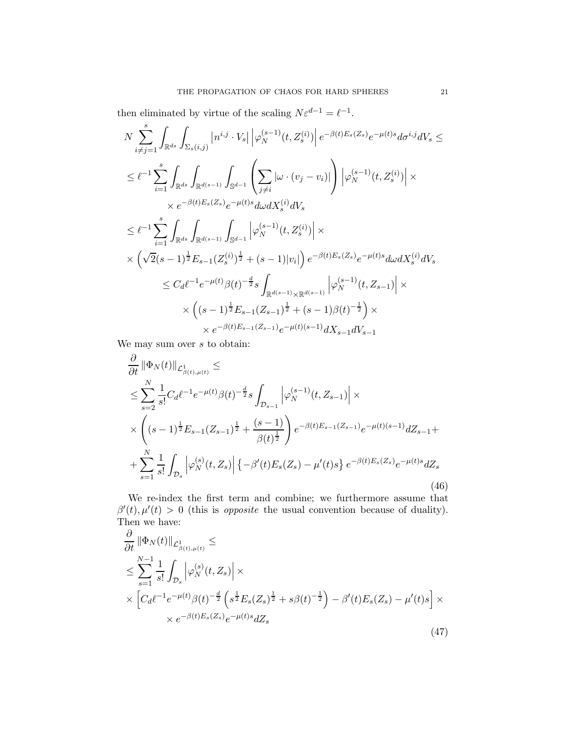then eliminated by virtue of the scaling  $N\varepsilon^{d-1} = \ell^{-1}$ .

$$
N \sum_{i \neq j=1}^{s} \int_{\mathbb{R}^{ds}} \int_{\Sigma_{s}(i,j)} |n^{i,j} \cdot V_{s}| \left| \varphi_{N}^{(s-1)}(t, Z_{s}^{(i)}) \right| e^{-\beta(t)E_{s}(Z_{s})} e^{-\mu(t)s} d\sigma^{i,j} dV_{s} \leq
$$
  
\n
$$
\leq \ell^{-1} \sum_{i=1}^{s} \int_{\mathbb{R}^{ds}} \int_{\mathbb{R}^{d(s-1)}} \int_{\mathbb{S}^{d-1}} \left( \sum_{j \neq i} |\omega \cdot (v_{j} - v_{i})| \right) \left| \varphi_{N}^{(s-1)}(t, Z_{s}^{(i)}) \right| \times
$$
  
\n
$$
\times e^{-\beta(t)E_{s}(Z_{s})} e^{-\mu(t)s} d\omega dX_{s}^{(i)} dV_{s}
$$
  
\n
$$
\leq \ell^{-1} \sum_{i=1}^{s} \int_{\mathbb{R}^{ds}} \int_{\mathbb{R}^{d(s-1)}} \int_{\mathbb{S}^{d-1}} \left| \varphi_{N}^{(s-1)}(t, Z_{s}^{(i)}) \right| \times
$$
  
\n
$$
\times \left( \sqrt{2}(s-1)^{\frac{1}{2}} E_{s-1}(Z_{s}^{(i)})^{\frac{1}{2}} + (s-1)|v_{i}| \right) e^{-\beta(t)E_{s}(Z_{s})} e^{-\mu(t)s} d\omega dX_{s}^{(i)} dV_{s}
$$
  
\n
$$
\leq C_{d} \ell^{-1} e^{-\mu(t)} \beta(t)^{-\frac{d}{2}} s \int_{\mathbb{R}^{d(s-1)} \times \mathbb{R}^{d(s-1)}} \left| \varphi_{N}^{(s-1)}(t, Z_{s-1}) \right| \times
$$
  
\n
$$
\times \left( (s-1)^{\frac{1}{2}} E_{s-1}(Z_{s-1})^{\frac{1}{2}} + (s-1) \beta(t)^{-\frac{1}{2}} \right) \times
$$
  
\n
$$
\times e^{-\beta(t)E_{s-1}(Z_{s-1})} e^{-\mu(t)(s-1)} dX_{s-1} dV_{s-1}
$$

We may sum over  $s$  to obtain:

$$
\frac{\partial}{\partial t} \|\Phi_N(t)\|_{\mathcal{L}^1_{\beta(t),\mu(t)}} \le
$$
\n
$$
\le \sum_{s=2}^N \frac{1}{s!} C_d \ell^{-1} e^{-\mu(t)} \beta(t)^{-\frac{d}{2}} s \int_{\mathcal{D}_{s-1}} \left| \varphi_N^{(s-1)}(t, Z_{s-1}) \right| \times
$$
\n
$$
\times \left( (s-1)^{\frac{1}{2}} E_{s-1}(Z_{s-1})^{\frac{1}{2}} + \frac{(s-1)}{\beta(t)^{\frac{1}{2}}} \right) e^{-\beta(t) E_{s-1}(Z_{s-1})} e^{-\mu(t)(s-1)} dZ_{s-1} +
$$
\n
$$
+ \sum_{s=1}^N \frac{1}{s!} \int_{\mathcal{D}_s} \left| \varphi_N^{(s)}(t, Z_s) \right| \left\{ -\beta'(t) E_s(Z_s) - \mu'(t) s \right\} e^{-\beta(t) E_s(Z_s)} e^{-\mu(t) s} dZ_s
$$
\n(46)

We re-index the first term and combine; we furthermore assume that  $\beta'(t), \mu'(t) > 0$  (this is *opposite* the usual convention because of duality). Then we have:

$$
\frac{\partial}{\partial t} \|\Phi_N(t)\|_{\mathcal{L}^1_{\beta(t),\mu(t)}} \le
$$
\n
$$
\le \sum_{s=1}^{N-1} \frac{1}{s!} \int_{\mathcal{D}_s} \left| \varphi_N^{(s)}(t, Z_s) \right| \times
$$
\n
$$
\times \left[ C_d \ell^{-1} e^{-\mu(t)} \beta(t)^{-\frac{d}{2}} \left( s^{\frac{1}{2}} E_s(Z_s)^{\frac{1}{2}} + s \beta(t)^{-\frac{1}{2}} \right) - \beta'(t) E_s(Z_s) - \mu'(t) s \right] \times
$$
\n
$$
\times e^{-\beta(t) E_s(Z_s)} e^{-\mu(t)s} dZ_s \tag{47}
$$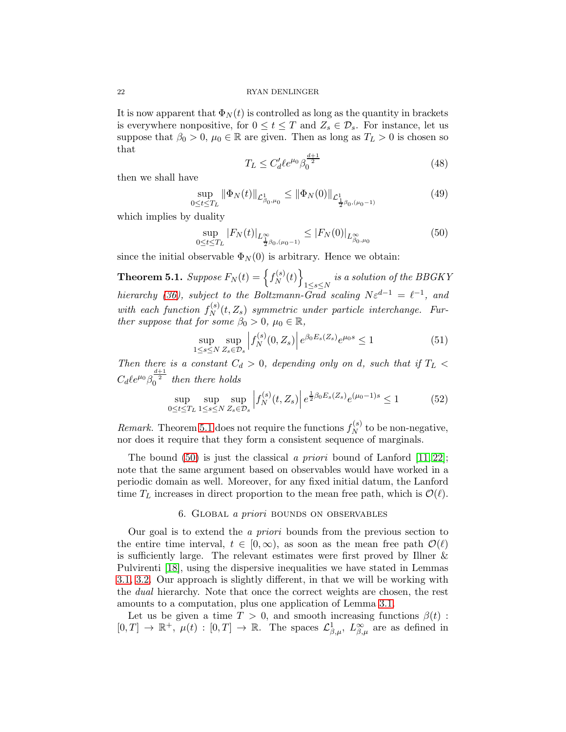It is now apparent that  $\Phi_N(t)$  is controlled as long as the quantity in brackets is everywhere nonpositive, for  $0 \le t \le T$  and  $Z_s \in \mathcal{D}_s$ . For instance, let us suppose that  $\beta_0 > 0$ ,  $\mu_0 \in \mathbb{R}$  are given. Then as long as  $T_L > 0$  is chosen so that

$$
T_L \le C'_d \ell e^{\mu_0} \beta_0^{\frac{d+1}{2}} \tag{48}
$$

then we shall have

$$
\sup_{0 \le t \le T_L} \|\Phi_N(t)\|_{\mathcal{L}^1_{\beta_0,\mu_0}} \le \|\Phi_N(0)\|_{\mathcal{L}^1_{\frac{1}{2}\beta_0,(\mu_0 - 1)}}\tag{49}
$$

which implies by duality

<span id="page-21-2"></span>
$$
\sup_{0 \le t \le T_L} |F_N(t)|_{L^{\infty}_{\frac{1}{2}\beta_0,(\mu_0 - 1)}} \le |F_N(0)|_{L^{\infty}_{\beta_0, \mu_0}}
$$
(50)

since the initial observable  $\Phi_N(0)$  is arbitrary. Hence we obtain:

<span id="page-21-1"></span>Theorem 5.1. Suppose  $F_N(t) = \left\{ f_N^{(s)} \right\}$  $\left.\begin{array}{c} \lambda^{(s)}(t) \lambda^{(s)} \end{array}\right\}$  $1\leq s\leq N$ is a solution of the BBGKY hierarchy [\(36\)](#page-16-0), subject to the Boltzmann-Grad scaling  $N\varepsilon^{d-1} = \ell^{-1}$ , and with each function  $f_N^{(s)}$  $N_N^{(8)}(t, Z_s)$  symmetric under particle interchange. Further suppose that for some  $\beta_0 > 0$ ,  $\mu_0 \in \mathbb{R}$ ,

$$
\sup_{1 \le s \le N} \sup_{Z_s \in \mathcal{D}_s} \left| f_N^{(s)}(0, Z_s) \right| e^{\beta_0 E_s(Z_s)} e^{\mu_0 s} \le 1 \tag{51}
$$

Then there is a constant  $C_d > 0$ , depending only on d, such that if  $T_L$  <  $C_d \ell e^{\mu_0} \beta_0^{\frac{d+1}{2}}$  then there holds

$$
\sup_{0 \le t \le T_L} \sup_{1 \le s \le N} \sup_{Z_s \in \mathcal{D}_s} \left| f_N^{(s)}(t, Z_s) \right| e^{\frac{1}{2}\beta_0 E_s(Z_s)} e^{(\mu_0 - 1)s} \le 1 \tag{52}
$$

Remark. Theorem [5.1](#page-21-1) does not require the functions  $f_N^{(s)}$  $N^{(s)}$  to be non-negative, nor does it require that they form a consistent sequence of marginals.

The bound  $(50)$  is just the classical a priori bound of Lanford  $[11, 22]$  $[11, 22]$ ; note that the same argument based on observables would have worked in a periodic domain as well. Moreover, for any fixed initial datum, the Lanford time  $T_L$  increases in direct proportion to the mean free path, which is  $\mathcal{O}(\ell)$ .

### 6. GLOBAL a priori BOUNDS ON OBSERVABLES

<span id="page-21-0"></span>Our goal is to extend the a priori bounds from the previous section to the entire time interval,  $t \in [0,\infty)$ , as soon as the mean free path  $\mathcal{O}(\ell)$ is sufficiently large. The relevant estimates were first proved by Illner & Pulvirenti [\[18\]](#page-67-4), using the dispersive inequalities we have stated in Lemmas [3.1,](#page-15-1) [3.2.](#page-15-2) Our approach is slightly different, in that we will be working with the dual hierarchy. Note that once the correct weights are chosen, the rest amounts to a computation, plus one application of Lemma [3.1.](#page-15-1)

Let us be given a time  $T > 0$ , and smooth increasing functions  $\beta(t)$ :  $[0,T] \to \mathbb{R}^+, \mu(t) : [0,T] \to \mathbb{R}$ . The spaces  $\mathcal{L}^1_{\beta,\mu}, L^\infty_{\beta,\mu}$  are as defined in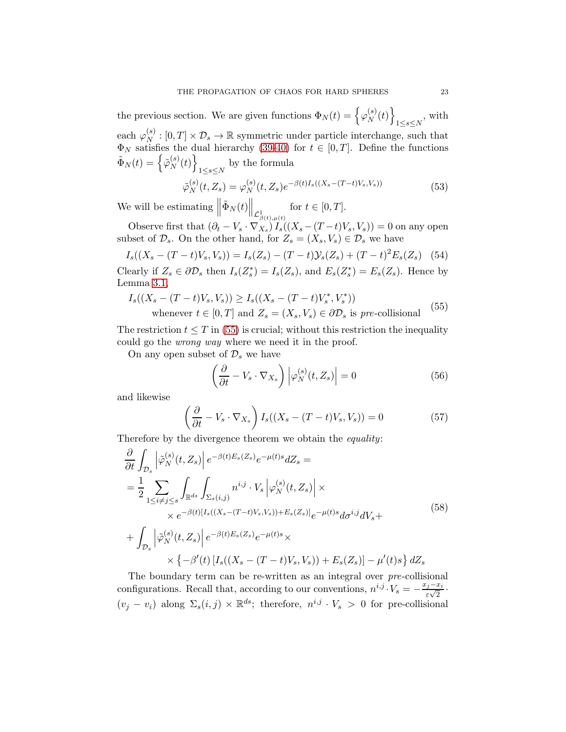the previous section. We are given functions  $\Phi_N(t) = \left\{ \varphi_N^{(s)} \right\}$  $_N^{(s)}(t)$  $1\leq s\leq N$ , with each  $\varphi_N^{(s)}$  $N: [0, T] \times \mathcal{D}_s \to \mathbb{R}$  symmetric under particle interchange, such that  $\Phi_N$  satisfies the dual hierarchy [\(39-](#page-17-3)[40\)](#page-17-2) for  $t \in [0, T]$ . Define the functions  $\tilde{\Phi}_N(t)=\left\{\tilde{\varphi}_N^{(s)}\right\}$  $_N^{(s)}(t)$  $1\leq s\leq N$ by the formula

$$
\tilde{\varphi}_N^{(s)}(t, Z_s) = \varphi_N^{(s)}(t, Z_s) e^{-\beta(t)I_s((X_s - (T - t)V_s, V_s))}
$$
\n(53)

We will be estimating  $\left\|\tilde{\Phi}_N(t)\right\|_{\mathcal{L}^1_{\beta(t),\mu(t)}}$  for  $t \in [0,T]$ .

Observe first that  $(\partial_t - V_s \cdot \nabla_{X_s}) I_s((X_s - (T - t)V_s, V_s)) = 0$  on any open subset of  $\mathcal{D}_s$ . On the other hand, for  $Z_s = (X_s, V_s) \in \mathcal{D}_s$  we have

$$
I_s((X_s - (T - t)V_s, V_s)) = I_s(Z_s) - (T - t)\mathcal{Y}_s(Z_s) + (T - t)^2 E_s(Z_s)
$$
 (54)  
Clearly if  $Z_s \in \partial \mathcal{D}_s$  then  $I_s(Z_s^*) = I_s(Z_s)$ , and  $E_s(Z_s^*) = E_s(Z_s)$ . Hence by

$$
Lemma 3.1,
$$

<span id="page-22-0"></span>
$$
I_s((X_s - (T - t)V_s, V_s)) \ge I_s((X_s - (T - t)V_s^*, V_s^*))
$$
  
whenever  $t \in [0, T]$  and  $Z_s = (X_s, V_s) \in \partial \mathcal{D}_s$  is pre-collisional (55)

The restriction  $t \leq T$  in [\(55\)](#page-22-0) is crucial; without this restriction the inequality could go the wrong way where we need it in the proof.

On any open subset of  $\mathcal{D}_s$  we have

$$
\left(\frac{\partial}{\partial t} - V_s \cdot \nabla_{X_s}\right) \left| \varphi_N^{(s)}(t, Z_s) \right| = 0 \tag{56}
$$

and likewise

$$
\left(\frac{\partial}{\partial t} - V_s \cdot \nabla_{X_s}\right) I_s((X_s - (T - t)V_s, V_s)) = 0 \tag{57}
$$

Therefore by the divergence theorem we obtain the *equality*:

$$
\frac{\partial}{\partial t} \int_{\mathcal{D}_s} \left| \tilde{\varphi}_N^{(s)}(t, Z_s) \right| e^{-\beta(t) E_s(Z_s)} e^{-\mu(t)s} dZ_s =
$$
\n
$$
= \frac{1}{2} \sum_{1 \le i \ne j \le s} \int_{\mathbb{R}^{ds}} \int_{\Sigma_s(i,j)} n^{i,j} \cdot V_s \left| \varphi_N^{(s)}(t, Z_s) \right| \times
$$
\n
$$
\times e^{-\beta(t) [I_s((X_s - (T - t)V_s, V_s)) + E_s(Z_s)]} e^{-\mu(t)s} d\sigma^{i,j} dV_s +
$$
\n
$$
+ \int_{\mathcal{D}_s} \left| \tilde{\varphi}_N^{(s)}(t, Z_s) \right| e^{-\beta(t) E_s(Z_s)} e^{-\mu(t)s} \times
$$
\n
$$
\times \left\{ -\beta'(t) [I_s((X_s - (T - t)V_s, V_s)) + E_s(Z_s)] - \mu'(t)s \right\} dZ_s
$$
\n(58)

The boundary term can be re-written as an integral over pre-collisional configurations. Recall that, according to our conventions,  $n^{i,j} \cdot V_s = -\frac{x_j - x_i}{\varepsilon \sqrt{2}}$  $rac{i}{\varepsilon\sqrt{2}}$ .  $(v_j - v_i)$  along  $\Sigma_s(i,j) \times \mathbb{R}^{ds}$ ; therefore,  $n^{i,j} \cdot V_s > 0$  for pre-collisional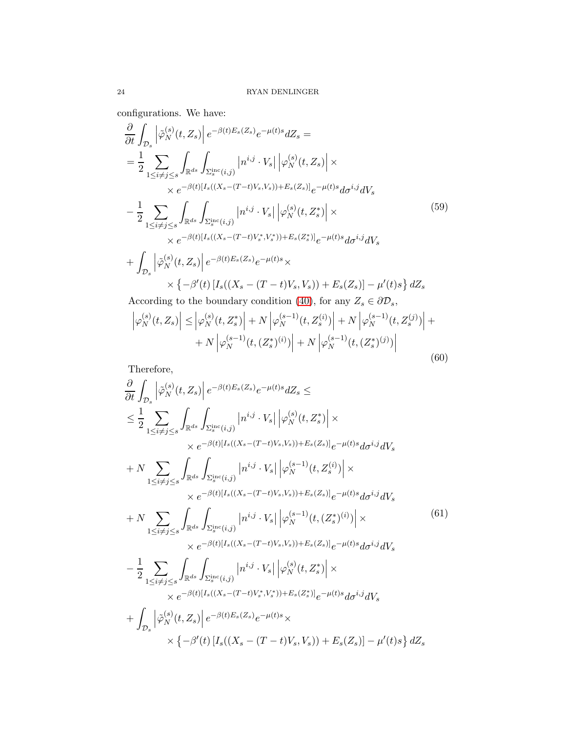configurations. We have:

$$
\frac{\partial}{\partial t} \int_{\mathcal{D}_{s}} \left| \tilde{\varphi}_{N}^{(s)}(t, Z_{s}) \right| e^{-\beta(t)E_{s}(Z_{s})} e^{-\mu(t)s} dZ_{s} =
$$
\n
$$
= \frac{1}{2} \sum_{1 \leq i \neq j \leq s} \int_{\mathbb{R}^{ds}} \int_{\Sigma_{s}^{\text{inc}}(i,j)} |n^{i,j} \cdot V_{s}| \left| \varphi_{N}^{(s)}(t, Z_{s}) \right| \times
$$
\n
$$
\times e^{-\beta(t)[I_{s}((X_{s} - (T - t)V_{s}, V_{s})) + E_{s}(Z_{s})]} e^{-\mu(t)s} d\sigma^{i,j} dV_{s}
$$
\n
$$
- \frac{1}{2} \sum_{1 \leq i \neq j \leq s} \int_{\mathbb{R}^{ds}} \int_{\Sigma_{s}^{\text{inc}}(i,j)} |n^{i,j} \cdot V_{s}| \left| \varphi_{N}^{(s)}(t, Z_{s}^{*}) \right| \times
$$
\n
$$
\times e^{-\beta(t)[I_{s}((X_{s} - (T - t)V_{s}^{*}, V_{s}^{*})) + E_{s}(Z_{s}^{*})]} e^{-\mu(t)s} d\sigma^{i,j} dV_{s}
$$
\n
$$
+ \int_{\mathcal{D}_{s}} \left| \tilde{\varphi}_{N}^{(s)}(t, Z_{s}) \right| e^{-\beta(t)E_{s}(Z_{s})} e^{-\mu(t)s} \times
$$
\n
$$
\times \left\{ -\beta'(t) [I_{s}((X_{s} - (T - t)V_{s}, V_{s})) + E_{s}(Z_{s})] - \mu'(t)s \right\} dZ_{s}
$$
\nAccording to the boundary condition (40), for any  $Z_{s} \in \partial \mathcal{D}_{s}$ ,\n
$$
\left| \varphi_{N}^{(s)}(t, Z_{s}) \right| \leq \left| \varphi_{N}^{(s)}(t, Z_{s}^{*}) \right| + N \left| \varphi_{N}^{(s-1)}(t, Z_{s}^{(i)}) \right| + N \left| \varphi_{N}^{(s-1)}(t, Z_{s}^{(j)}) \right| +
$$
\n
$$
+ N \left| \varphi_{N}^{(s-1)}(t, (Z_{s}^{*})^{
$$

(60)

Therefore,

$$
\frac{\partial}{\partial t} \int_{\mathcal{D}_s} \left| \tilde{\varphi}_N^{(s)}(t, Z_s) \right| e^{-\beta(t)E_s(Z_s)} e^{-\mu(t)s} dZ_s \le
$$
\n
$$
\leq \frac{1}{2} \sum_{1 \leq i \neq j \leq s} \int_{\mathbb{R}^{ds}} \int_{\Sigma_{\text{S}}^{\text{inc}}(i,j)} \left| n^{i,j} \cdot V_s \right| \left| \varphi_N^{(s)}(t, Z_s^*) \right| \times
$$
\n
$$
\times e^{-\beta(t)[I_s((X_s - (T - t)V_s, V_s)) + E_s(Z_s)]} e^{-\mu(t)s} d\sigma^{i,j} dV_s
$$
\n
$$
+ N \sum_{1 \leq i \neq j \leq s} \int_{\mathbb{R}^{ds}} \int_{\Sigma_{s}^{\text{inc}}(i,j)} \left| n^{i,j} \cdot V_s \right| \left| \varphi_N^{(s-1)}(t, Z_s^{(i)}) \right| \times
$$
\n
$$
\times e^{-\beta(t)[I_s((X_s - (T - t)V_s, V_s)) + E_s(Z_s)]} e^{-\mu(t)s} d\sigma^{i,j} dV_s
$$
\n
$$
+ N \sum_{1 \leq i \neq j \leq s} \int_{\mathbb{R}^{ds}} \int_{\Sigma_{s}^{\text{inc}}(i,j)} \left| n^{i,j} \cdot V_s \right| \left| \varphi_N^{(s-1)}(t, (Z_s^*)^{(i)}) \right| \times
$$
\n
$$
\times e^{-\beta(t)[I_s((X_s - (T - t)V_s, V_s)) + E_s(Z_s)]} e^{-\mu(t)s} d\sigma^{i,j} dV_s
$$
\n
$$
- \frac{1}{2} \sum_{1 \leq i \neq j \leq s} \int_{\mathbb{R}^{ds}} \int_{\Sigma_{s}^{\text{inc}}(i,j)} \left| n^{i,j} \cdot V_s \right| \left| \varphi_N^{(s)}(t, Z_s^*) \right| \times
$$
\n
$$
\times e^{-\beta(t)[I_s((X_s - (T - t)V_s, V_s)) + E_s(Z_s)]} e^{-\mu(t)s} d\sigma^{i,j} dV_s
$$
\n
$$
+ \int_{\mathcal{D}_s} \left| \tilde{\varphi}_N^{(s)}(t, Z_s) \right| e^{-\beta
$$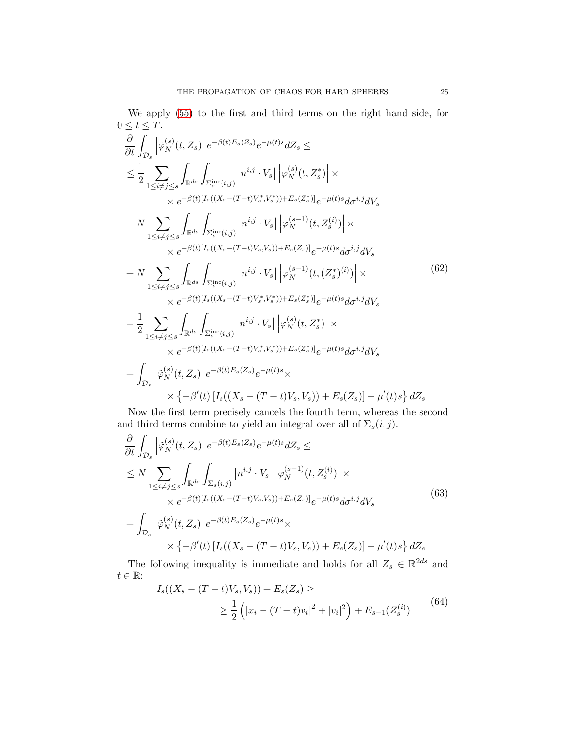We apply [\(55\)](#page-22-0) to the first and third terms on the right hand side, for  $0 \leq t \leq T$ .

$$
\frac{\partial}{\partial t} \int_{\mathcal{D}_{s}} \left| \tilde{\varphi}_{N}^{(s)}(t, Z_{s}) \right| e^{-\beta(t)E_{s}(Z_{s})} e^{-\mu(t)s} dZ_{s} \le
$$
\n
$$
\leq \frac{1}{2} \sum_{1 \leq i \neq j \leq s} \int_{\mathbb{R}^{ds}} \int_{\Sigma_{\underline{S}}^{\text{inc}}(i,j)} |n^{i,j} \cdot V_{s}| \left| \varphi_{N}^{(s)}(t, Z_{s}^{*}) \right| \times
$$
\n
$$
\times e^{-\beta(t)[I_{s}((X_{s}-(T-t)V_{s}^{*}, V_{s}^{*}))+E_{s}(Z_{s}^{*})]} e^{-\mu(t)s} d\sigma^{i,j} dV_{s}
$$
\n
$$
+ N \sum_{1 \leq i \neq j \leq s} \int_{\mathbb{R}^{ds}} \int_{\Sigma_{s}^{\text{inc}}(i,j)} |n^{i,j} \cdot V_{s}| \left| \varphi_{N}^{(s-1)}(t, Z_{s}^{(i)}) \right| \times
$$
\n
$$
\times e^{-\beta(t)[I_{s}((X_{s}-(T-t)V_{s}, V_{s}))+E_{s}(Z_{s})]} e^{-\mu(t)s} d\sigma^{i,j} dV_{s}
$$
\n
$$
+ N \sum_{1 \leq i \neq j \leq s} \int_{\mathbb{R}^{ds}} \int_{\Sigma_{s}^{\text{inc}}(i,j)} |n^{i,j} \cdot V_{s}| \left| \varphi_{N}^{(s-1)}(t, (Z_{s}^{*})^{(i)}) \right| \times
$$
\n
$$
\times e^{-\beta(t)[I_{s}((X_{s}-(T-t)V_{s}^{*}, V_{s}^{*}))+E_{s}(Z_{s}^{*})]} e^{-\mu(t)s} d\sigma^{i,j} dV_{s}
$$
\n
$$
- \frac{1}{2} \sum_{1 \leq i \neq j \leq s} \int_{\mathbb{R}^{ds}} \int_{\Sigma_{s}^{\text{inc}}(i,j)} |n^{i,j} \cdot V_{s}| \left| \varphi_{N}^{(s)}(t, Z_{s}^{*}) \right| \times
$$
\n
$$
\times e^{-\beta(t)[I_{s}((X_{s}-(T-t)V_{s}^{*}, V_{s}^{*}))+E_{s}(Z_{
$$

Now the first term precisely cancels the fourth term, whereas the second and third terms combine to yield an integral over all of  $\Sigma_s(i,j)$ .

<span id="page-24-1"></span>
$$
\frac{\partial}{\partial t} \int_{\mathcal{D}_s} \left| \tilde{\varphi}_N^{(s)}(t, Z_s) \right| e^{-\beta(t) E_s(Z_s)} e^{-\mu(t)s} dZ_s \le
$$
\n
$$
\leq N \sum_{1 \leq i \neq j \leq s} \int_{\mathbb{R}^{ds}} \int_{\Sigma_s(i,j)} \left| n^{i,j} \cdot V_s \right| \left| \varphi_N^{(s-1)}(t, Z_s^{(i)}) \right| \times
$$
\n
$$
\times e^{-\beta(t) [I_s((X_s - (T - t)V_s, V_s)) + E_s(Z_s)]} e^{-\mu(t)s} d\sigma^{i,j} dV_s
$$
\n
$$
+ \int_{\mathcal{D}_s} \left| \tilde{\varphi}_N^{(s)}(t, Z_s) \right| e^{-\beta(t) E_s(Z_s)} e^{-\mu(t)s} \times
$$
\n
$$
\times \left\{ -\beta'(t) \left[ I_s((X_s - (T - t)V_s, V_s)) + E_s(Z_s) \right] - \mu'(t)s \right\} dZ_s
$$
\n(63)

The following inequality is immediate and holds for all  $Z_s \in \mathbb{R}^{2ds}$  and  $t \in \mathbb{R}$ :

<span id="page-24-0"></span>
$$
I_s((X_s - (T - t)V_s, V_s)) + E_s(Z_s) \ge
$$
  
 
$$
\ge \frac{1}{2} (|x_i - (T - t)v_i|^2 + |v_i|^2) + E_{s-1}(Z_s^{(i)})
$$
(64)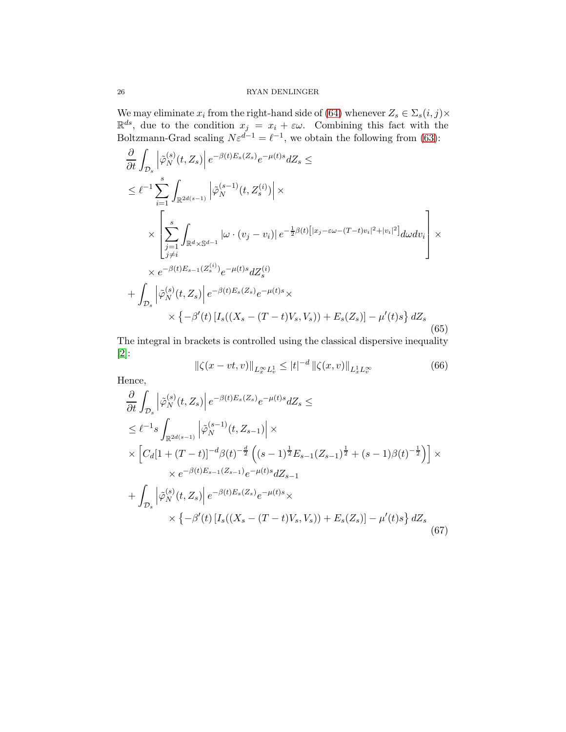We may eliminate  $x_i$  from the right-hand side of [\(64\)](#page-24-0) whenever  $Z_s \in \Sigma_s(i, j) \times \mathbb{R}^{ds}$ , due to the condition  $x_j = x_i + \varepsilon \omega$ . Combining this fact with the Boltzmann-Grad scaling  $N\varepsilon^{d-1} = \ell^{-1}$ , we obtain the following from [\(63\)](#page-24-1):

$$
\frac{\partial}{\partial t} \int_{\mathcal{D}_s} \left| \tilde{\varphi}_N^{(s)}(t, Z_s) \right| e^{-\beta(t) E_s(Z_s)} e^{-\mu(t)s} dZ_s \le
$$
\n
$$
\leq \ell^{-1} \sum_{i=1}^s \int_{\mathbb{R}^{2d(s-1)}} \left| \tilde{\varphi}_N^{(s-1)}(t, Z_s^{(i)}) \right| \times
$$
\n
$$
\times \left[ \sum_{\substack{j=1 \ j \neq i}}^s \int_{\mathbb{R}^d \times \mathbb{S}^{d-1}} |\omega \cdot (v_j - v_i)| e^{-\frac{1}{2}\beta(t) \left[ |x_j - \varepsilon \omega - (T - t)v_i|^2 + |v_i|^2 \right]} d\omega dv_i \right] \times
$$
\n
$$
\times e^{-\beta(t) E_{s-1}(Z_s^{(i)})} e^{-\mu(t)s} dZ_s^{(i)}
$$
\n
$$
+ \int_{\mathcal{D}_s} \left| \tilde{\varphi}_N^{(s)}(t, Z_s) \right| e^{-\beta(t) E_s(Z_s)} e^{-\mu(t)s} \times
$$
\n
$$
\times \left\{ -\beta'(t) \left[ I_s((X_s - (T - t)V_s, V_s)) + E_s(Z_s) \right] - \mu'(t)s \right\} dZ_s
$$
\n(65)

The integral in brackets is controlled using the classical dispersive inequality [\[2\]](#page-66-3):

$$
\|\zeta(x - vt, v)\|_{L_x^{\infty} L_v^1} \le |t|^{-d} \|\zeta(x, v)\|_{L_x^1 L_v^{\infty}}
$$
(66)

Hence,

$$
\frac{\partial}{\partial t} \int_{\mathcal{D}_s} \left| \tilde{\varphi}_N^{(s)}(t, Z_s) \right| e^{-\beta(t) E_s(Z_s)} e^{-\mu(t) s} dZ_s \le
$$
\n
$$
\leq \ell^{-1} s \int_{\mathbb{R}^{2d(s-1)}} \left| \tilde{\varphi}_N^{(s-1)}(t, Z_{s-1}) \right| \times
$$
\n
$$
\times \left[ C_d [1 + (T - t)]^{-d} \beta(t)^{-\frac{d}{2}} \left( (s - 1)^{\frac{1}{2}} E_{s-1} (Z_{s-1})^{\frac{1}{2}} + (s - 1) \beta(t)^{-\frac{1}{2}} \right) \right] \times
$$
\n
$$
\times e^{-\beta(t) E_{s-1} (Z_{s-1})} e^{-\mu(t) s} dZ_{s-1}
$$
\n
$$
+ \int_{\mathcal{D}_s} \left| \tilde{\varphi}_N^{(s)}(t, Z_s) \right| e^{-\beta(t) E_s (Z_s)} e^{-\mu(t) s} \times
$$
\n
$$
\times \left\{ -\beta'(t) \left[ I_s((X_s - (T - t)V_s, V_s)) + E_s(Z_s) \right] - \mu'(t) s \right\} dZ_s \tag{67}
$$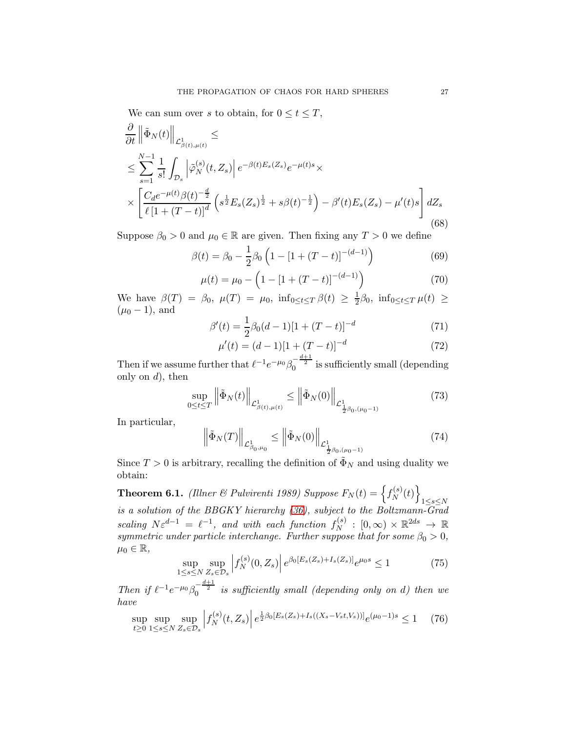We can sum over s to obtain, for  $0 \le t \le T$ ,

$$
\frac{\partial}{\partial t} \left\| \tilde{\Phi}_{N}(t) \right\|_{\mathcal{L}^{1}_{\beta(t),\mu(t)}} \leq
$$
\n
$$
\leq \sum_{s=1}^{N-1} \frac{1}{s!} \int_{\mathcal{D}_{s}} \left| \tilde{\varphi}_{N}^{(s)}(t, Z_{s}) \right| e^{-\beta(t) E_{s}(Z_{s})} e^{-\mu(t)s} \times
$$
\n
$$
\times \left[ \frac{C_{d} e^{-\mu(t)} \beta(t)^{-\frac{d}{2}}}{\ell \left[ 1 + (T - t) \right]^{d}} \left( s^{\frac{1}{2}} E_{s}(Z_{s})^{\frac{1}{2}} + s \beta(t)^{-\frac{1}{2}} \right) - \beta'(t) E_{s}(Z_{s}) - \mu'(t) s \right] dZ_{s}
$$
\n(68)

Suppose  $\beta_0 > 0$  and  $\mu_0 \in \mathbb{R}$  are given. Then fixing any  $T > 0$  we define

$$
\beta(t) = \beta_0 - \frac{1}{2}\beta_0 \left(1 - \left[1 + (T - t)\right]^{-(d - 1)}\right)
$$
\n(69)

$$
\mu(t) = \mu_0 - \left(1 - \left[1 + (T - t)\right]^{-(d-1)}\right) \tag{70}
$$

We have  $\beta(T) = \beta_0$ ,  $\mu(T) = \mu_0$ ,  $\inf_{0 \le t \le T} \beta(t) \ge \frac{1}{2}$  $\frac{1}{2}\beta_0$ , inf<sub>0≤t≤T</sub>  $\mu(t)$  ≥  $(\mu_0 - 1)$ , and

$$
\beta'(t) = \frac{1}{2}\beta_0(d-1)[1+(T-t)]^{-d}
$$
\n(71)

$$
\mu'(t) = (d-1)[1 + (T-t)]^{-d} \tag{72}
$$

Then if we assume further that  $\ell^{-1}e^{-\mu_0}\beta_0^{-\frac{d+1}{2}}$  is sufficiently small (depending only on  $d$ ), then

$$
\sup_{0 \le t \le T} \left\| \tilde{\Phi}_N(t) \right\|_{\mathcal{L}^1_{\beta(t), \mu(t)}} \le \left\| \tilde{\Phi}_N(0) \right\|_{\mathcal{L}^1_{\frac{1}{2}\beta_0, (\mu_0 - 1)}}\tag{73}
$$

In particular,

$$
\left\| \tilde{\Phi}_N(T) \right\|_{\mathcal{L}^1_{\beta_0, \mu_0}} \le \left\| \tilde{\Phi}_N(0) \right\|_{\mathcal{L}^1_{\frac{1}{2}\beta_0, (\mu_0 - 1)}}
$$
(74)

Since  $T > 0$  is arbitrary, recalling the definition of  $\tilde{\Phi}_N$  and using duality we obtain:

<span id="page-26-0"></span>**Theorem 6.1.** (Illner & Pulvirenti 1989) Suppose  $F_N(t) = \left\{ f_N^{(s)} \right\}$  $\left.\frac{(s)}{N}(t)\right\}$  $1\leq s \leq N$ is a solution of the BBGKY hierarchy  $(36)$ , subject to the Boltzmann-Grad scaling  $N\varepsilon^{d-1} = \ell^{-1}$ , and with each function  $f_N^{(s)}$  $\mathbb{R}_N^{(s)}$  :  $[0,\infty) \times \mathbb{R}^{2ds} \rightarrow \mathbb{R}$ symmetric under particle interchange. Further suppose that for some  $\beta_0 > 0$ ,  $\mu_0 \in \mathbb{R}$ ,

$$
\sup_{1 \le s \le N} \sup_{Z_s \in \mathcal{D}_s} \left| f_N^{(s)}(0, Z_s) \right| e^{\beta_0 [E_s(Z_s) + I_s(Z_s)]} e^{\mu_0 s} \le 1 \tag{75}
$$

Then if  $\ell^{-1}e^{-\mu_0}\beta_0^{-\frac{d+1}{2}}$  is sufficiently small (depending only on d) then we have

$$
\sup_{t\geq 0} \sup_{1\leq s\leq N} \sup_{Z_s\in\mathcal{D}_s} \left| f_N^{(s)}(t, Z_s) \right| e^{\frac{1}{2}\beta_0 [E_s(Z_s) + I_s((X_s - V_s t, V_s))] } e^{(\mu_0 - 1)s} \leq 1 \tag{76}
$$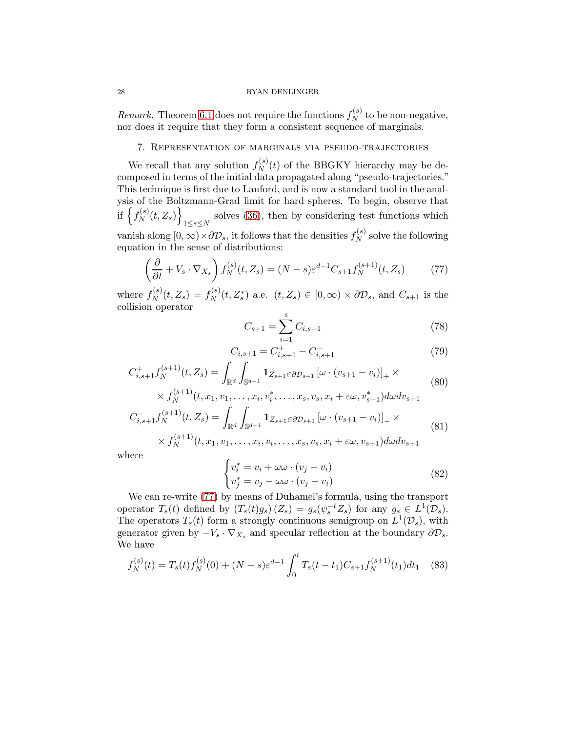<span id="page-27-0"></span>Remark. Theorem [6.1](#page-26-0) does not require the functions  $f_N^{(s)}$  $N^{(s)}$  to be non-negative, nor does it require that they form a consistent sequence of marginals.

# 7. Representation of marginals via pseudo-trajectories

We recall that any solution  $f_N^{(s)}$  $N^{(s)}(t)$  of the BBGKY hierarchy may be decomposed in terms of the initial data propagated along "pseudo-trajectories." This technique is first due to Lanford, and is now a standard tool in the analysis of the Boltzmann-Grad limit for hard spheres. To begin, observe that if  $\left\{f_N^{(s)}\right\}$  $\left.\sum\limits_{N}^{(s)}(t,Z_s)\right\}$  $1\leq s\leq N$ solves [\(36\)](#page-16-0), then by considering test functions which vanish along  $[0, \infty) \times \partial \mathcal{D}_s$ , it follows that the densities  $f_N^{(s)}$  $\mathcal{N}^{(s)}$  solve the following equation in the sense of distributions:

<span id="page-27-1"></span>
$$
\left(\frac{\partial}{\partial t} + V_s \cdot \nabla_{X_s}\right) f_N^{(s)}(t, Z_s) = (N - s) \varepsilon^{d-1} C_{s+1} f_N^{(s+1)}(t, Z_s) \tag{77}
$$

where  $f_N^{(s)}$  $f_N^{(s)}(t, Z_s) = f_N^{(s)}$  $\mathcal{D}_{N}^{(s)}(t, Z_{s}^{*})$  a.e.  $(t, Z_{s}) \in [0, \infty) \times \partial \mathcal{D}_{s}$ , and  $C_{s+1}$  is the collision operator

$$
C_{s+1} = \sum_{i=1}^{s} C_{i,s+1}
$$
 (78)

$$
C_{i,s+1} = C_{i,s+1}^+ - C_{i,s+1}^- \tag{79}
$$

$$
C_{i,s+1}^{+} f_{N}^{(s+1)}(t, Z_s) = \int_{\mathbb{R}^d} \int_{\mathbb{S}^{d-1}} \mathbf{1}_{Z_{s+1} \in \partial \mathcal{D}_{s+1}} \left[ \omega \cdot (v_{s+1} - v_i) \right]_+ \times
$$
\n
$$
\times f^{(s+1)}(t, z, w) = \omega^{*} \left[ \omega^{*} \left( \omega^{*} \right) \left( \omega^{*} \right) \right]_{\mathbb{S}^{d-1}} \tag{80}
$$

$$
\times f_N^{(s+1)}(t, x_1, v_1, \dots, x_i, v_i^*, \dots, x_s, v_s, x_i + \varepsilon \omega, v_{s+1}^*) d\omega dv_{s+1}
$$
  

$$
f_N^{(s+1)}(t, Z_s) = \int \int \mathbf{1}_{Z_{s+1} \in \partial \mathcal{D}_{s+1}} [\omega \cdot (v_{s+1} - v_i)]_+ \times
$$

$$
C_{i,s+1}^{-}f_{N}^{(s+1)}(t, Z_{s}) = \int_{\mathbb{R}^{d}} \int_{\mathbb{S}^{d-1}} \mathbf{1}_{Z_{s+1} \in \partial \mathcal{D}_{s+1}} \left[ \omega \cdot (v_{s+1} - v_{i}) \right]_{-\times} \times
$$
\n
$$
\times f^{(s+1)}(t, x_{1}, y_{1}, \dots, x_{n}, y_{n}, x_{n} + \varepsilon \omega, y_{n}, y_{n}) d\omega dy_{n} \tag{81}
$$

 $\times f_N^{(s+1)}$  $\sum_{N}^{(s+1)}(t, x_1, v_1, \ldots, x_i, v_i, \ldots, x_s, v_s, x_i + \varepsilon \omega, v_{s+1}) d\omega dv_{s+1}$ 

where

$$
\begin{cases}\nv_i^* = v_i + \omega \omega \cdot (v_j - v_i) \\
v_j^* = v_j - \omega \omega \cdot (v_j - v_i)\n\end{cases} \tag{82}
$$

We can re-write [\(77\)](#page-27-1) by means of Duhamel's formula, using the transport operator  $T_s(t)$  defined by  $(T_s(t)g_s)(Z_s) = g_s(\psi_s^{-t}Z_s)$  for any  $g_s \in L^1(\mathcal{D}_s)$ . The operators  $T_s(t)$  form a strongly continuous semigroup on  $L^1(\mathcal{D}_s)$ , with generator given by  $-V_s \cdot \nabla_{X_s}$  and specular reflection at the boundary  $\partial \mathcal{D}_s$ . We have

$$
f_N^{(s)}(t) = T_s(t)f_N^{(s)}(0) + (N - s)\varepsilon^{d-1} \int_0^t T_s(t - t_1)C_{s+1}f_N^{(s+1)}(t_1)dt_1 \quad (83)
$$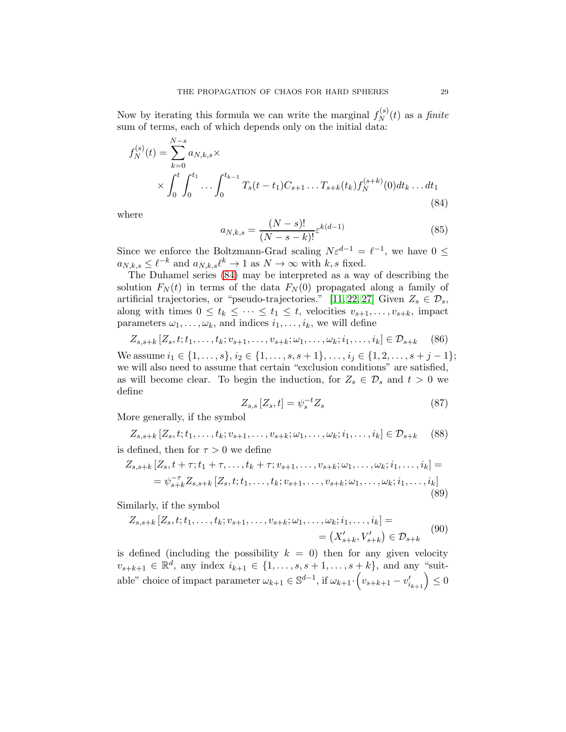Now by iterating this formula we can write the marginal  $f_N^{(s)}$  $\hat{N}^{(s)}(t)$  as a finite sum of terms, each of which depends only on the initial data:

<span id="page-28-0"></span>
$$
f_N^{(s)}(t) = \sum_{k=0}^{N-s} a_{N,k,s} \times \times \int_0^t \int_0^{t_1} \dots \int_0^{t_{k-1}} T_s(t-t_1) C_{s+1} \dots T_{s+k}(t_k) f_N^{(s+k)}(0) dt_k \dots dt_1
$$
\n(84)

where

$$
a_{N,k,s} = \frac{(N-s)!}{(N-s-k)!} \varepsilon^{k(d-1)}
$$
(85)

Since we enforce the Boltzmann-Grad scaling  $N\varepsilon^{d-1} = \ell^{-1}$ , we have  $0 \leq$  $a_{N,k,s} \leq \ell^{-k}$  and  $a_{N,k,s} \ell^k \to 1$  as  $N \to \infty$  with  $k, s$  fixed.

The Duhamel series [\(84\)](#page-28-0) may be interpreted as a way of describing the solution  $F_N(t)$  in terms of the data  $F_N(0)$  propagated along a family of artificial trajectories, or "pseudo-trajectories." [\[11,](#page-67-2) [22,](#page-67-1) [27\]](#page-67-16) Given  $Z_s \in \mathcal{D}_s$ , along with times  $0 \le t_k \le \cdots \le t_1 \le t$ , velocities  $v_{s+1}, \ldots, v_{s+k}$ , impact parameters  $\omega_1, \ldots, \omega_k$ , and indices  $i_1, \ldots, i_k$ , we will define

$$
Z_{s,s+k}\left[Z_s,t;t_1,\ldots,t_k;v_{s+1},\ldots,v_{s+k};\omega_1,\ldots,\omega_k;i_1,\ldots,i_k\right]\in\mathcal{D}_{s+k}\quad(86)
$$

We assume  $i_1 \in \{1, \ldots, s\}, i_2 \in \{1, \ldots, s, s+1\}, \ldots, i_j \in \{1, 2, \ldots, s+j-1\};$ we will also need to assume that certain "exclusion conditions" are satisfied, as will become clear. To begin the induction, for  $Z_s \in \mathcal{D}_s$  and  $t > 0$  we define

$$
Z_{s,s}\left[Z_s,t\right] = \psi_s^{-t} Z_s \tag{87}
$$

More generally, if the symbol

 $Z_{s,s+k}$   $[Z_s, t; t_1, \ldots, t_k; v_{s+1}, \ldots, v_{s+k}; \omega_1, \ldots, \omega_k; i_1, \ldots, i_k] \in \mathcal{D}_{s+k}$  (88)

is defined, then for 
$$
\tau > 0
$$
 we define

$$
Z_{s,s+k} [Z_s, t + \tau; t_1 + \tau, \dots, t_k + \tau; v_{s+1}, \dots, v_{s+k}; \omega_1, \dots, \omega_k; i_1, \dots, i_k] =
$$
  
=  $\psi_{s+k}^{-\tau} Z_{s,s+k} [Z_s, t; t_1, \dots, t_k; v_{s+1}, \dots, v_{s+k}; \omega_1, \dots, \omega_k; i_1, \dots, i_k]$   
(89)

Similarly, if the symbol

$$
Z_{s,s+k}[Z_s,t;t_1,\ldots,t_k;v_{s+1},\ldots,v_{s+k};\omega_1,\ldots,\omega_k;i_1,\ldots,i_k] =
$$
  
=  $(X'_{s+k},V'_{s+k}) \in \mathcal{D}_{s+k}$  (90)

is defined (including the possibility  $k = 0$ ) then for any given velocity  $v_{s+k+1} \in \mathbb{R}^d$ , any index  $i_{k+1} \in \{1, \ldots, s, s+1, \ldots, s+k\}$ , and any "suitable" choice of impact parameter  $\omega_{k+1} \in \mathbb{S}^{d-1}$ , if  $\omega_{k+1} \cdot \left(v_{s+k+1} - v'_{i_{k+1}}\right) \leq 0$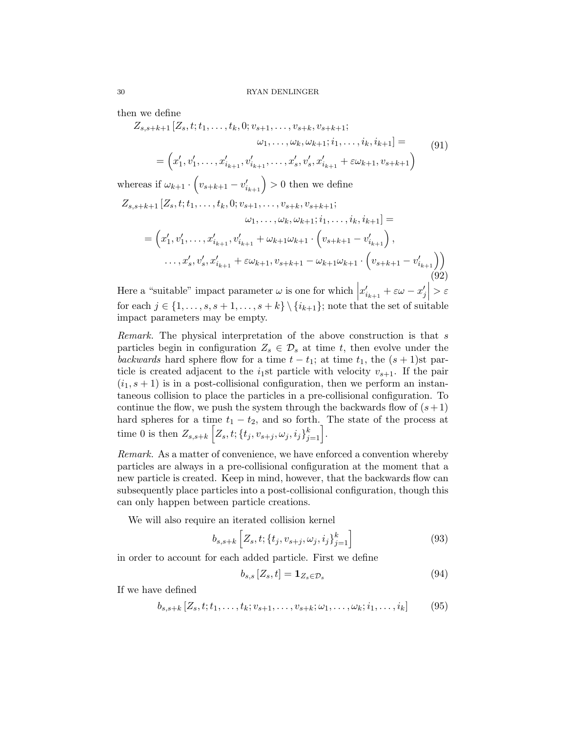then we define

 $Z_{s,s+k+1}$   $[Z_s,t;t_1,\ldots,t_k,0; v_{s+1},\ldots,v_{s+k},v_{s+k+1};$  $\omega_1, \ldots, \omega_k, \omega_{k+1}; i_1, \ldots, i_k, i_{k+1}$ ] =  $=\left(x'_{1},v'_{1},\ldots,x'_{i_{k+1}},v'_{i_{k+1}},\ldots,x'_{s},v'_{s},x'_{i_{k+1}}+\varepsilon\omega_{k+1},v_{s+k+1}\right)$ (91) whereas if  $\omega_{k+1} \cdot \left( v_{s+k+1} - v'_{i_{k+1}} \right) > 0$  then we define  $Z_{s,s+k+1}$   $[Z_s,t;t_1,\ldots,t_k,0; v_{s+1},\ldots,v_{s+k},v_{s+k+1};$  $\omega_1, \ldots, \omega_k, \omega_{k+1}; i_1, \ldots, i_k, i_{k+1}$  $=\left(x'_1,v'_1,\ldots,x'_{i_{k+1}},v'_{i_{k+1}}+\omega_{k+1}\omega_{k+1}\cdot\left(v_{s+k+1}-v'_{i_{k+1}}\right),\right.$  $\ldots, x'_s, v'_s, x'_{i_{k+1}} + \varepsilon \omega_{k+1}, v_{s+k+1} - \omega_{k+1} \omega_{k+1} \cdot \Big( v_{s+k+1} - v'_{i_{k+1}} \Big) \Big)$ (92)

Here a "suitable" impact parameter  $\omega$  is one for which  $x'_{i_{k+1}} + \varepsilon \omega - x'_j \Big| > \varepsilon$ for each  $j \in \{1, \ldots, s, s+1, \ldots, s+k\} \setminus \{i_{k+1}\}$ ; note that the set of suitable impact parameters may be empty.

Remark. The physical interpretation of the above construction is that s particles begin in configuration  $Z_s \in \mathcal{D}_s$  at time t, then evolve under the backwards hard sphere flow for a time  $t - t_1$ ; at time  $t_1$ , the  $(s + 1)$ st particle is created adjacent to the  $i_1$ st particle with velocity  $v_{s+1}$ . If the pair  $(i_1, s + 1)$  is in a post-collisional configuration, then we perform an instantaneous collision to place the particles in a pre-collisional configuration. To continue the flow, we push the system through the backwards flow of  $(s+1)$ hard spheres for a time  $t_1 - t_2$ , and so forth. The state of the process at time 0 is then  $Z_{s,s+k}$   $Z_{s,t}$ ; { $t_j, v_{s+j}, \omega_j, i_j$ } $_{j=1}^k$ .

Remark. As a matter of convenience, we have enforced a convention whereby particles are always in a pre-collisional configuration at the moment that a new particle is created. Keep in mind, however, that the backwards flow can subsequently place particles into a post-collisional configuration, though this can only happen between particle creations.

We will also require an iterated collision kernel

$$
b_{s,s+k} \left[ Z_s, t; \{ t_j, v_{s+j}, \omega_j, i_j \}_{j=1}^k \right]
$$
 (93)

in order to account for each added particle. First we define

$$
b_{s,s}\left[Z_s,t\right] = \mathbf{1}_{Z_s \in \mathcal{D}_s} \tag{94}
$$

If we have defined

$$
b_{s,s+k} [Z_s, t; t_1, \dots, t_k; v_{s+1}, \dots, v_{s+k}; \omega_1, \dots, \omega_k; i_1, \dots, i_k]
$$
(95)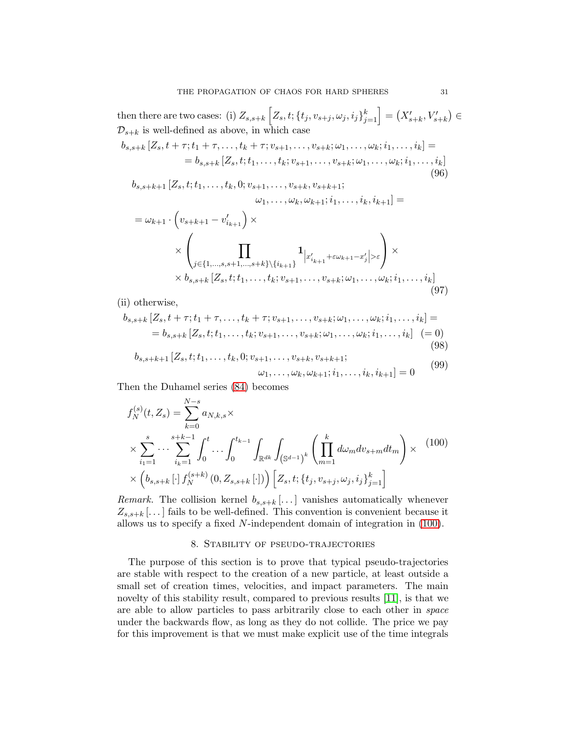then there are two cases: (i)  $Z_{s,s+k}\left[Z_s,t;\{t_j,v_{s+j},\omega_j,i_j\}_{j=1}^k\right]=\left(X'_{s+k},V'_{s+k}\right)\in$  $\mathcal{D}_{s+k}$  is well-defined as above, in which case

$$
b_{s,s+k} [Z_s, t + \tau; t_1 + \tau, \dots, t_k + \tau; v_{s+1}, \dots, v_{s+k}; \omega_1, \dots, \omega_k; i_1, \dots, i_k] =
$$
  
= 
$$
b_{s,s+k} [Z_s, t; t_1, \dots, t_k; v_{s+1}, \dots, v_{s+k}; \omega_1, \dots, \omega_k; i_1, \dots, i_k]
$$
  
(96)

$$
b_{s,s+k+1} [Z_s, t; t_1, \dots, t_k, 0; v_{s+1}, \dots, v_{s+k}, v_{s+k+1};
$$
  
\n
$$
\omega_1, \dots, \omega_k, \omega_{k+1}; i_1, \dots, i_k, i_{k+1}] =
$$
  
\n
$$
= \omega_{k+1} \cdot \left( v_{s+k+1} - v'_{i_{k+1}} \right) \times
$$
  
\n
$$
\times \left( \prod_{i \in \{1, \dots, s, s+1, \dots, s+k\}\setminus \{i_{k+1}\}} 1_{\left| x'_{i_{k+1}} + \epsilon \omega_{k+1} - x'_j \right| > \epsilon} \right) \times
$$

$$
\left\{ \sum_{j \in \{1, \ldots, s, s+1, \ldots, s+k\} \setminus \{i_{k+1}\}} |x_{i_{k+1}} + \sum_{j \in S} \right\}
$$
\n
$$
\times b_{s, s+k} [Z_s, t; t_1, \ldots, t_k; v_{s+1}, \ldots, v_{s+k}; \omega_1, \ldots, \omega_k; i_1, \ldots, i_k]
$$
\n(97)

(ii) otherwise,

$$
b_{s,s+k} [Z_s, t + \tau; t_1 + \tau, \dots, t_k + \tau; v_{s+1}, \dots, v_{s+k}; \omega_1, \dots, \omega_k; i_1, \dots, i_k] =
$$
  
\n
$$
= b_{s,s+k} [Z_s, t; t_1, \dots, t_k; v_{s+1}, \dots, v_{s+k}; \omega_1, \dots, \omega_k; i_1, \dots, i_k] \quad (= 0)
$$
  
\n
$$
b_{s,s+k+1} [Z_s, t; t_1, \dots, t_k, 0; v_{s+1}, \dots, v_{s+k}, v_{s+k+1};
$$
  
\n
$$
\omega_1, \dots, \omega_k, \omega_{k+1}; i_1, \dots, i_k, i_{k+1}] = 0
$$
  
\n(99)

Then the Duhamel series [\(84\)](#page-28-0) becomes

<span id="page-30-1"></span>
$$
f_N^{(s)}(t, Z_s) = \sum_{k=0}^{N-s} a_{N,k,s} \times \times \sum_{i_1=1}^{s+k-1} \int_0^t \dots \int_0^{t_{k-1}} \int_{\mathbb{R}^{dk}} \int_{(\mathbb{S}^{d-1})^k} \left( \prod_{m=1}^k d\omega_m dv_{s+m} dt_m \right) \times (100) \times \left( b_{s,s+k} \left[ \cdot \right] f_N^{(s+k)}(0, Z_{s,s+k} \left[ \cdot \right]) \right) \left[ Z_s, t; \{ t_j, v_{s+j}, \omega_j, i_j \}_{j=1}^k \right]
$$

*Remark.* The collision kernel  $b_{s,s+k}$ [...] vanishes automatically whenever  $Z_{s,s+k}$ ... ] fails to be well-defined. This convention is convenient because it allows us to specify a fixed N-independent domain of integration in [\(100\)](#page-30-1).

# 8. Stability of pseudo-trajectories

<span id="page-30-0"></span>The purpose of this section is to prove that typical pseudo-trajectories are stable with respect to the creation of a new particle, at least outside a small set of creation times, velocities, and impact parameters. The main novelty of this stability result, compared to previous results [\[11\]](#page-67-2), is that we are able to allow particles to pass arbitrarily close to each other in space under the backwards flow, as long as they do not collide. The price we pay for this improvement is that we must make explicit use of the time integrals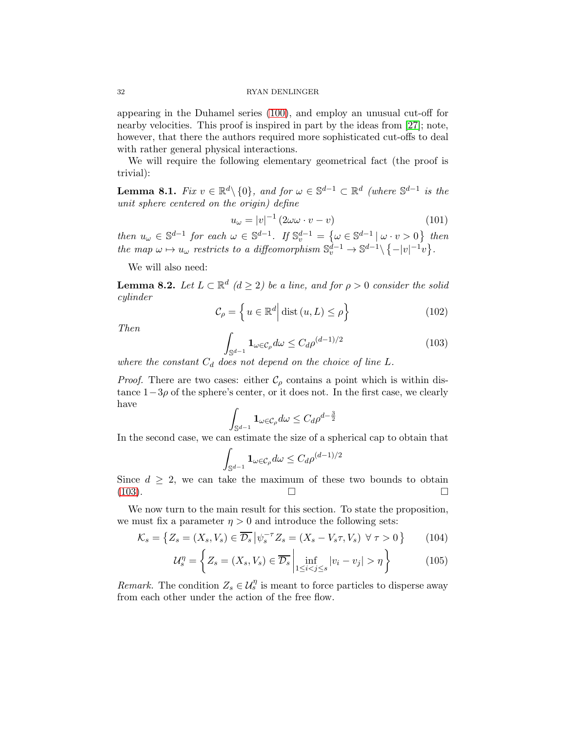appearing in the Duhamel series [\(100\)](#page-30-1), and employ an unusual cut-off for nearby velocities. This proof is inspired in part by the ideas from [\[27\]](#page-67-16); note, however, that there the authors required more sophisticated cut-offs to deal with rather general physical interactions.

We will require the following elementary geometrical fact (the proof is trivial):

<span id="page-31-1"></span>**Lemma 8.1.** Fix  $v \in \mathbb{R}^d \setminus \{0\}$ , and for  $\omega \in \mathbb{S}^{d-1} \subset \mathbb{R}^d$  (where  $\mathbb{S}^{d-1}$  is the unit sphere centered on the origin) define

$$
u_{\omega} = |v|^{-1} (2\omega\omega \cdot v - v) \tag{101}
$$

then  $u_{\omega} \in \mathbb{S}^{d-1}$  for each  $\omega \in \mathbb{S}^{d-1}$ . If  $\mathbb{S}^{d-1}_{v} = \{ \omega \in \mathbb{S}^{d-1} \mid \omega \cdot v > 0 \}$  then the map  $\omega \mapsto u_{\omega}$  restricts to a diffeomorphism  $\mathbb{S}_{v}^{d-1} \to \mathbb{S}^{d-1} \setminus \{-|v|^{-1}v\}.$ 

We will also need:

<span id="page-31-2"></span>**Lemma 8.2.** Let  $L \subset \mathbb{R}^d$  ( $d \geq 2$ ) be a line, and for  $\rho > 0$  consider the solid cylinder

$$
\mathcal{C}_{\rho} = \left\{ u \in \mathbb{R}^d \middle| \text{dist}\left(u, L\right) \le \rho \right\} \tag{102}
$$

Then

<span id="page-31-0"></span>
$$
\int_{\mathbb{S}^{d-1}} \mathbf{1}_{\omega \in \mathcal{C}_{\rho}} d\omega \le C_d \rho^{(d-1)/2} \tag{103}
$$

where the constant  $C_d$  does not depend on the choice of line L.

*Proof.* There are two cases: either  $\mathcal{C}_{\rho}$  contains a point which is within distance  $1-3\rho$  of the sphere's center, or it does not. In the first case, we clearly have

$$
\int_{\mathbb{S}^{d-1}}\mathbf{1}_{\omega \in \mathcal{C}_{\rho}}d\omega \leq C_{d}\rho^{d-\frac{3}{2}}
$$

In the second case, we can estimate the size of a spherical cap to obtain that

$$
\int_{\mathbb{S}^{d-1}} \mathbf{1}_{\omega \in \mathcal{C}_{\rho}} d\omega \leq C_d \rho^{(d-1)/2}
$$

Since  $d \geq 2$ , we can take the maximum of these two bounds to obtain (103).  $(103)$ .

We now turn to the main result for this section. To state the proposition, we must fix a parameter  $\eta > 0$  and introduce the following sets:

$$
\mathcal{K}_s = \left\{ Z_s = (X_s, V_s) \in \overline{\mathcal{D}_s} \left| \psi_s^{-\tau} Z_s = (X_s - V_s \tau, V_s) \ \forall \ \tau > 0 \right. \right\} \tag{104}
$$

$$
\mathcal{U}_s^{\eta} = \left\{ Z_s = (X_s, V_s) \in \overline{\mathcal{D}_s} \left| \inf_{1 \le i < j \le s} |v_i - v_j| > \eta \right. \right\} \tag{105}
$$

Remark. The condition  $Z_s \in \mathcal{U}_s^{\eta}$  is meant to force particles to disperse away from each other under the action of the free flow.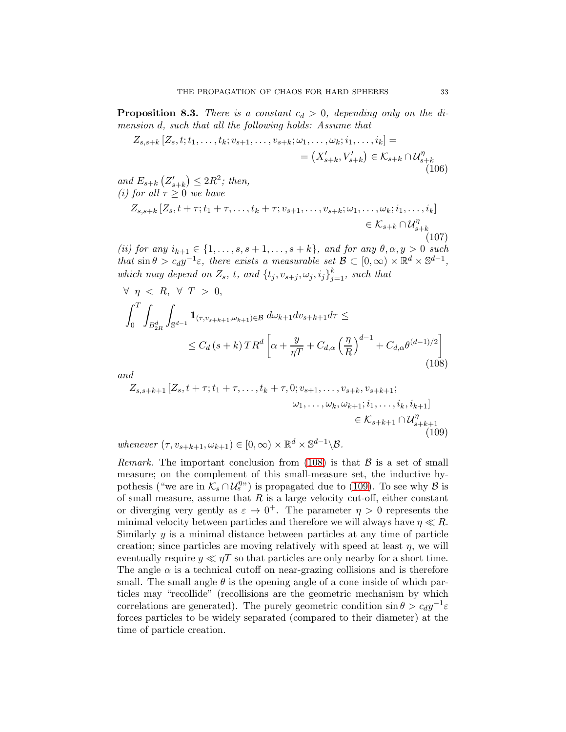<span id="page-32-2"></span>**Proposition 8.3.** There is a constant  $c_d > 0$ , depending only on the dimension d, such that all the following holds: Assume that

$$
Z_{s,s+k}[Z_s, t; t_1, \dots, t_k; v_{s+1}, \dots, v_{s+k}; \omega_1, \dots, \omega_k; i_1, \dots, i_k] =
$$
  
=  $(X'_{s+k}, V'_{s+k}) \in \mathcal{K}_{s+k} \cap \mathcal{U}_{s+k}^{\eta}$   
(106)

and  $E_{s+k}(Z'_{s+k}) \leq 2R^2$ ; then, (i) for all  $\tau \geq 0$  we have

$$
Z_{s,s+k} [Z_s, t+\tau; t_1+\tau, \dots, t_k+\tau; v_{s+1}, \dots, v_{s+k}; \omega_1, \dots, \omega_k; i_1, \dots, i_k]
$$
  

$$
\in \mathcal{K}_{s+k} \cap \mathcal{U}_{s+k}^{\eta}
$$
  
(107)

(ii) for any  $i_{k+1} \in \{1, \ldots, s, s+1, \ldots, s+k\}$ , and for any  $\theta, \alpha, y > 0$  such that  $\sin \theta > c_d y^{-1} \varepsilon$ , there exists a measurable set  $\mathcal{B} \subset [0,\infty) \times \mathbb{R}^d \times \mathbb{S}^{d-1}$ , which may depend on  $Z_s$ , t, and  $\{t_j, v_{s+j}, \omega_j, i_j\}_{j=1}^k$ , such that

<span id="page-32-0"></span>
$$
\forall \ \eta < R, \ \forall \ T > 0,
$$
\n
$$
\int_0^T \int_{B_{2R}^d} \int_{\mathbb{S}^{d-1}} \mathbf{1}_{(\tau, v_{s+k+1}, \omega_{k+1}) \in \mathcal{B}} \ d\omega_{k+1} dv_{s+k+1} d\tau \le
$$
\n
$$
\le C_d \ (s+k) \ T R^d \left[ \alpha + \frac{y}{\eta T} + C_{d,\alpha} \left( \frac{\eta}{R} \right)^{d-1} + C_{d,\alpha} \theta^{(d-1)/2} \right] \tag{108}
$$

and

<span id="page-32-1"></span>
$$
Z_{s,s+k+1}[Z_s, t+\tau; t_1+\tau, \dots, t_k+\tau, 0; v_{s+1}, \dots, v_{s+k}, v_{s+k+1};
$$
  
\n
$$
\omega_1, \dots, \omega_k, \omega_{k+1}; i_1, \dots, i_k, i_{k+1}]
$$
  
\n
$$
\in \mathcal{K}_{s+k+1} \cap \mathcal{U}_{s+k+1}^{\eta}
$$
  
\n
$$
\text{henever } (\tau, v_{s+k+1}, \omega_{k+1}) \in [0, \infty) \times \mathbb{R}^d \times \mathbb{S}^{d-1} \setminus \mathcal{B}
$$
  
\n(109)

whenever  $(\tau, v_{s+k+1}, \omega_{k+1}) \in [0, \infty) \times \mathbb{R}^d \times \mathbb{S}$ <sup>d</sup>−1\B.

*Remark.* The important conclusion from [\(108\)](#page-32-0) is that  $\beta$  is a set of small measure; on the complement of this small-measure set, the inductive hypothesis ("we are in  $\mathcal{K}_s \cap \mathcal{U}_s^{\eta, \eta}$ ) is propagated due to [\(109\)](#page-32-1). To see why  $\mathcal{B}$  is of small measure, assume that  $R$  is a large velocity cut-off, either constant or diverging very gently as  $\varepsilon \to 0^+$ . The parameter  $\eta > 0$  represents the minimal velocity between particles and therefore we will always have  $\eta \ll R$ . Similarly  $y$  is a minimal distance between particles at any time of particle creation; since particles are moving relatively with speed at least  $\eta$ , we will eventually require  $y \ll \eta T$  so that particles are only nearby for a short time. The angle  $\alpha$  is a technical cutoff on near-grazing collisions and is therefore small. The small angle  $\theta$  is the opening angle of a cone inside of which particles may "recollide" (recollisions are the geometric mechanism by which correlations are generated). The purely geometric condition  $\sin \theta > c_d y^{-1} \varepsilon$ forces particles to be widely separated (compared to their diameter) at the time of particle creation.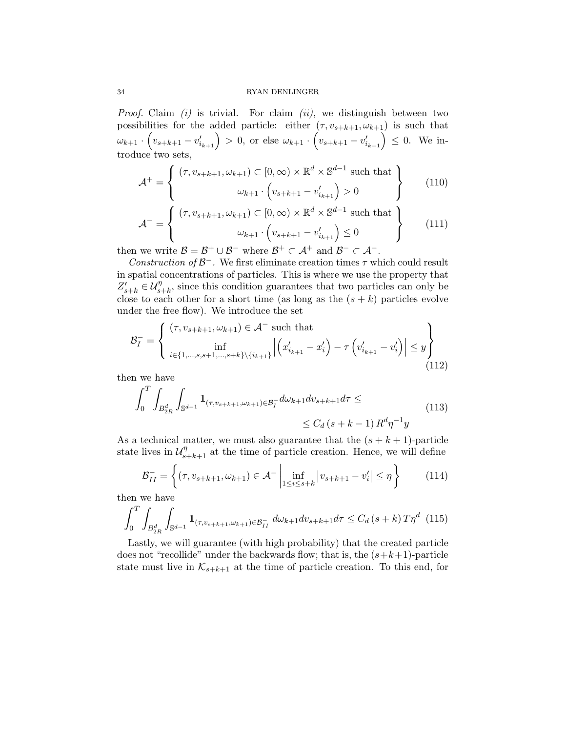*Proof.* Claim  $(i)$  is trivial. For claim  $(ii)$ , we distinguish between two possibilities for the added particle: either  $(\tau, v_{s+k+1}, \omega_{k+1})$  is such that  $\omega_{k+1} \cdot \left( v_{s+k+1} - v'_{i_{k+1}} \right) \, > \, 0, \text{ or else } \omega_{k+1} \cdot \left( v_{s+k+1} - v'_{i_{k+1}} \right) \, \leq \, 0. \text{ We in-}$ troduce two sets,

$$
\mathcal{A}^+ = \left\{ \begin{array}{c} (\tau, v_{s+k+1}, \omega_{k+1}) \subset [0, \infty) \times \mathbb{R}^d \times \mathbb{S}^{d-1} \text{ such that} \\ \omega_{k+1} \cdot \left( v_{s+k+1} - v'_{i_{k+1}} \right) > 0 \end{array} \right\}
$$
(110)

$$
\mathcal{A}^{-} = \left\{ \begin{array}{c} (\tau, v_{s+k+1}, \omega_{k+1}) \subset [0, \infty) \times \mathbb{R}^d \times \mathbb{S}^{d-1} \text{ such that} \\ \omega_{k+1} \cdot \left( v_{s+k+1} - v'_{i_{k+1}} \right) \leq 0 \end{array} \right\}
$$
(111)

then we write  $\mathcal{B} = \mathcal{B}^+ \cup \mathcal{B}^-$  where  $\mathcal{B}^+ \subset \mathcal{A}^+$  and  $\mathcal{B}^- \subset \mathcal{A}^-$ .

Construction of  $\beta^-$ . We first eliminate creation times  $\tau$  which could result in spatial concentrations of particles. This is where we use the property that  $Z'_{s+k} \in \mathcal{U}_{s+k}^{\eta}$ , since this condition guarantees that two particles can only be close to each other for a short time (as long as the  $(s + k)$  particles evolve under the free flow). We introduce the set

$$
\mathcal{B}_I^- = \left\{ \begin{array}{l} (\tau, v_{s+k+1}, \omega_{k+1}) \in \mathcal{A}^- \text{ such that} \\ \inf_{i \in \{1, \dots, s, s+1, \dots, s+k\} \setminus \{i_{k+1}\}} \left| \left( x'_{i_{k+1}} - x'_i \right) - \tau \left( v'_{i_{k+1}} - v'_i \right) \right| \le y \end{array} \right\} \tag{112}
$$

then we have

$$
\int_{0}^{T} \int_{B_{2R}^{d}} \int_{\mathbb{S}^{d-1}} \mathbf{1}_{(\tau, v_{s+k+1}, \omega_{k+1}) \in \mathcal{B}_{I}^{-}} d\omega_{k+1} dv_{s+k+1} d\tau \leq
$$
\n
$$
\leq C_{d} (s+k-1) R^{d} \eta^{-1} y
$$
\n(113)

As a technical matter, we must also guarantee that the  $(s + k + 1)$ -particle state lives in  $\mathcal{U}_{s+k+1}^{\eta}$  at the time of particle creation. Hence, we will define

$$
\mathcal{B}_{II}^{-} = \left\{ (\tau, v_{s+k+1}, \omega_{k+1}) \in \mathcal{A}^{-} \, \middle| \, \inf_{1 \le i \le s+k} |v_{s+k+1} - v'_{i}| \le \eta \right\} \tag{114}
$$

then we have

$$
\int_{0}^{T} \int_{B_{2R}^{d}} \int_{\mathbb{S}^{d-1}} \mathbf{1}_{(\tau, v_{s+k+1}, \omega_{k+1}) \in \mathcal{B}_{II}^{-}} d\omega_{k+1} dv_{s+k+1} d\tau \leq C_{d} \left(s+k\right) T \eta^{d} \tag{115}
$$

Lastly, we will guarantee (with high probability) that the created particle does not "recollide" under the backwards flow; that is, the  $(s+k+1)$ -particle state must live in  $\mathcal{K}_{s+k+1}$  at the time of particle creation. To this end, for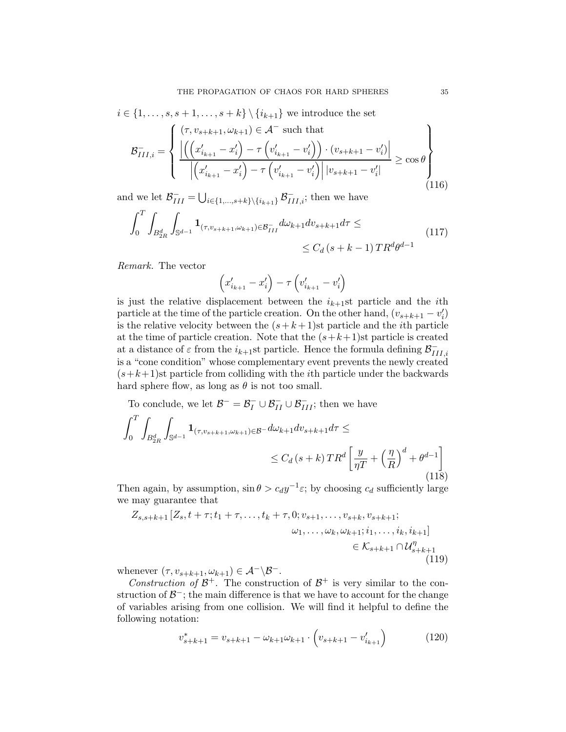$$
i \in \{1, \ldots, s, s+1, \ldots, s+k\} \setminus \{i_{k+1}\}\
$$
 we introduce the set

$$
\mathcal{B}_{III,i}^{-} = \left\{ \frac{\left| \left( \left( x'_{i_{k+1}} - x'_{i} \right) - \tau \left( v'_{i_{k+1}} - v'_{i} \right) \right) \cdot \left( v_{s+k+1} - v'_{i} \right) \right|}{\left| \left( x'_{i_{k+1}} - x'_{i} \right) - \tau \left( v'_{i_{k+1}} - v'_{i} \right) \right| \left| v_{s+k+1} - v'_{i} \right|} \right\} \ge \cos \theta \right\}
$$
\n(116)

and we let  $\mathcal{B}_{III}^- = \bigcup_{i \in \{1, ..., s+k\} \setminus \{i_{k+1}\}} \mathcal{B}_{III,i}^-$ ; then we have

$$
\int_{0}^{T} \int_{B_{2R}^{d}} \int_{\mathbb{S}^{d-1}} \mathbf{1}_{(\tau, v_{s+k+1}, \omega_{k+1}) \in \mathcal{B}_{III}^{-}} d\omega_{k+1} dv_{s+k+1} d\tau \leq
$$
\n
$$
\leq C_{d} (s+k-1) TR^{d} \theta^{d-1}
$$
\n(117)

Remark. The vector

$$
\left(x'_{i_{k+1}}-x'_i\right)-\tau\left(v'_{i_{k+1}}-v'_i\right)
$$

is just the relative displacement between the  $i_{k+1}$ st particle and the *i*th particle at the time of the particle creation. On the other hand,  $(v_{s+k+1} - v_i')$ is the relative velocity between the  $(s+k+1)$ st particle and the *i*th particle at the time of particle creation. Note that the  $(s+k+1)$ st particle is created at a distance of  $\varepsilon$  from the  $i_{k+1}$ st particle. Hence the formula defining  $\mathcal{B}^-_{III,i}$ is a "cone condition" whose complementary event prevents the newly created  $(s+k+1)$ st particle from colliding with the *i*th particle under the backwards hard sphere flow, as long as  $\theta$  is not too small.

To conclude, we let  $\mathcal{B}^- = \mathcal{B}^-_I \cup \mathcal{B}^-_{II} \cup \mathcal{B}^-_{III}$ ; then we have

$$
\int_{0}^{T} \int_{B_{2R}^{d}} \int_{\mathbb{S}^{d-1}} \mathbf{1}_{(\tau, v_{s+k+1}, \omega_{k+1}) \in \mathcal{B}} - d\omega_{k+1} dv_{s+k+1} d\tau \le
$$
\n
$$
\leq C_{d} (s+k) TR^{d} \left[ \frac{y}{\eta T} + \left( \frac{\eta}{R} \right)^{d} + \theta^{d-1} \right]
$$
\n(118)

Then again, by assumption,  $\sin \theta > c_d y^{-1} \varepsilon$ ; by choosing  $c_d$  sufficiently large we may guarantee that

$$
Z_{s,s+k+1}[Z_s, t + \tau; t_1 + \tau, \dots, t_k + \tau, 0; v_{s+1}, \dots, v_{s+k}, v_{s+k+1};
$$
  

$$
\omega_1, \dots, \omega_k, \omega_{k+1}; i_1, \dots, i_k, i_{k+1}]
$$

$$
\in \mathcal{K}_{s+k+1} \cap \mathcal{U}_{s+k+1}^{\eta}
$$
  
(119)

whenever  $(\tau, v_{s+k+1}, \omega_{k+1}) \in \mathcal{A}^{-} \backslash \mathcal{B}^{-}$ .

Construction of  $\mathcal{B}^+$ . The construction of  $\mathcal{B}^+$  is very similar to the construction of  $\mathcal{B}^-$ ; the main difference is that we have to account for the change of variables arising from one collision. We will find it helpful to define the following notation:

$$
v_{s+k+1}^* = v_{s+k+1} - \omega_{k+1}\omega_{k+1} \cdot \left(v_{s+k+1} - v'_{i_{k+1}}\right) \tag{120}
$$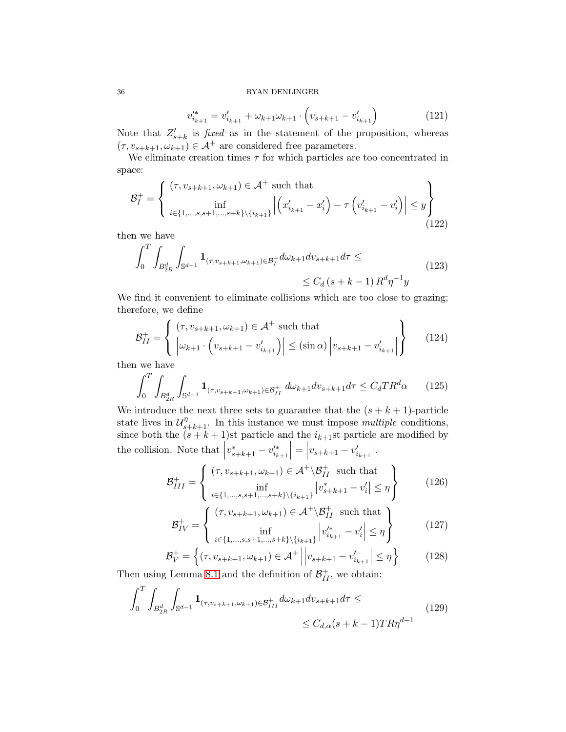$$
v_{i_{k+1}}^{\prime*} = v_{i_{k+1}}^{\prime} + \omega_{k+1} \omega_{k+1} \cdot \left(v_{s+k+1} - v_{i_{k+1}}^{\prime}\right)
$$
 (121)

Note that  $Z'_{s+k}$  is *fixed* as in the statement of the proposition, whereas  $(\tau, v_{s+k+1}, \omega_{k+1}) \in \mathcal{A}^+$  are considered free parameters.

We eliminate creation times  $\tau$  for which particles are too concentrated in space:

$$
\mathcal{B}_{I}^{+} = \left\{ \begin{array}{l} (\tau, v_{s+k+1}, \omega_{k+1}) \in \mathcal{A}^{+} \text{ such that} \\ \inf_{i \in \{1, \dots, s, s+1, \dots, s+k\} \setminus \{i_{k+1}\}} \left| \left( x'_{i_{k+1}} - x'_{i} \right) - \tau \left( v'_{i_{k+1}} - v'_{i} \right) \right| \le y \end{array} \right\}
$$
\n(122)

then we have

$$
\int_{0}^{T} \int_{B_{2R}^{d}} \int_{\mathbb{S}^{d-1}} \mathbf{1}_{(\tau, v_{s+k+1}, \omega_{k+1}) \in \mathcal{B}_{I}^{+}} d\omega_{k+1} dv_{s+k+1} d\tau \leq
$$
\n
$$
\leq C_{d} (s+k-1) R^{d} \eta^{-1} y
$$
\n(123)

We find it convenient to eliminate collisions which are too close to grazing; therefore, we define

$$
\mathcal{B}_{II}^{+} = \left\{ \begin{array}{l} (\tau, v_{s+k+1}, \omega_{k+1}) \in \mathcal{A}^{+} \text{ such that} \\ \left| \omega_{k+1} \cdot \left( v_{s+k+1} - v'_{i_{k+1}} \right) \right| \leq (\sin \alpha) \left| v_{s+k+1} - v'_{i_{k+1}} \right| \end{array} \right\}
$$
(124)

then we have

$$
\int_{0}^{T} \int_{B_{2R}^{d}} \int_{\mathbb{S}^{d-1}} \mathbf{1}_{(\tau, v_{s+k+1}, \omega_{k+1}) \in \mathcal{B}_{II}^{+}} d\omega_{k+1} dv_{s+k+1} d\tau \leq C_{d} T R^{d} \alpha \qquad (125)
$$

We introduce the next three sets to guarantee that the  $(s + k + 1)$ -particle state lives in  $\mathcal{U}_{s+k+1}^{\eta}$ . In this instance we must impose *multiple* conditions, since both the  $(s + k + 1)$ st particle and the  $i_{k+1}$ st particle are modified by the collision. Note that  $\Big|$  $v_{s+k+1}^* - v_{i_{k+1}}'^* = |v_{s+k+1} - v_{i_{k+1}}'|.$ 

$$
\mathcal{B}_{III}^{+} = \begin{cases}\n(\tau, v_{s+k+1}, \omega_{k+1}) \in \mathcal{A}^{+} \setminus \mathcal{B}_{II}^{+} \text{ such that} \\
\inf_{i \in \{1, \dots, s, s+1, \dots, s+k\} \setminus \{i_{k+1}\}} |v_{s+k+1}^{*} - v_{i}'| \leq \eta \\
\text{at } \mathcal{B}_{II}^{+} = \begin{cases}\n(\tau, v_{s+k+1}, \omega_{k+1}) \in \mathcal{A}^{+} \setminus \mathcal{B}_{II}^{+} \text{ such that} \\
\vdots\n\end{cases}
$$
\n(126)

$$
\mathcal{B}_{IV}^{+} = \left\{ \inf_{i \in \{1, \dots, s, s+1, \dots, s+k\} \setminus \{i_{k+1}\}} \left| v_{i_{k+1}}^{\prime *} - v_i^{\prime} \right| \leq \eta \right\} \tag{127}
$$

$$
\mathcal{B}_V^+ = \left\{ (\tau, v_{s+k+1}, \omega_{k+1}) \in \mathcal{A}^+ \left| \left| v_{s+k+1} - v'_{i_{k+1}} \right| \le \eta \right. \right\} \tag{128}
$$

Then using Lemma [8.1](#page-31-1) and the definition of  $\mathcal{B}_{II}^+$ , we obtain:

$$
\int_{0}^{T} \int_{B_{2R}^{d}} \int_{\mathbb{S}^{d-1}} \mathbf{1}_{(\tau, v_{s+k+1}, \omega_{k+1}) \in \mathcal{B}_{III}^{+}} d\omega_{k+1} dv_{s+k+1} d\tau \leq
$$
\n
$$
\leq C_{d,\alpha} (s+k-1) T R \eta^{d-1}
$$
\n(129)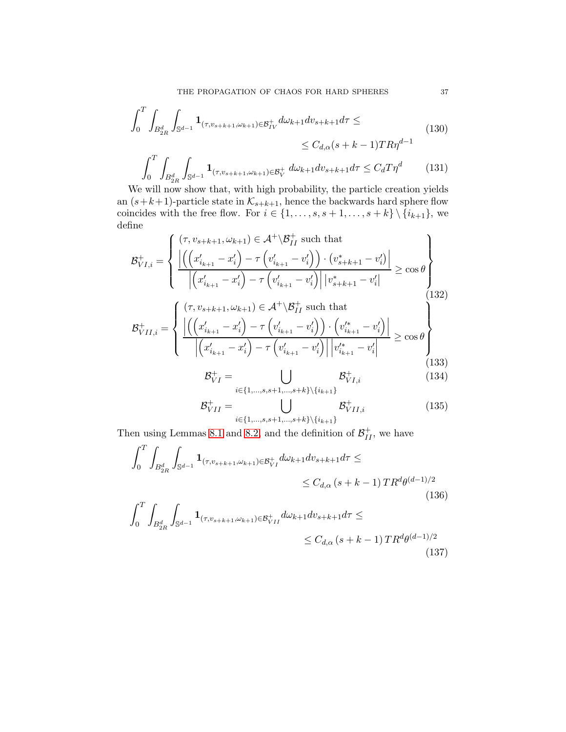$$
\int_{0}^{T} \int_{B_{2R}^{d}} \int_{\mathbb{S}^{d-1}} \mathbf{1}_{(\tau, v_{s+k+1}, \omega_{k+1}) \in \mathcal{B}_{IV}^{+}} d\omega_{k+1} dv_{s+k+1} d\tau \leq
$$
\n
$$
\leq C_{d,\alpha} (s+k-1)TR\eta^{d-1}
$$
\n
$$
\int_{0}^{T} \int_{B_{2R}^{d}} \int_{\mathbb{S}^{d-1}} \mathbf{1}_{(\tau, v_{s+k+1}, \omega_{k+1}) \in \mathcal{B}_{V}^{+}} d\omega_{k+1} dv_{s+k+1} d\tau \leq C_{d} T\eta^{d}
$$
\n(131)

We will now show that, with high probability, the particle creation yields an  $(s+k+1)$ -particle state in  $\mathcal{K}_{s+k+1}$ , hence the backwards hard sphere flow coincides with the free flow. For  $i \in \{1, \ldots, s, s+1, \ldots, s+k\} \setminus \{i_{k+1}\}\$ , we define

$$
\mathcal{B}_{VI,i}^{+} = \left\{ \frac{\left| \left( (\tau, v_{s+k+1}, \omega_{k+1}) \in \mathcal{A}^{+} \backslash \mathcal{B}_{II}^{+} \text{ such that} \right.}{\left| \left( (x'_{i_{k+1}} - x'_{i}) - \tau \left( v'_{i_{k+1}} - v'_{i} \right) \right) \cdot \left( v_{s+k+1}^{*} - v'_{i} \right) \right|}_{\left| v_{s+k+1}^{*} - v'_{i} \right|} \right| \ge \cos \theta \right\}
$$
\n
$$
\left( (\tau, v_{s+1}) \cup \left( v'_{s+1} \right) \in \mathcal{A}^{+} \backslash \mathcal{B}^{+} \text{ such that } \right\}
$$
\n
$$
(132)
$$

$$
\mathcal{B}_{VII,i}^{+} = \left\{ \frac{\left| \left( \left( x'_{i_{k+1}} - x'_{i} \right) - \tau \left( v'_{i_{k+1}} - v'_{i} \right) \right) \cdot \left( v'^*_{i_{k+1}} - v'_{i} \right) \right|}{\left| \left( x'_{i_{k+1}} - x'_{i} \right) - \tau \left( v'_{i_{k+1}} - v'_{i} \right) \right| \left| v'^*_{i_{k+1}} - v'_{i} \right|} \right| \ge \cos \theta \right\}
$$
\n(133)

$$
\mathcal{B}_{VI}^+ = \bigcup_{i \in \{1, \dots, s, s+1, \dots, s+k\} \setminus \{i_{k+1}\}} \mathcal{B}_{VI,i}^+ \tag{134}
$$

$$
\mathcal{B}_{VII}^{+} = \bigcup_{i \in \{1, ..., s, s+1, ..., s+k\} \setminus \{i_{k+1}\}} \mathcal{B}_{VII,i}^{+}
$$
(135)

Then using Lemmas [8.1](#page-31-1) and [8.2,](#page-31-2) and the definition of  $\mathcal{B}_{II}^+$ , we have

$$
\int_{0}^{T} \int_{B_{2R}^{d}} \int_{\mathbb{S}^{d-1}} \mathbf{1}_{(\tau, v_{s+k+1}, \omega_{k+1}) \in \mathcal{B}_{VI}^{+}} d\omega_{k+1} dv_{s+k+1} d\tau \le
$$
\n
$$
\leq C_{d,\alpha} (s+k-1) TR^{d} \theta^{(d-1)/2}
$$
\n(136)\n
$$
\int_{0}^{T} \int_{B_{2R}^{d}} \int_{\mathbb{S}^{d-1}} \mathbf{1}_{(\tau, v_{s+k+1}, \omega_{k+1}) \in \mathcal{B}_{VII}^{+}} d\omega_{k+1} dv_{s+k+1} d\tau \le
$$
\n
$$
\leq C_{d,\alpha} (s+k-1) TR^{d} \theta^{(d-1)/2}
$$
\n(137)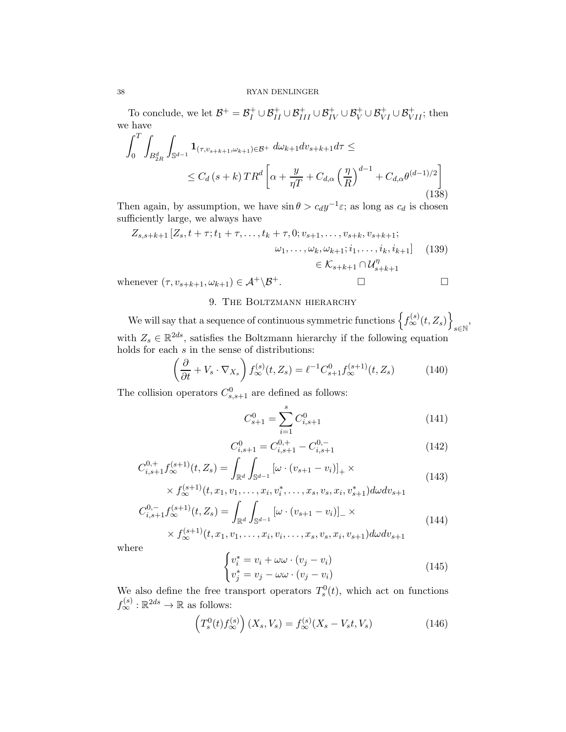To conclude, we let  $\mathcal{B}^+ = \mathcal{B}^+_{I} \cup \mathcal{B}^+_{II} \cup \mathcal{B}^+_{III} \cup \mathcal{B}^+_{IV} \cup \mathcal{B}^+_{VI} \cup \mathcal{B}^+_{VI}$ ; then we have

$$
\int_{0}^{T} \int_{B_{2R}^{d}} \int_{\mathbb{S}^{d-1}} \mathbf{1}_{(\tau, v_{s+k+1}, \omega_{k+1}) \in \mathcal{B}^{+}} d\omega_{k+1} dv_{s+k+1} d\tau \le
$$
\n
$$
\leq C_{d} (s+k) TR^{d} \left[ \alpha + \frac{y}{\eta T} + C_{d,\alpha} \left( \frac{\eta}{R} \right)^{d-1} + C_{d,\alpha} \theta^{(d-1)/2} \right]
$$
\n(138)

Then again, by assumption, we have  $\sin \theta > c_d y^{-1} \epsilon$ ; as long as  $c_d$  is chosen sufficiently large, we always have

$$
Z_{s,s+k+1}[Z_s, t + \tau; t_1 + \tau, \dots, t_k + \tau, 0; v_{s+1}, \dots, v_{s+k}, v_{s+k+1};
$$
  
\n
$$
\omega_1, \dots, \omega_k, \omega_{k+1}; i_1, \dots, i_k, i_{k+1}]
$$
 (139)  
\n
$$
\in \mathcal{K}_{s+k+1} \cap \mathcal{U}_{s+k+1}^{\eta}
$$
  
\nwhenever  $(\tau, v_{s+k+1}, \omega_{k+1}) \in \mathcal{A}^+ \backslash \mathcal{B}^+$ .

# 9. The Boltzmann hierarchy

<span id="page-37-0"></span>We will say that a sequence of continuous symmetric functions  $\left\{f^{(s)}_\infty(t,Z_s)\right\}$ <sup>s</sup>∈<sup>N</sup> , with  $Z_s \in \mathbb{R}^{2ds}$ , satisfies the Boltzmann hierarchy if the following equation holds for each  $s$  in the sense of distributions:

$$
\left(\frac{\partial}{\partial t} + V_s \cdot \nabla_{X_s}\right) f_{\infty}^{(s)}(t, Z_s) = \ell^{-1} C_{s+1}^0 f_{\infty}^{(s+1)}(t, Z_s)
$$
(140)

The collision operators  $C_{s,s+1}^0$  are defined as follows:

$$
C_{s+1}^0 = \sum_{i=1}^s C_{i,s+1}^0
$$
 (141)

$$
C_{i,s+1}^0 = C_{i,s+1}^{0,+} - C_{i,s+1}^{0,-}
$$
\n(142)

$$
C_{i,s+1}^{0,+}f_{\infty}^{(s+1)}(t,Z_s) = \int_{\mathbb{R}^d} \int_{\mathbb{S}^{d-1}} \left[ \omega \cdot (v_{s+1} - v_i) \right]_+ \times
$$
\n
$$
c_{i,s+1}^{(s+1)}(t,Z_s) = \int_{\mathbb{R}^d} \int_{\mathbb{S}^{d-1}} \left[ \omega \cdot (v_{s+1} - v_i) \right]_+ \times \left[ \omega \cdot (v_{s+1} - v_i) \right]_+ \times \left[ \omega \cdot (v_{s+1} - v_i) \right]_+ \times \left[ \omega \cdot (v_{s+1} - v_i) \right]_+ \times \left[ \omega \cdot (v_{s+1} - v_i) \right]_+ \times \left[ \omega \cdot (v_{s+1} - v_i) \right]_+ \times \left[ \omega \cdot (v_{s+1} - v_i) \right]_+ \times \left[ \omega \cdot (v_{s+1} - v_i) \right]_+ \times \left[ \omega \cdot (v_{s+1} - v_i) \right]_+ \times \left[ \omega \cdot (v_{s+1} - v_i) \right]_+ \times \left[ \omega \cdot (v_{s+1} - v_i) \right]_+ \times \left[ \omega \cdot (v_{s+1} - v_i) \right]_+ \times \left[ \omega \cdot (v_{s+1} - v_i) \right]_+ \times \left[ \omega \cdot (v_{s+1} - v_i) \right]_+ \times \left[ \omega \cdot (v_{s+1} - v_i) \right]_+ \times \left[ \omega \cdot (v_{s+1} - v_i) \right]_+ \times \left[ \omega \cdot (v_{s+1} - v_i) \right]_+ \times \left[ \omega \cdot (v_{s+1} - v_i) \right]_+ \times \left[ \omega \cdot (v_{s+1} - v_i) \right]_+ \times \left[ \omega \cdot (v_{s+1} - v_i) \right]_+ \times \left[ \omega \cdot (v_{s+1} - v_i) \right]_+ \times \left[ \omega \cdot (v_{s+1} - v_i) \right]_+ \times \left[ \omega \cdot (v_{s+1} - v_i) \right]_+ \times \left[ \omega \cdot (v_{s+1} - v_i) \right]_+ \times \left[ \omega \cdot (v_{s+1} - v_i) \right]_+ \
$$

$$
\times f_{\infty}^{(s+1)}(t, x_1, v_1, \dots, x_i, v_i^*, \dots, x_s, v_s, x_i, v_{s+1}^*) d\omega dv_{s+1}
$$
  
\n
$$
C_{i,s+1}^{0,-} f_{\infty}^{(s+1)}(t, Z_s) = \int_{\mathbb{R}^d} \int_{\mathbb{S}^{d-1}} \left[ \omega \cdot (v_{s+1} - v_i) \right]_{-\times} \times f_{\infty}^{(s+1)}(t, x_1, v_1, \dots, x_i, v_i, \dots, x_s, v_s, x_i, v_{s+1}) d\omega dv_{s+1}
$$
\n(144)

where

$$
\begin{cases}\nv_i^* = v_i + \omega \omega \cdot (v_j - v_i) \\
v_j^* = v_j - \omega \omega \cdot (v_j - v_i)\n\end{cases} \tag{145}
$$

We also define the free transport operators  $T_s^0(t)$ , which act on functions  $f_{\infty}^{(s)} : \mathbb{R}^{2ds} \to \mathbb{R}$  as follows:

$$
\left(T_s^0(t)f_\infty^{(s)}\right)(X_s, V_s) = f_\infty^{(s)}(X_s - V_s t, V_s)
$$
\n(146)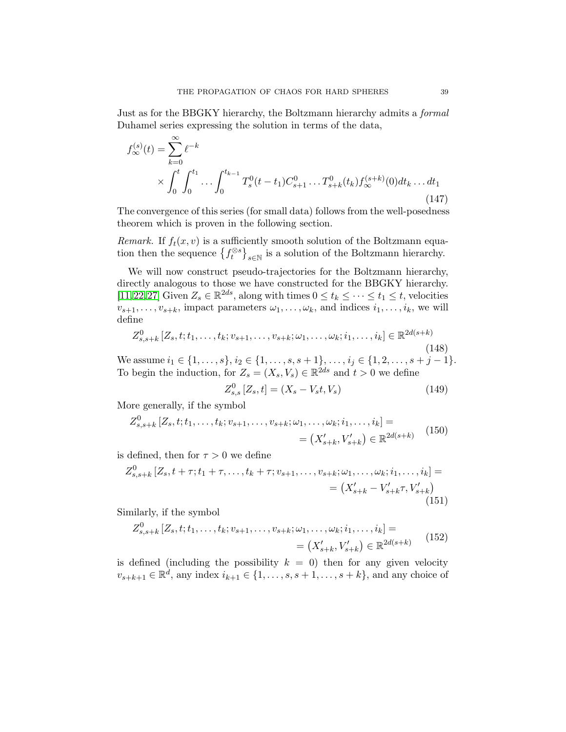Just as for the BBGKY hierarchy, the Boltzmann hierarchy admits a formal Duhamel series expressing the solution in terms of the data,

<span id="page-38-0"></span>
$$
f_{\infty}^{(s)}(t) = \sum_{k=0}^{\infty} \ell^{-k}
$$
  
 
$$
\times \int_{0}^{t} \int_{0}^{t_1} \dots \int_{0}^{t_{k-1}} T_s^0(t - t_1) C_{s+1}^0 \dots T_{s+k}^0(t_k) f_{\infty}^{(s+k)}(0) dt_k \dots dt_1
$$
(147)

The convergence of this series (for small data) follows from the well-posedness theorem which is proven in the following section.

*Remark.* If  $f_t(x, v)$  is a sufficiently smooth solution of the Boltzmann equation then the sequence  $\{f_t^{\otimes s}\}_{s\in\mathbb{N}}$  is a solution of the Boltzmann hierarchy.

We will now construct pseudo-trajectories for the Boltzmann hierarchy, directly analogous to those we have constructed for the BBGKY hierarchy. [\[11,](#page-67-2)[22,](#page-67-1)[27\]](#page-67-16) Given  $Z_s \in \mathbb{R}^{2ds}$ , along with times  $0 \le t_k \le \cdots \le t_1 \le t$ , velocities  $v_{s+1}, \ldots, v_{s+k}$ , impact parameters  $\omega_1, \ldots, \omega_k$ , and indices  $i_1, \ldots, i_k$ , we will define

$$
Z_{s,s+k}^{0}[Z_s, t; t_1, \dots, t_k; v_{s+1}, \dots, v_{s+k}; \omega_1, \dots, \omega_k; i_1, \dots, i_k] \in \mathbb{R}^{2d(s+k)}
$$
\n
$$
\tag{148}
$$

We assume  $i_1 \in \{1, \ldots, s\}, i_2 \in \{1, \ldots, s, s+1\}, \ldots, i_j \in \{1, 2, \ldots, s+j-1\}.$ To begin the induction, for  $Z_s = (X_s, V_s) \in \mathbb{R}^{2ds}$  and  $t > 0$  we define

$$
Z_{s,s}^{0}[Z_s, t] = (X_s - V_s t, V_s)
$$
\n(149)

More generally, if the symbol

$$
Z_{s,s+k}^{0}[Z_s, t; t_1, \dots, t_k; v_{s+1}, \dots, v_{s+k}; \omega_1, \dots, \omega_k; i_1, \dots, i_k] =
$$
  
=  $(X'_{s+k}, V'_{s+k}) \in \mathbb{R}^{2d(s+k)}$  (150)

is defined, then for  $\tau > 0$  we define

$$
Z_{s,s+k}^{0}[Z_s, t + \tau; t_1 + \tau, \dots, t_k + \tau; v_{s+1}, \dots, v_{s+k}; \omega_1, \dots, \omega_k; i_1, \dots, i_k] =
$$
  
=  $(X'_{s+k} - V'_{s+k}\tau, V'_{s+k})$   
(151)

Similarly, if the symbol

$$
Z_{s,s+k}^{0}[Z_s,t;t_1,\ldots,t_k;v_{s+1},\ldots,v_{s+k};\omega_1,\ldots,\omega_k;i_1,\ldots,i_k] =
$$
  
=  $(X'_{s+k},V'_{s+k}) \in \mathbb{R}^{2d(s+k)}$  (152)

is defined (including the possibility  $k = 0$ ) then for any given velocity  $v_{s+k+1} \in \mathbb{R}^d$ , any index  $i_{k+1} \in \{1, ..., s, s + 1, ..., s + k\}$ , and any choice of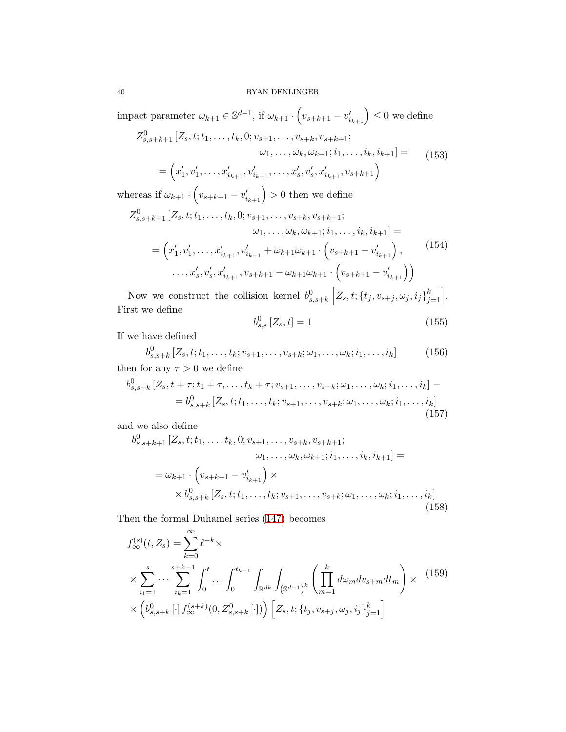impact parameter  $\omega_{k+1} \in \mathbb{S}^{d-1}$ , if  $\omega_{k+1} \cdot \left(v_{s+k+1} - v'_{i_{k+1}}\right) \leq 0$  we define

$$
Z_{s,s+k+1}^{0}[Z_s, t; t_1, \dots, t_k, 0; v_{s+1}, \dots, v_{s+k}, v_{s+k+1};
$$
  

$$
\omega_1, \dots, \omega_k, \omega_{k+1}; i_1, \dots, i_k, i_{k+1}] =
$$
  

$$
= (x'_1, v'_1, \dots, x'_{i_{k+1}}, v'_{i_{k+1}}, \dots, x'_s, v'_s, x'_{i_{k+1}}, v_{s+k+1})
$$
 (153)

whereas if  $\omega_{k+1} \cdot \left( v_{s+k+1} - v'_{i_{k+1}} \right) > 0$  then we define

$$
Z_{s,s+k+1}^{0}[Z_s,t;t_1,\ldots,t_k,0;v_{s+1},\ldots,v_{s+k},v_{s+k+1};
$$
  
\n
$$
\omega_1,\ldots,\omega_k,\omega_{k+1};i_1,\ldots,i_k,i_{k+1}] =
$$
  
\n
$$
= \left(x'_1,v'_1,\ldots,x'_{i_{k+1}},v'_{i_{k+1}}+\omega_{k+1}\omega_{k+1}\cdot\left(v_{s+k+1}-v'_{i_{k+1}}\right),\right)
$$
  
\n
$$
\ldots,x'_s,v'_s,x'_{i_{k+1}},v_{s+k+1}-\omega_{k+1}\omega_{k+1}\cdot\left(v_{s+k+1}-v'_{i_{k+1}}\right)\right)
$$
  
\n(154)

Now we construct the collision kernel  $b_{s,s+k}^0\left[Z_s,t;\{t_j,v_{s+j},\omega_j,i_j\}_{j=1}^k\right]$ . First we define

$$
b_{s,s}^0 \left[ Z_s, t \right] = 1 \tag{155}
$$

If we have defined

$$
b_{s,s+k}^0[Z_s, t; t_1, \dots, t_k; v_{s+1}, \dots, v_{s+k}; \omega_1, \dots, \omega_k; i_1, \dots, i_k]
$$
 (156)

then for any  $\tau > 0$  we define

$$
b_{s,s+k}^{0}[Z_s, t + \tau; t_1 + \tau, \dots, t_k + \tau; v_{s+1}, \dots, v_{s+k}; \omega_1, \dots, \omega_k; i_1, \dots, i_k] =
$$
  
=  $b_{s,s+k}^{0}[Z_s, t; t_1, \dots, t_k; v_{s+1}, \dots, v_{s+k}; \omega_1, \dots, \omega_k; i_1, \dots, i_k]$  (157)

and we also define

$$
b_{s,s+k+1}^{0}[Z_s, t; t_1, \dots, t_k, 0; v_{s+1}, \dots, v_{s+k}, v_{s+k+1};
$$
  
\n
$$
\omega_1, \dots, \omega_k, \omega_{k+1}; i_1, \dots, i_k, i_{k+1}] =
$$
  
\n
$$
= \omega_{k+1} \cdot \left(v_{s+k+1} - v'_{i_{k+1}}\right) \times
$$
  
\n
$$
\times b_{s,s+k}^{0}[Z_s, t; t_1, \dots, t_k; v_{s+1}, \dots, v_{s+k}; \omega_1, \dots, \omega_k; i_1, \dots, i_k]
$$
  
\n(158)

Then the formal Duhamel series [\(147\)](#page-38-0) becomes

$$
f_{\infty}^{(s)}(t, Z_s) = \sum_{k=0}^{\infty} \ell^{-k} \times
$$
  
 
$$
\times \sum_{i_1=1}^s \cdots \sum_{i_k=1}^{s+k-1} \int_0^t \cdots \int_0^{t_{k-1}} \int_{\mathbb{R}^{dk}} \int_{(\mathbb{S}^{d-1})^k} \left( \prod_{m=1}^k d\omega_m dv_{s+m} dt_m \right) \times (159)
$$
  
 
$$
\times \left( b_{s,s+k}^0 \left[ \cdot \right] f_{\infty}^{(s+k)}(0, Z_{s,s+k}^0 \left[ \cdot \right] ) \right) \left[ Z_s, t; \{ t_j, v_{s+j}, \omega_j, i_j \}_{j=1}^k \right]
$$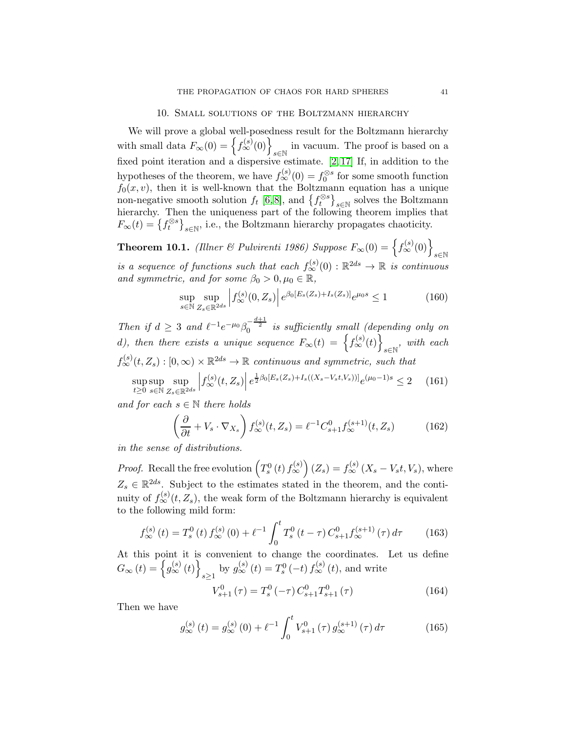### 10. Small solutions of the Boltzmann hierarchy

<span id="page-40-0"></span>We will prove a global well-posedness result for the Boltzmann hierarchy with small data  $F_{\infty}(0) = \left\{ f_{\infty}^{(s)}(0) \right\}_{s \in \mathbb{N}}$  in vacuum. The proof is based on a fixed point iteration and a dispersive estimate. [\[2,](#page-66-3) [17\]](#page-67-13) If, in addition to the hypotheses of the theorem, we have  $f_{\infty}^{(s)}(0) = f_0^{\otimes s}$  for some smooth function  $f_0(x, v)$ , then it is well-known that the Boltzmann equation has a unique non-negative smooth solution  $f_t$  [\[6,](#page-67-23)8], and  $\{f_t^{\otimes s}\}_{s \in \mathbb{N}}$  solves the Boltzmann hierarchy. Then the uniqueness part of the following theorem implies that  $F_{\infty}(t) = \left\{f_t^{\otimes s}\right\}_{s \in \mathbb{N}},$  i.e., the Boltzmann hierarchy propagates chaoticity.

<span id="page-40-1"></span>**Theorem 10.1.** (Illner & Pulvirenti 1986) Suppose  $F_{\infty}(0) = \left\{ f_{\infty}^{(s)}(0) \right\}_{s \in \mathbb{N}}$ is a sequence of functions such that each  $f_{\infty}^{(s)}(0) : \mathbb{R}^{2ds} \to \mathbb{R}$  is continuous and symmetric, and for some  $\beta_0 > 0, \mu_0 \in \mathbb{R}$ ,

$$
\sup_{s \in \mathbb{N}} \sup_{Z_s \in \mathbb{R}^{2ds}} \left| f_{\infty}^{(s)}(0, Z_s) \right| e^{\beta_0 [E_s(Z_s) + I_s(Z_s)]} e^{\mu_0 s} \le 1 \tag{160}
$$

Then if  $d \geq 3$  and  $\ell^{-1}e^{-\mu_0}\beta_0^{-\frac{d+1}{2}}$  is sufficiently small (depending only on d), then there exists a unique sequence  $F_\infty(t) \,=\, \left\{f_\infty^{(s)}(t)\right\}$ <sup>s</sup>∈<sup>N</sup> , with each  $f_{\infty}^{(s)}(t, Z_s) : [0, \infty) \times \mathbb{R}^{2ds} \to \mathbb{R}$  continuous and symmetric, such that

$$
\sup_{t\geq 0} \sup_{s\in \mathbb{N}} \sup_{Z_s \in \mathbb{R}^{2ds}} \left| f_{\infty}^{(s)}(t, Z_s) \right| e^{\frac{1}{2}\beta_0 [E_s(Z_s) + I_s((X_s - V_s t, V_s))] } e^{(\mu_0 - 1)s} \leq 2 \quad (161)
$$

and for each  $s \in \mathbb{N}$  there holds

$$
\left(\frac{\partial}{\partial t} + V_s \cdot \nabla_{X_s}\right) f_{\infty}^{(s)}(t, Z_s) = \ell^{-1} C_{s+1}^0 f_{\infty}^{(s+1)}(t, Z_s) \tag{162}
$$

in the sense of distributions.

*Proof.* Recall the free evolution  $(T_s^0(t), f_\infty^{(s)})$  $\left(\begin{matrix} (s) \\ \infty \end{matrix}\right)(Z_s) = f^{(s)}_{\infty}(X_s - V_s t, V_s),$  where  $Z_s \in \mathbb{R}^{2ds}$ . Subject to the estimates stated in the theorem, and the continuity of  $f_{\infty}^{(s)}(t, Z_s)$ , the weak form of the Boltzmann hierarchy is equivalent to the following mild form:

$$
f_{\infty}^{(s)}(t) = T_s^0(t) f_{\infty}^{(s)}(0) + \ell^{-1} \int_0^t T_s^0(t - \tau) C_{s+1}^0 f_{\infty}^{(s+1)}(\tau) d\tau \qquad (163)
$$

At this point it is convenient to change the coordinates. Let us define  $G_{\infty}(t) = \left\{ g_{\infty}^{(s)}(t) \right\}$  $s \geq 1$ by  $g_{\infty}^{(s)}(t) = T_s^0(-t) f_{\infty}^{(s)}(t)$ , and write

$$
V_{s+1}^{0}(\tau) = T_s^{0}(-\tau) C_{s+1}^{0} T_{s+1}^{0}(\tau)
$$
 (164)

Then we have

$$
g_{\infty}^{(s)}(t) = g_{\infty}^{(s)}(0) + \ell^{-1} \int_0^t V_{s+1}^0(\tau) g_{\infty}^{(s+1)}(\tau) d\tau
$$
 (165)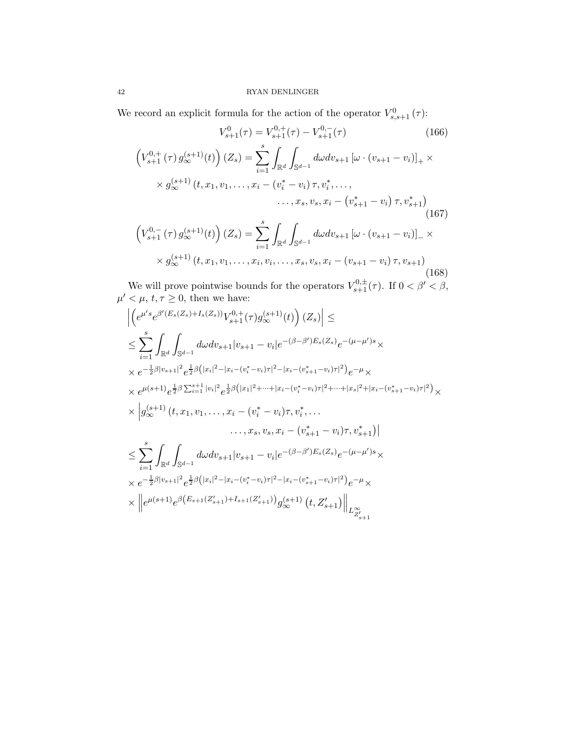We record an explicit formula for the action of the operator  $V_{s,s+1}^0(\tau)$ :

$$
V_{s+1}^{0}(\tau) = V_{s+1}^{0,+}(\tau) - V_{s+1}^{0,-}(\tau)
$$
(166)  

$$
\left(V_{s+1}^{0,+}(\tau) g_{\infty}^{(s+1)}(t)\right) (Z_s) = \sum_{i=1}^{s} \int_{\mathbb{R}^d} \int_{\mathbb{S}^{d-1}} d\omega dv_{s+1} [\omega \cdot (v_{s+1} - v_i)]_+ \times
$$
  

$$
\times g_{\infty}^{(s+1)}(t, x_1, v_1, \dots, x_i - (v_i^* - v_i) \tau, v_i^*, \dots, \dots, \dots, x_s, v_s, x_i - (v_{s+1}^* - v_i) \tau, v_{s+1}^*)
$$
(167)  

$$
\left(V_{s+1}^{0,-}(\tau) g_{\infty}^{(s+1)}(t)\right) (Z_s) = \sum_{i=1}^{s} \int_{\mathbb{R}^d} \int_{\mathbb{S}^{d-1}} d\omega dv_{s+1} [\omega \cdot (v_{s+1} - v_i)]_-\times
$$
  

$$
\times g_{\infty}^{(s+1)}(t, x_1, v_1, \dots, x_i, v_i, \dots, x_s, v_s, x_i - (v_{s+1} - v_i) \tau, v_{s+1})
$$
(168)

We will prove pointwise bounds for the operators  $V_{s+1}^{0,\pm}(\tau)$ . If  $0 < \beta' < \beta$ ,  $\mu' < \mu$ ,  $t, \tau \geq 0$ , then we have:

$$
\left| \left( e^{\mu' s} e^{\beta'(E_s(Z_s) + I_s(Z_s))} V_{s+1}^{0,+}(\tau) g_{\infty}^{(s+1)}(t) \right) (Z_s) \right| \le
$$
\n
$$
\leq \sum_{i=1}^s \int_{\mathbb{R}^d} \int_{\mathbb{S}^{d-1}} d\omega dv_{s+1} |v_{s+1} - v_i| e^{-(\beta - \beta')E_s(Z_s)} e^{-(\mu - \mu')s} \times
$$
\n
$$
\times e^{-\frac{1}{2}\beta |v_{s+1}|^2} e^{\frac{1}{2}\beta \left( |x_i|^2 - |x_i - (v_i^* - v_i)\tau|^2 - |x_i - (v_{s+1}^* - v_i)\tau|^2 \right)} e^{-\mu} \times
$$
\n
$$
\times e^{\mu(s+1)} e^{\frac{1}{2}\beta \sum_{i=1}^{s+1} |v_i|^2} e^{\frac{1}{2}\beta \left( |x_1|^2 + \dots + |x_i - (v_i^* - v_i)\tau|^2 + \dots + |x_s|^2 + |x_i - (v_{s+1}^* - v_i)\tau|^2 \right)} \times
$$
\n
$$
\times \left| g_{\infty}^{(s+1)}(t, x_1, v_1, \dots, x_i - (v_i^* - v_i)\tau, v_i^*, \dots \dots, x_s, v_s, x_i - (v_{s+1}^* - v_i)\tau, v_{s+1}^* \right) \right|
$$
\n
$$
\leq \sum_{i=1}^s \int_{\mathbb{R}^d} \int_{\mathbb{S}^{d-1}} d\omega dv_{s+1} |v_{s+1} - v_i| e^{-(\beta - \beta')E_s(Z_s)} e^{-(\mu - \mu')s} \times
$$
\n
$$
\times e^{-\frac{1}{2}\beta |v_{s+1}|^2} e^{\frac{1}{2}\beta \left( |x_i|^2 - |x_i - (v_i^* - v_i)\tau|^2 - |x_i - (v_{s+1}^* - v_i)\tau|^2 \right)} e^{-\mu} \times
$$
\n
$$
\times \left\| e^{\mu(s+1)} e^{\beta \left( E_{s+1}(Z_{s+1}') + I_{s+1}(Z_{s+1}') \right)} g_{\infty}^{(s+1)}(t, Z_{s+1}') \right\|_{L^
$$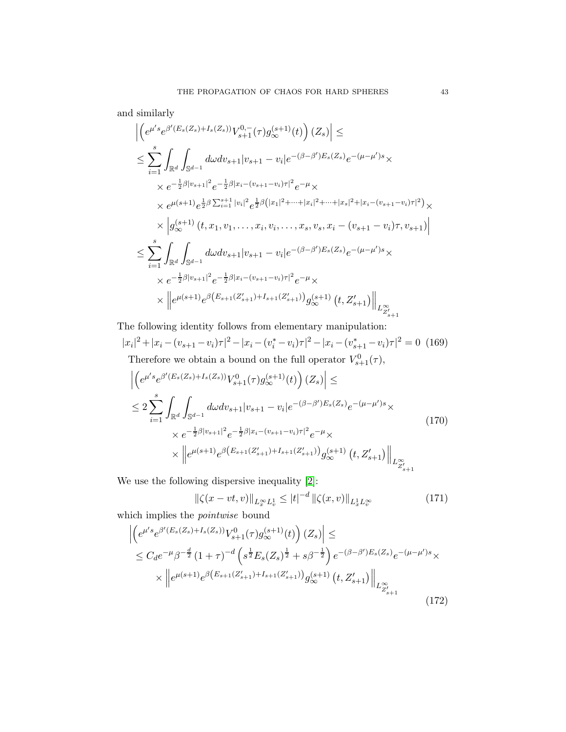and similarly

$$
\left| \left( e^{\mu' s} e^{\beta'(E_s(Z_s) + I_s(Z_s))} V_{s+1}^{0,-}(\tau) g_{\infty}^{(s+1)}(t) \right) (Z_s) \right| \le
$$
\n
$$
\leq \sum_{i=1}^{s} \int_{\mathbb{R}^d} \int_{\mathbb{S}^{d-1}} d\omega dv_{s+1} |v_{s+1} - v_i| e^{-(\beta - \beta')E_s(Z_s)} e^{-(\mu - \mu')s} \times
$$
\n
$$
\times e^{-\frac{1}{2}\beta |v_{s+1}|^2} e^{-\frac{1}{2}\beta |x_i - (v_{s+1} - v_i)\tau|^2} e^{-\mu} \times
$$
\n
$$
\times e^{\mu(s+1)} e^{\frac{1}{2}\beta \sum_{i=1}^{s+1} |v_i|^2} e^{\frac{1}{2}\beta (|x_1|^2 + \dots + |x_i|^2 + \dots + |x_s|^2 + |x_i - (v_{s+1} - v_i)\tau|^2)} \times
$$
\n
$$
\times \left| g_{\infty}^{(s+1)}(t, x_1, v_1, \dots, x_i, v_i, \dots, x_s, v_s, x_i - (v_{s+1} - v_i)\tau, v_{s+1}) \right|
$$
\n
$$
\leq \sum_{i=1}^{s} \int_{\mathbb{R}^d} \int_{\mathbb{S}^{d-1}} d\omega dv_{s+1} |v_{s+1} - v_i| e^{-(\beta - \beta')E_s(Z_s)} e^{-(\mu - \mu')s} \times
$$
\n
$$
\times e^{-\frac{1}{2}\beta |v_{s+1}|^2} e^{-\frac{1}{2}\beta |x_i - (v_{s+1} - v_i)\tau|^2} e^{-\mu} \times
$$
\n
$$
\times \left\| e^{\mu(s+1)} e^{\beta (E_{s+1}(Z'_{s+1}) + I_{s+1}(Z'_{s+1}))} g_{\infty}^{(s+1)}(t, Z'_{s+1}) \right\|_{L^{\infty}_{Z'_{s+1}}}
$$

The following identity follows from elementary manipulation:

 $|x_i|^2 + |x_i - (v_{s+1} - v_i)\tau|^2 - |x_i - (v_i^* - v_i)\tau|^2 - |x_i - (v_{s+1}^* - v_i)\tau|^2 = 0$  (169) Therefore we obtain a bound on the full operator  $V_{s+1}^0(\tau)$ ,

<span id="page-42-0"></span>
$$
\left| \left( e^{\mu' s} e^{\beta'(E_s(Z_s) + I_s(Z_s))} V_{s+1}^0(\tau) g_{\infty}^{(s+1)}(t) \right) (Z_s) \right| \le
$$
  
\n
$$
\leq 2 \sum_{i=1}^s \int_{\mathbb{R}^d} \int_{\mathbb{S}^{d-1}} d\omega dv_{s+1} |v_{s+1} - v_i| e^{-(\beta - \beta') E_s(Z_s)} e^{-(\mu - \mu')s} \times
$$
  
\n
$$
\times e^{-\frac{1}{2}\beta |v_{s+1}|^2} e^{-\frac{1}{2}\beta |x_i - (v_{s+1} - v_i)\tau|^2} e^{-\mu} \times
$$
  
\n
$$
\times \left\| e^{\mu(s+1)} e^{\beta \left( E_{s+1}(Z_{s+1}') + I_{s+1}(Z_{s+1}') \right)} g_{\infty}^{(s+1)}(t, Z_{s+1}') \right\|_{L^{\infty}_{Z_{s+1}}}
$$
\n(170)

We use the following dispersive inequality [\[2\]](#page-66-3):

$$
\|\zeta(x - vt, v)\|_{L_x^{\infty} L_v^1} \le |t|^{-d} \|\zeta(x, v)\|_{L_x^1 L_v^{\infty}}
$$
\n(171)

which implies the pointwise bound

$$
\left| \left( e^{\mu's} e^{\beta'(E_s(Z_s) + I_s(Z_s))} V_{s+1}^0(\tau) g_{\infty}^{(s+1)}(t) \right) (Z_s) \right| \le
$$
  
 
$$
\leq C_d e^{-\mu} \beta^{-\frac{d}{2}} (1+\tau)^{-d} \left( s^{\frac{1}{2}} E_s(Z_s)^{\frac{1}{2}} + s \beta^{-\frac{1}{2}} \right) e^{-(\beta-\beta')E_s(Z_s)} e^{-(\mu-\mu')s} \times
$$
  
 
$$
\times \left\| e^{\mu(s+1)} e^{\beta \left( E_{s+1}(Z_{s+1}') + I_{s+1}(Z_{s+1}') \right)} g_{\infty}^{(s+1)}(t, Z_{s+1}') \right\|_{L_{Z_{s+1}'}^{\infty}}
$$
(172)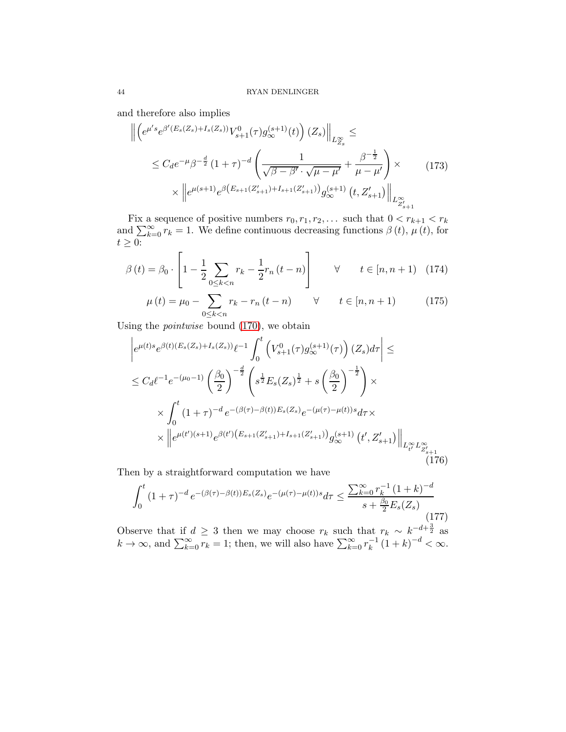and therefore also implies

$$
\left\| \left( e^{\mu' s} e^{\beta'(E_s(Z_s) + I_s(Z_s))} V_{s+1}^0(\tau) g_{\infty}^{(s+1)}(t) \right) (Z_s) \right\|_{L_{Z_s}^{\infty}} \le
$$
\n
$$
\le C_d e^{-\mu} \beta^{-\frac{d}{2}} (1+\tau)^{-d} \left( \frac{1}{\sqrt{\beta - \beta'} \cdot \sqrt{\mu - \mu'}} + \frac{\beta^{-\frac{1}{2}}}{\mu - \mu'} \right) \times \qquad (173)
$$
\n
$$
\times \left\| e^{\mu(s+1)} e^{\beta(E_{s+1}(Z_{s+1}') + I_{s+1}(Z_{s+1}'))} g_{\infty}^{(s+1)}(t, Z_{s+1}') \right\|_{L_{Z_{s+1}}^{\infty}}
$$

Fix a sequence of positive numbers  $r_0, r_1, r_2, \ldots$  such that  $0 < r_{k+1} < r_k$ and  $\sum_{k=0}^{\infty} r_k = 1$ . We define continuous decreasing functions  $\beta(t)$ ,  $\mu(t)$ , for  $t \geq 0$ :

$$
\beta(t) = \beta_0 \cdot \left[ 1 - \frac{1}{2} \sum_{0 \le k < n} r_k - \frac{1}{2} r_n \left( t - n \right) \right] \qquad \forall \qquad t \in [n, n + 1) \tag{174}
$$

$$
\mu(t) = \mu_0 - \sum_{0 \le k < n} r_k - r_n (t - n) \qquad \forall \qquad t \in [n, n + 1) \tag{175}
$$

Using the pointwise bound [\(170\)](#page-42-0), we obtain

$$
\left| e^{\mu(t)s} e^{\beta(t)(E_s(Z_s) + I_s(Z_s))} \ell^{-1} \int_0^t \left( V_{s+1}^0(\tau) g_{\infty}^{(s+1)}(\tau) \right) (Z_s) d\tau \right| \le
$$
  
\n
$$
\leq C_d \ell^{-1} e^{-(\mu_0 - 1)} \left( \frac{\beta_0}{2} \right)^{-\frac{d}{2}} \left( s^{\frac{1}{2}} E_s(Z_s)^{\frac{1}{2}} + s \left( \frac{\beta_0}{2} \right)^{-\frac{1}{2}} \right) \times
$$
  
\n
$$
\times \int_0^t (1+\tau)^{-d} e^{-(\beta(\tau)-\beta(t))E_s(Z_s)} e^{-(\mu(\tau)-\mu(t))s} d\tau \times
$$
  
\n
$$
\times \left\| e^{\mu(t')(s+1)} e^{\beta(t') \left( E_{s+1}(Z_{s+1}') + I_{s+1}(Z_{s+1}') \right)} g_{\infty}^{(s+1)} \left( t', Z_{s+1}' \right) \right\|_{L_t^{\infty} L_{Z_{s+1}'}^{\infty}}
$$
  
\n(176)

Then by a straightforward computation we have

$$
\int_0^t (1+\tau)^{-d} e^{-(\beta(\tau)-\beta(t))E_s(Z_s)} e^{-(\mu(\tau)-\mu(t))s} d\tau \le \frac{\sum_{k=0}^\infty r_k^{-1} (1+k)^{-d}}{s + \frac{\beta_0}{2} E_s(Z_s)}
$$
(177)

Observe that if  $d \geq 3$  then we may choose  $r_k$  such that  $r_k \sim k^{-d+\frac{3}{2}}$  as  $k \to \infty$ , and  $\sum_{k=0}^{\infty} r_k = 1$ ; then, we will also have  $\sum_{k=0}^{\infty} r_k^{-1} (1+k)^{-d} < \infty$ .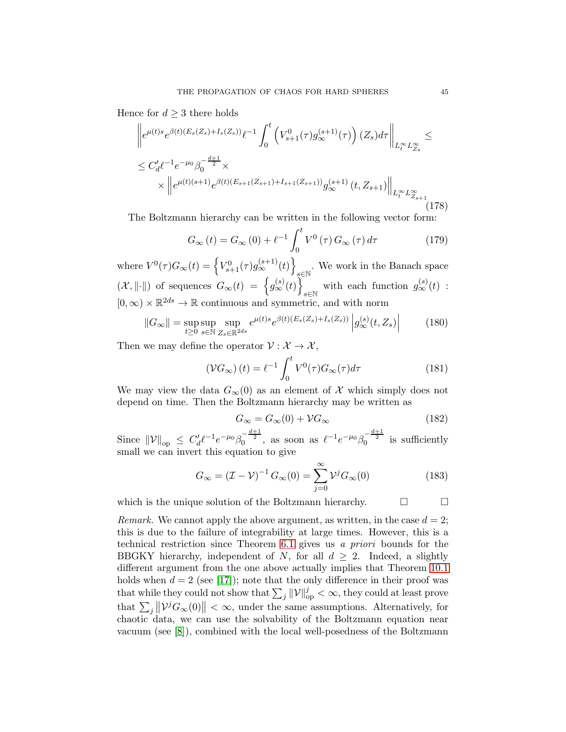Hence for  $d \geq 3$  there holds

$$
\|e^{\mu(t)s}e^{\beta(t)(E_s(Z_s)+I_s(Z_s))}\ell^{-1}\int_0^t \left(V_{s+1}^0(\tau)g_{\infty}^{(s+1)}(\tau)\right)(Z_s)d\tau\|_{L_t^{\infty}L_{Z_s}^{\infty}} \leq
$$
  

$$
\leq C_d'\ell^{-1}e^{-\mu_0}\beta_0^{-\frac{d+1}{2}} \times \times \left\|e^{\mu(t)(s+1)}e^{\beta(t)(E_{s+1}(Z_{s+1})+I_{s+1}(Z_{s+1}))}g_{\infty}^{(s+1)}(t,Z_{s+1})\right\|_{L_t^{\infty}L_{Z_{s+1}}^{\infty}}
$$
(178)

The Boltzmann hierarchy can be written in the following vector form:

$$
G_{\infty}(t) = G_{\infty}(0) + \ell^{-1} \int_0^t V^0(\tau) G_{\infty}(\tau) d\tau
$$
 (179)

where  $V^{0}(\tau)G_{\infty}(t) = \left\{V^{0}_{s+1}(\tau)g^{(s+1)}_{\infty}(t)\right\}$ . We work in the Banach space  $(\mathcal{X}, \|\cdot\|)$  of sequences  $G_{\infty}(t) = \left\{ g_{\infty}^{(s)}(t) \right\}$ <sup>s</sup>∈<sup>N</sup> with each function  $g_{\infty}^{(s)}(t)$ :  $[0, \infty) \times \mathbb{R}^{2ds} \to \mathbb{R}$  continuous and symmetric, and with norm

$$
||G_{\infty}|| = \sup_{t \ge 0} \sup_{s \in \mathbb{N}} \sup_{Z_s \in \mathbb{R}^{2ds}} e^{\mu(t)s} e^{\beta(t)(E_s(Z_s) + I_s(Z_s))} \left| g_{\infty}^{(s)}(t, Z_s) \right| \tag{180}
$$

Then we may define the operator  $\mathcal{V}: \mathcal{X} \to \mathcal{X}$ ,

$$
\left(\mathcal{V}G_{\infty}\right)(t) = \ell^{-1} \int_0^t V^0(\tau) G_{\infty}(\tau) d\tau \tag{181}
$$

We may view the data  $G_{\infty}(0)$  as an element of X which simply does not depend on time. Then the Boltzmann hierarchy may be written as

$$
G_{\infty} = G_{\infty}(0) + \mathcal{V}G_{\infty}
$$
\n(182)

Since  $\|\mathcal{V}\|_{\text{op}} \leq C_d' \ell^{-1} e^{-\mu_0} \beta_0^{-\frac{d+1}{2}}$ , as soon as  $\ell^{-1} e^{-\mu_0} \beta_0^{-\frac{d+1}{2}}$  is sufficiently small we can invert this equation to give

$$
G_{\infty} = (\mathcal{I} - \mathcal{V})^{-1} G_{\infty}(0) = \sum_{j=0}^{\infty} \mathcal{V}^{j} G_{\infty}(0)
$$
 (183)

which is the unique solution of the Boltzmann hierarchy.  $\Box$ 

*Remark.* We cannot apply the above argument, as written, in the case  $d = 2$ ; this is due to the failure of integrability at large times. However, this is a technical restriction since Theorem [6.1](#page-26-0) gives us a priori bounds for the BBGKY hierarchy, independent of N, for all  $d \geq 2$ . Indeed, a slightly different argument from the one above actually implies that Theorem [10.1](#page-40-1) holds when  $d = 2$  (see [\[17\]](#page-67-13)); note that the only difference in their proof was that while they could not show that  $\sum_j ||\mathcal{V}||_{\text{op}}^j < \infty$ , they could at least prove that  $\sum_j ||\mathcal{V}^j G_{\infty}(0)|| < \infty$ , under the same assumptions. Alternatively, for chaotic data, we can use the solvability of the Boltzmann equation near vacuum (see [\[8\]](#page-67-21)), combined with the local well-posedness of the Boltzmann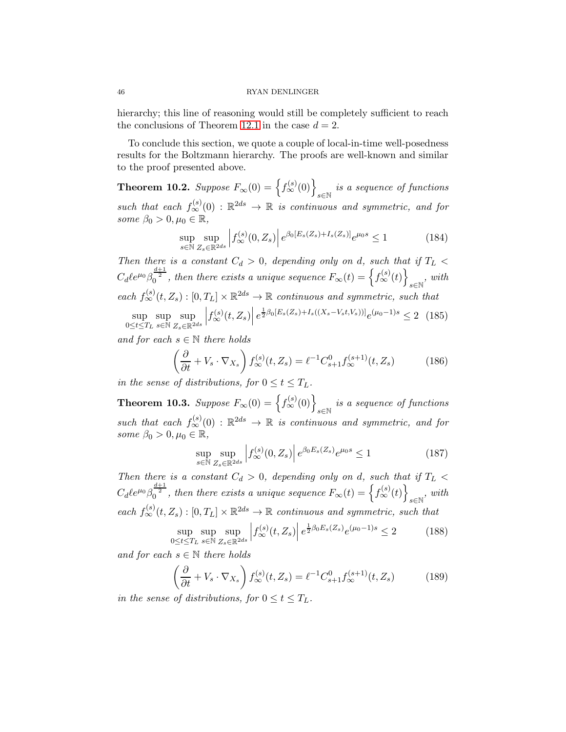hierarchy; this line of reasoning would still be completely sufficient to reach the conclusions of Theorem [12.1](#page-49-1) in the case  $d = 2$ .

To conclude this section, we quote a couple of local-in-time well-posedness results for the Boltzmann hierarchy. The proofs are well-known and similar to the proof presented above.

**Theorem 10.2.** Suppose  $F_{\infty}(0) = \left\{ f_{\infty}^{(s)}(0) \right\}_{s \in \mathbb{N}}$ is a sequence of functions such that each  $f_{\infty}^{(s)}(0) : \mathbb{R}^{2ds} \to \mathbb{R}$  is continuous and symmetric, and for some  $\beta_0 > 0, \mu_0 \in \mathbb{R}$ ,

$$
\sup_{s \in \mathbb{N}} \sup_{Z_s \in \mathbb{R}^{2ds}} \left| f_{\infty}^{(s)}(0, Z_s) \right| e^{\beta_0 [E_s(Z_s) + I_s(Z_s)]} e^{\mu_0 s} \le 1 \tag{184}
$$

Then there is a constant  $C_d > 0$ , depending only on d, such that if  $T_L <$  $C_d \ell e^{\mu_0} \beta_0^{\frac{d+1}{2}}$ , then there exists a unique sequence  $F_{\infty}(t) = \left\{ f_{\infty}^{(s)}(t) \right\}_{s \in \mathbb{N}}$ , with <sup>s</sup>∈<sup>N</sup> each  $f_{\infty}^{(s)}(t, Z_s) : [0, T_L] \times \mathbb{R}^{2ds} \to \mathbb{R}$  continuous and symmetric, such that

sup  $0 \le t \le T_L$ sup <sup>s</sup>∈<sup>N</sup> sup  $Z_s \in \mathbb{R}^{2ds}$  $\left|f_\infty^{(s)}(t,Z_s)\right|$  $e^{\frac{1}{2}\beta_0[E_s(Z_s)+I_s((X_s-V_s,t,V_s))]e^{(\mu_0-1)s}} \leq 2$  (185)

and for each  $s \in \mathbb{N}$  there holds

$$
\left(\frac{\partial}{\partial t} + V_s \cdot \nabla_{X_s}\right) f_{\infty}^{(s)}(t, Z_s) = \ell^{-1} C_{s+1}^0 f_{\infty}^{(s+1)}(t, Z_s) \tag{186}
$$

in the sense of distributions, for  $0 \le t \le T_L$ .

<span id="page-45-0"></span>**Theorem 10.3.** Suppose  $F_{\infty}(0) = \left\{ f_{\infty}^{(s)}(0) \right\}_{s \in \mathbb{N}}$  is a sequence of functions such that each  $f_{\infty}^{(s)}(0) : \mathbb{R}^{2ds} \to \mathbb{R}$  is continuous and symmetric, and for some  $\beta_0 > 0, \mu_0 \in \mathbb{R}$ ,

$$
\sup_{s \in \mathbb{N}} \sup_{Z_s \in \mathbb{R}^{2ds}} \left| f_{\infty}^{(s)}(0, Z_s) \right| e^{\beta_0 E_s(Z_s)} e^{\mu_0 s} \le 1 \tag{187}
$$

Then there is a constant  $C_d > 0$ , depending only on d, such that if  $T_L$  $C_d \ell e^{\mu_0} \beta_0^{\frac{d+1}{2}}$ , then there exists a unique sequence  $F_{\infty}(t) = \left\{ f_{\infty}^{(s)}(t) \right\}$  $_{s\in\mathbb{N}}$ <sup>, with</sup> each  $f_{\infty}^{(s)}(t, Z_s) : [0, T_L] \times \mathbb{R}^{2ds} \to \mathbb{R}$  continuous and symmetric, such that

$$
\sup_{0 \le t \le T_L} \sup_{s \in \mathbb{N}} \sup_{Z_s \in \mathbb{R}^{2ds}} \left| f_{\infty}^{(s)}(t, Z_s) \right| e^{\frac{1}{2}\beta_0 E_s(Z_s)} e^{(\mu_0 - 1)s} \le 2 \tag{188}
$$

and for each  $s \in \mathbb{N}$  there holds

$$
\left(\frac{\partial}{\partial t} + V_s \cdot \nabla_{X_s}\right) f_{\infty}^{(s)}(t, Z_s) = \ell^{-1} C_{s+1}^0 f_{\infty}^{(s+1)}(t, Z_s)
$$
(189)

in the sense of distributions, for  $0 \le t \le T_L$ .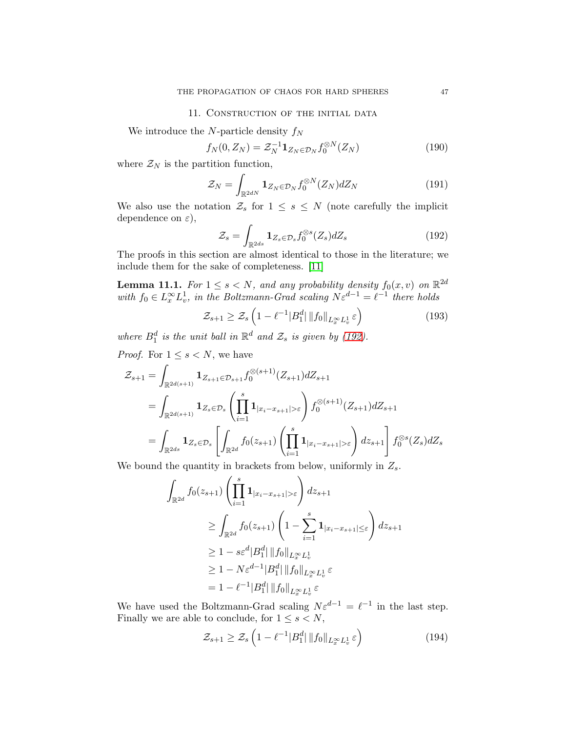# 11. Construction of the initial data

<span id="page-46-0"></span>We introduce the  $N$ -particle density  $f_N$ 

<span id="page-46-3"></span>
$$
f_N(0, Z_N) = \mathcal{Z}_N^{-1} \mathbf{1}_{Z_N \in \mathcal{D}_N} f_0^{\otimes N}(Z_N)
$$
\n(190)

where  $\mathcal{Z}_N$  is the partition function,

$$
\mathcal{Z}_N = \int_{\mathbb{R}^{2dN}} \mathbf{1}_{Z_N \in \mathcal{D}_N} f_0^{\otimes N}(Z_N) dZ_N \tag{191}
$$

We also use the notation  $\mathcal{Z}_s$  for  $1 \leq s \leq N$  (note carefully the implicit dependence on  $\varepsilon$ ),

<span id="page-46-1"></span>
$$
\mathcal{Z}_s = \int_{\mathbb{R}^{2ds}} \mathbf{1}_{Z_s \in \mathcal{D}_s} f_0^{\otimes s}(Z_s) dZ_s \tag{192}
$$

The proofs in this section are almost identical to those in the literature; we include them for the sake of completeness. [\[11\]](#page-67-2)

<span id="page-46-2"></span>**Lemma 11.1.** For  $1 \leq s \leq N$ , and any probability density  $f_0(x, v)$  on  $\mathbb{R}^{2d}$ with  $f_0 \in L^\infty_x L^1_v$ , in the Boltzmann-Grad scaling  $N \varepsilon^{d-1} = \ell^{-1}$  there holds

$$
\mathcal{Z}_{s+1} \ge \mathcal{Z}_s \left( 1 - \ell^{-1} |B_1^d| \, \|f_0\|_{L_x^\infty L_v^1} \varepsilon \right) \tag{193}
$$

where  $B_1^d$  is the unit ball in  $\mathbb{R}^d$  and  $\mathcal{Z}_s$  is given by [\(192\)](#page-46-1).

*Proof.* For  $1 \leq s \leq N$ , we have

$$
\mathcal{Z}_{s+1} = \int_{\mathbb{R}^{2d(s+1)}} \mathbf{1}_{Z_{s+1} \in \mathcal{D}_{s+1}} f_0^{\otimes (s+1)}(Z_{s+1}) dZ_{s+1}
$$
\n
$$
= \int_{\mathbb{R}^{2d(s+1)}} \mathbf{1}_{Z_s \in \mathcal{D}_s} \left( \prod_{i=1}^s \mathbf{1}_{|x_i - x_{s+1}| > \varepsilon} \right) f_0^{\otimes (s+1)}(Z_{s+1}) dZ_{s+1}
$$
\n
$$
= \int_{\mathbb{R}^{2ds}} \mathbf{1}_{Z_s \in \mathcal{D}_s} \left[ \int_{\mathbb{R}^{2d}} f_0(z_{s+1}) \left( \prod_{i=1}^s \mathbf{1}_{|x_i - x_{s+1}| > \varepsilon} \right) dz_{s+1} \right] f_0^{\otimes s}(Z_s) dZ_s
$$

We bound the quantity in brackets from below, uniformly in  $Z_s$ .

$$
\int_{\mathbb{R}^{2d}} f_0(z_{s+1}) \left( \prod_{i=1}^s \mathbf{1}_{|x_i - x_{s+1}| > \varepsilon} \right) dz_{s+1}
$$
\n
$$
\geq \int_{\mathbb{R}^{2d}} f_0(z_{s+1}) \left( 1 - \sum_{i=1}^s \mathbf{1}_{|x_i - x_{s+1}| \leq \varepsilon} \right) dz_{s+1}
$$
\n
$$
\geq 1 - s\varepsilon^d |B_1^d| ||f_0||_{L_x^{\infty} L_v^1}
$$
\n
$$
\geq 1 - N\varepsilon^{d-1} |B_1^d| ||f_0||_{L_x^{\infty} L_v^1} \varepsilon
$$
\n
$$
= 1 - \ell^{-1} |B_1^d| ||f_0||_{L_x^{\infty} L_v^1} \varepsilon
$$

We have used the Boltzmann-Grad scaling  $N\varepsilon^{d-1} = \ell^{-1}$  in the last step. Finally we are able to conclude, for  $1\leq s< N,$ 

$$
\mathcal{Z}_{s+1} \ge \mathcal{Z}_s \left( 1 - \ell^{-1} |B_1^d| \|f_0\|_{L_x^{\infty} L_v^1} \varepsilon \right) \tag{194}
$$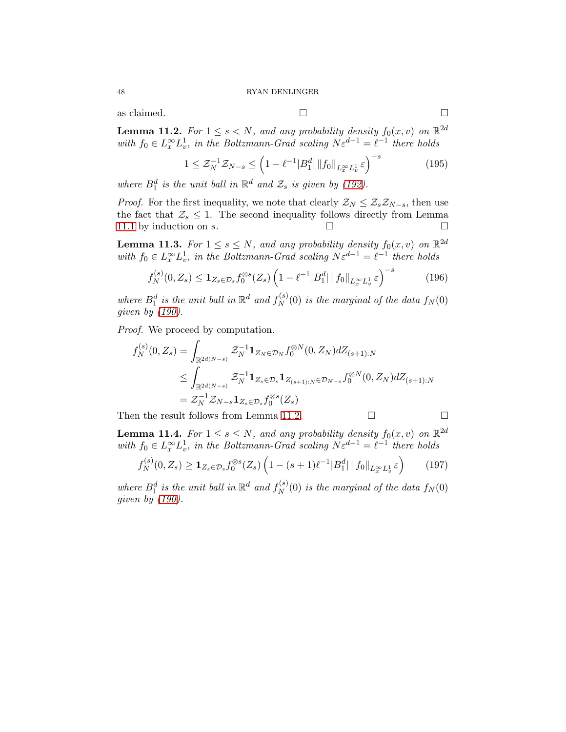as claimed.  $\square$ 

<span id="page-47-0"></span>**Lemma 11.2.** For  $1 \leq s \leq N$ , and any probability density  $f_0(x, v)$  on  $\mathbb{R}^{2d}$ with  $f_0 \in L^\infty_x L^1_v$ , in the Boltzmann-Grad scaling  $N \varepsilon^{d-1} = \ell^{-1}$  there holds

$$
1 \leq \mathcal{Z}_N^{-1} \mathcal{Z}_{N-s} \leq \left( 1 - \ell^{-1} |B_1^d| \, \|f_0\|_{L_x^{\infty} L_v^1} \, \varepsilon \right)^{-s} \tag{195}
$$

where  $B_1^d$  is the unit ball in  $\mathbb{R}^d$  and  $\mathcal{Z}_s$  is given by [\(192\)](#page-46-1).

*Proof.* For the first inequality, we note that clearly  $\mathcal{Z}_N \leq \mathcal{Z}_s \mathcal{Z}_{N-s}$ , then use the fact that  $\mathcal{Z}_s \leq 1$ . The second inequality follows directly from Lemma 11.1 by induction on s. [11.1](#page-46-2) by induction on s.

**Lemma 11.3.** For  $1 \leq s \leq N$ , and any probability density  $f_0(x, v)$  on  $\mathbb{R}^{2d}$ with  $f_0 \in L^\infty_x L^1_v$ , in the Boltzmann-Grad scaling  $N \varepsilon^{d-1} = \ell^{-1}$  there holds

$$
f_N^{(s)}(0, Z_s) \le \mathbf{1}_{Z_s \in \mathcal{D}_s} f_0^{\otimes s}(Z_s) \left(1 - \ell^{-1} |B_1^d| \|f_0\|_{L_x^{\infty} L_v^1} \varepsilon\right)^{-s} \tag{196}
$$

where  $B_1^d$  is the unit ball in  $\mathbb{R}^d$  and  $f_N^{(s)}$  $N^{(s)}(0)$  is the marginal of the data  $f_N(0)$ given by [\(190\)](#page-46-3).

Proof. We proceed by computation.

$$
f_N^{(s)}(0, Z_s) = \int_{\mathbb{R}^{2d(N-s)}} \mathcal{Z}_N^{-1} \mathbf{1}_{Z_N \in \mathcal{D}_N} f_0^{\otimes N}(0, Z_N) dZ_{(s+1):N}
$$
  
\n
$$
\leq \int_{\mathbb{R}^{2d(N-s)}} \mathcal{Z}_N^{-1} \mathbf{1}_{Z_s \in \mathcal{D}_s} \mathbf{1}_{Z_{(s+1):N} \in \mathcal{D}_{N-s}} f_0^{\otimes N}(0, Z_N) dZ_{(s+1):N}
$$
  
\n
$$
= \mathcal{Z}_N^{-1} \mathcal{Z}_{N-s} \mathbf{1}_{Z_s \in \mathcal{D}_s} f_0^{\otimes s}(Z_s)
$$

Then the result follows from Lemma [11.2.](#page-47-0)  $\Box$ 

$$
\mathcal{L}_{\mathcal{A}}
$$

**Lemma 11.4.** For  $1 \leq s \leq N$ , and any probability density  $f_0(x, v)$  on  $\mathbb{R}^{2d}$ with  $f_0 \in L^\infty_x L^1_v$ , in the Boltzmann-Grad scaling  $N \varepsilon^{d-1} = \ell^{-1}$  there holds

$$
f_N^{(s)}(0, Z_s) \ge \mathbf{1}_{Z_s \in \mathcal{D}_s} f_0^{\otimes s}(Z_s) \left(1 - (s+1)\ell^{-1} |B_1^d| \|f_0\|_{L_x^{\infty} L_v^1} \varepsilon\right) \tag{197}
$$

where  $B_1^d$  is the unit ball in  $\mathbb{R}^d$  and  $f_N^{(s)}$  $N^{(s)}(0)$  is the marginal of the data  $f_N(0)$ given by [\(190\)](#page-46-3).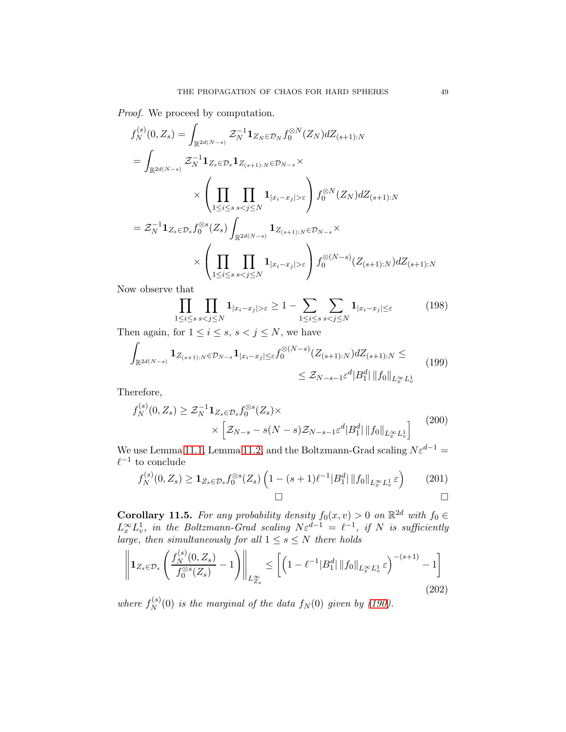Proof. We proceed by computation.

$$
f_N^{(s)}(0, Z_s) = \int_{\mathbb{R}^{2d(N-s)}} \mathcal{Z}_N^{-1} \mathbf{1}_{Z_N \in \mathcal{D}_N} f_0^{\otimes N}(Z_N) dZ_{(s+1):N}
$$
  
\n
$$
= \int_{\mathbb{R}^{2d(N-s)}} \mathcal{Z}_N^{-1} \mathbf{1}_{Z_s \in \mathcal{D}_s} \mathbf{1}_{Z_{(s+1):N} \in \mathcal{D}_{N-s}} \times \times \left( \prod_{1 \le i \le s} \prod_{s < j \le N} \mathbf{1}_{|x_i - x_j| > \varepsilon} \right) f_0^{\otimes N}(Z_N) dZ_{(s+1):N}
$$
  
\n
$$
= \mathcal{Z}_N^{-1} \mathbf{1}_{Z_s \in \mathcal{D}_s} f_0^{\otimes s}(Z_s) \int_{\mathbb{R}^{2d(N-s)}} \mathbf{1}_{Z_{(s+1):N} \in \mathcal{D}_{N-s}} \times \times \left( \prod_{1 \le i \le s} \prod_{s < j \le N} \mathbf{1}_{|x_i - x_j| > \varepsilon} \right) f_0^{\otimes (N-s)}(Z_{(s+1):N}) dZ_{(s+1):N}
$$

Now observe that

$$
\prod_{1 \leq i \leq s} \prod_{s < j \leq N} \mathbf{1}_{|x_i - x_j| > \varepsilon} \geq 1 - \sum_{1 \leq i \leq s} \sum_{s < j \leq N} \mathbf{1}_{|x_i - x_j| \leq \varepsilon} \tag{198}
$$

Then again, for  $1 \leq i \leq s$ ,  $s < j \leq N$ , we have

$$
\int_{\mathbb{R}^{2d(N-s)}} \mathbf{1}_{Z_{(s+1):N} \in \mathcal{D}_{N-s}} \mathbf{1}_{|x_i - x_j| \le \varepsilon} f_0^{\otimes (N-s)}(Z_{(s+1):N}) dZ_{(s+1):N} \le
$$
\n
$$
\le \mathcal{Z}_{N-s-1} \varepsilon^d |B_1^d| \|f_0\|_{L_x^{\infty} L_v^1}
$$
\n(199)

Therefore,

$$
f_N^{(s)}(0, Z_s) \geq \mathcal{Z}_N^{-1} \mathbf{1}_{Z_s \in \mathcal{D}_s} f_0^{\otimes s}(Z_s) \times \times \left[ \mathcal{Z}_{N-s} - s(N-s) \mathcal{Z}_{N-s-1} \varepsilon^d |B_1^d| \|f_0\|_{L^\infty_x L^1_v} \right] \tag{200}
$$

We use Lemma [11.1,](#page-46-2) Lemma [11.2,](#page-47-0) and the Boltzmann-Grad scaling  $N\varepsilon^{d-1}$  =  $\ell^{-1}$  to conclude

$$
f_N^{(s)}(0, Z_s) \ge \mathbf{1}_{Z_s \in \mathcal{D}_s} f_0^{\otimes s}(Z_s) \left(1 - (s+1)\ell^{-1} |B_1^d| \|f_0\|_{L_x^{\infty} L_v^1} \varepsilon\right) \tag{201}
$$

**Corollary 11.5.** For any probability density  $f_0(x, v) > 0$  on  $\mathbb{R}^{2d}$  with  $f_0 \in$  $L_x^{\infty} L_v^1$ , in the Boltzmann-Grad scaling  $N \varepsilon^{d-1} = \ell^{-1}$ , if N is sufficiently large, then simultaneously for all  $1 \leq s \leq N$  there holds

$$
\left\| \mathbf{1}_{Z_s \in \mathcal{D}_s} \left( \frac{f_N^{(s)}(0, Z_s)}{f_0^{\otimes s}(Z_s)} - 1 \right) \right\|_{L_{Z_s}^{\infty}} \le \left[ \left( 1 - \ell^{-1} |B_1^d| \left\| f_0 \right\|_{L_x^{\infty} L_v^1} \varepsilon \right)^{-(s+1)} - 1 \right]
$$
\n(202)

where  $f_N^{(s)}$  $N^{(s)}(0)$  is the marginal of the data  $f_N(0)$  given by [\(190\)](#page-46-3).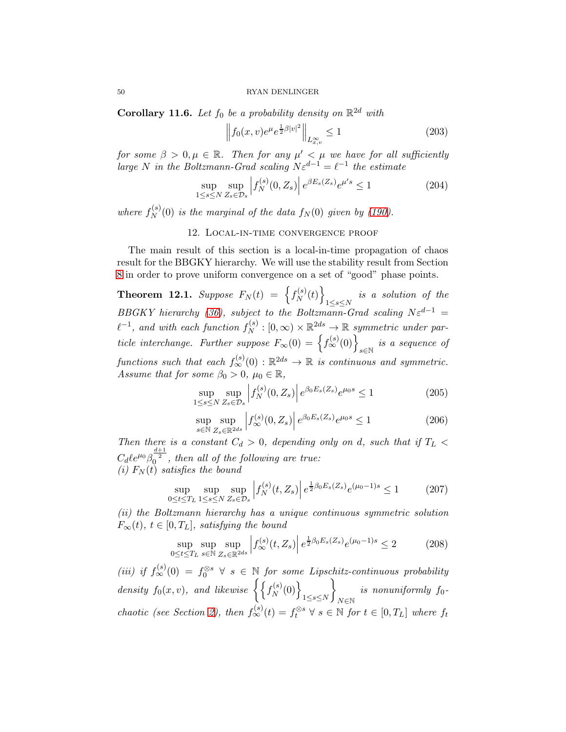**Corollary 11.6.** Let  $f_0$  be a probability density on  $\mathbb{R}^{2d}$  with

$$
\left\| f_0(x,v)e^{\mu}e^{\frac{1}{2}\beta|v|^2} \right\|_{L^{\infty}_{x,v}} \le 1
$$
\n(203)

for some  $\beta > 0, \mu \in \mathbb{R}$ . Then for any  $\mu' < \mu$  we have for all sufficiently large N in the Boltzmann-Grad scaling  $N\varepsilon^{d-1} = \ell^{-1}$  the estimate

$$
\sup_{1 \le s \le N} \sup_{Z_s \in \mathcal{D}_s} \left| f_N^{(s)}(0, Z_s) \right| e^{\beta E_s(Z_s)} e^{\mu's} \le 1 \tag{204}
$$

<span id="page-49-0"></span>where  $f_N^{(s)}$  $N^{(s)}(0)$  is the marginal of the data  $f_N(0)$  given by [\(190\)](#page-46-3).

# 12. Local-in-time convergence proof

The main result of this section is a local-in-time propagation of chaos result for the BBGKY hierarchy. We will use the stability result from Section [8](#page-30-0) in order to prove uniform convergence on a set of "good" phase points.

<span id="page-49-1"></span>Theorem 12.1. Suppose  $F_N(t) = \left\{f_N^{(s)}\right\}$  $\left\{ \begin{matrix} s\ N \end{matrix} (t) \right\}$  $1\leq s \leq N$ is a solution of the BBGKY hierarchy [\(36\)](#page-16-0), subject to the Boltzmann-Grad scaling  $N\varepsilon^{d-1}$  =  $\ell^{-1}$ , and with each function  $f_N^{(s)}$  $N^{(s)} : [0, \infty) \times \mathbb{R}^{2ds} \to \mathbb{R}$  symmetric under particle interchange. Further suppose  $F_{\infty}(0) = \left\{ f_{\infty}^{(s)}(0) \right\}_{s \in \mathbb{N}}$  is a sequence of functions such that each  $f_{\infty}^{(s)}(0) : \mathbb{R}^{2ds} \to \mathbb{R}$  is continuous and symmetric. Assume that for some  $\beta_0 > 0$ ,  $\mu_0 \in \mathbb{R}$ ,

$$
\sup_{1 \le s \le N} \sup_{Z_s \in \mathcal{D}_s} \left| f_N^{(s)}(0, Z_s) \right| e^{\beta_0 E_s(Z_s)} e^{\mu_0 s} \le 1 \tag{205}
$$

$$
\sup_{s \in \mathbb{N}} \sup_{Z_s \in \mathbb{R}^{2ds}} \left| f_{\infty}^{(s)}(0, Z_s) \right| e^{\beta_0 E_s(Z_s)} e^{\mu_0 s} \le 1 \tag{206}
$$

Then there is a constant  $C_d > 0$ , depending only on d, such that if  $T_L <$  $C_d \ell e^{\mu_0} \beta_0^{\frac{d+1}{2}}$ , then all of the following are true: (i)  $F_N(t)$  satisfies the bound

<span id="page-49-2"></span>
$$
\sup_{0 \le t \le T_L} \sup_{1 \le s \le N} \sup_{Z_s \in \mathcal{D}_s} \left| f_N^{(s)}(t, Z_s) \right| e^{\frac{1}{2}\beta_0 E_s(Z_s)} e^{(\mu_0 - 1)s} \le 1 \tag{207}
$$

(ii) the Boltzmann hierarchy has a unique continuous symmetric solution  $F_{\infty}(t)$ ,  $t \in [0, T_{L}]$ , satisfying the bound

<span id="page-49-3"></span>
$$
\sup_{0 \le t \le T_L} \sup_{s \in \mathbb{N}} \sup_{Z_s \in \mathbb{R}^{2ds}} \left| f_{\infty}^{(s)}(t, Z_s) \right| e^{\frac{1}{2}\beta_0 E_s(Z_s)} e^{(\mu_0 - 1)s} \le 2 \tag{208}
$$

(iii) if  $f_{\infty}^{(s)}(0) = f_0^{\otimes s} \ \forall \ s \in \mathbb{N}$  for some Lipschitz-continuous probability density  $f_0(x, v)$ , and likewise  $\left\{ \begin{array}{c} f_N^{(s)} \end{array} \right\}$  $\binom{s}{N}(0)$  $1\leq s\leq N$  $\mathcal{L}$  $N\in\mathbb{N}$ is nonuniformly  $f_0$ -chaotic (see Section [2\)](#page-4-2), then  $f_{\infty}^{(s)}(t) = f_t^{\otimes s} \ \forall \ s \in \mathbb{N}$  for  $t \in [0, T_L]$  where  $f_t$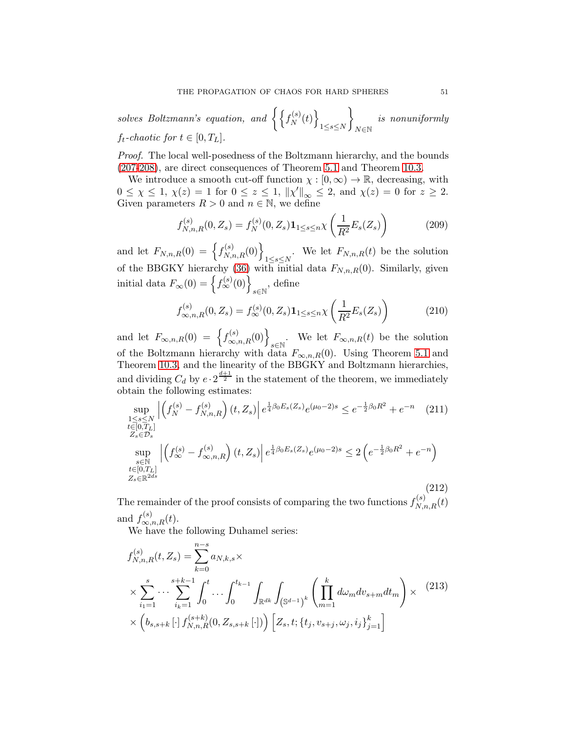solves Boltzmann's equation, and  $\left\{\left\{f_N^{(s)}\right\}\right\}$  $\left.\begin{array}{c} \lambda^{(s)}(t) \lambda^{(s)} \end{array}\right\}$  $1\leq s\leq N$ <u>}</u>  $N\in\mathbb{N}$ is nonuniformly  $f_t$ -chaotic for  $t \in [0, T_L]$ .

Proof. The local well-posedness of the Boltzmann hierarchy, and the bounds [\(207](#page-49-2)[-208\)](#page-49-3), are direct consequences of Theorem [5.1](#page-21-1) and Theorem [10.3.](#page-45-0)

We introduce a smooth cut-off function  $\chi : [0, \infty) \to \mathbb{R}$ , decreasing, with  $0 \leq \chi \leq 1, \chi(z) = 1$  for  $0 \leq z \leq 1, \| \chi' \|_{\infty} \leq 2$ , and  $\chi(z) = 0$  for  $z \geq 2$ . Given parameters  $R > 0$  and  $n \in \mathbb{N}$ , we define

$$
f_{N,n,R}^{(s)}(0,Z_s) = f_N^{(s)}(0,Z_s) \mathbf{1}_{1 \le s \le n} \chi \left(\frac{1}{R^2} E_s(Z_s)\right) \tag{209}
$$

and let  $F_{N,n,R}(0) = \left\{ f_{N,n,R}^{(s)}(0) \right\}_{1 \leq s \leq N}$ . We let  $F_{N,n,R}(t)$  be the solution of the BBGKY hierarchy [\(36\)](#page-16-0) with initial data  $F_{N,n,R}(0)$ . Similarly, given initial data  $F_{\infty}(0) = \left\{ f_{\infty}^{(s)}(0) \right\}_{s \in \mathbb{N}},$  define

$$
f_{\infty,n,R}^{(s)}(0,Z_s) = f_{\infty}^{(s)}(0,Z_s) \mathbf{1}_{1 \le s \le n} \chi\left(\frac{1}{R^2} E_s(Z_s)\right) \tag{210}
$$

and let  $F_{\infty,n,R}(0) = \left\{ f_{\infty,n,R}^{(s)}(0) \right\}_{s \in \mathbb{N}}$ . We let  $F_{\infty,n,R}(t)$  be the solution of the Boltzmann hierarchy with data  $F_{\infty,n,R}(0)$ . Using Theorem [5.1](#page-21-1) and Theorem [10.3,](#page-45-0) and the linearity of the BBGKY and Boltzmann hierarchies, and dividing  $C_d$  by  $e \cdot 2^{\frac{d+1}{2}}$  in the statement of the theorem, we immediately obtain the following estimates:

$$
\sup_{\substack{1 \le s \le N \\ t \in [0, T_L] \\ Z_s \in \mathcal{D}_s}} \left| \left( f_N^{(s)} - f_{N,n,R}^{(s)} \right) (t, Z_s) \right| e^{\frac{1}{4} \beta_0 E_s (Z_s)} e^{(\mu_0 - 2)s} \le e^{-\frac{1}{2} \beta_0 R^2} + e^{-n} \quad (211)
$$
\n
$$
\sup_{\substack{s \in \mathbb{N} \\ t \in [0, T_L]}} \left| \left( f_\infty^{(s)} - f_{\infty, n, R}^{(s)} \right) (t, Z_s) \right| e^{\frac{1}{4} \beta_0 E_s (Z_s)} e^{(\mu_0 - 2)s} \le 2 \left( e^{-\frac{1}{2} \beta_0 R^2} + e^{-n} \right)
$$
\n
$$
\sup_{t \in [0, T_L]} \left| \left( f_\infty^{(s)} - f_{\infty, n, R}^{(s)} \right) (t, Z_s) \right| e^{\frac{1}{4} \beta_0 E_s (Z_s)} e^{(\mu_0 - 2)s} \le 2 \left( e^{-\frac{1}{2} \beta_0 R^2} + e^{-n} \right) \tag{212}
$$

The remainder of the proof consists of comparing the two functions  $f_{N,n,R}^{(s)}(t)$ and  $f_{\infty,n,R}^{(s)}(t)$ .

We have the following Duhamel series:

<span id="page-50-0"></span>
$$
f_{N,n,R}^{(s)}(t, Z_s) = \sum_{k=0}^{n-s} a_{N,k,s} \times \sum_{i_1=1}^{s} \cdots \sum_{i_k=1}^{s+k-1} \int_0^t \cdots \int_0^{t_{k-1}} \int_{\mathbb{R}^{dk}} \int_{(\mathbb{S}^{d-1})^k} \left( \prod_{m=1}^k d\omega_m dv_{s+m} dt_m \right) \times (213) \times \left( b_{s,s+k} \left[ \cdot \right] f_{N,n,R}^{(s+k)}(0, Z_{s,s+k} \left[ \cdot \right]) \right) \left[ Z_s, t; \{ t_j, v_{s+j}, \omega_j, i_j \}_{j=1}^k \right]
$$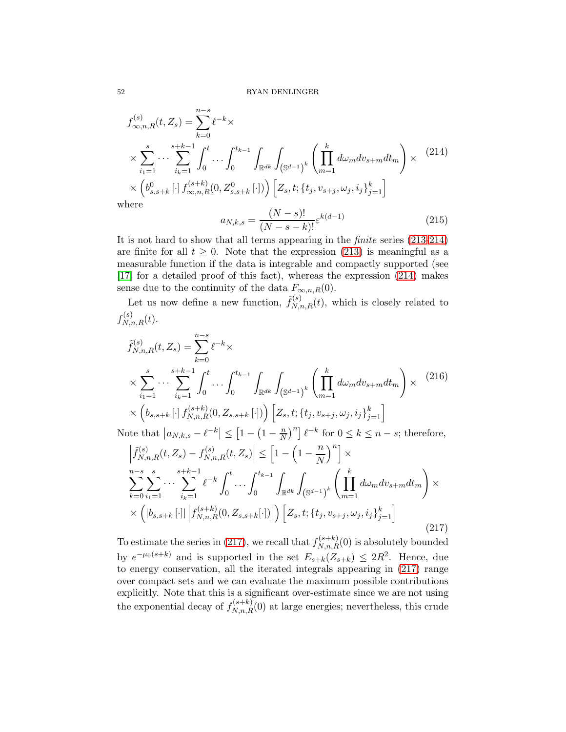<span id="page-51-0"></span>
$$
f_{\infty,n,R}^{(s)}(t, Z_s) = \sum_{k=0}^{n-s} \ell^{-k} \times \times \sum_{i_1=1}^{s+k-1} \int_0^t \dots \int_0^{t_{k-1}} \int_{\mathbb{R}^{dk}} \int_{(\mathbb{S}^{d-1})^k} \left( \prod_{m=1}^k d\omega_m dv_{s+m} dt_m \right) \times (214) \times \left( b_{s,s+k}^0 [\cdot] \int_{\infty,n,R}^{(s+k)} (0, Z_{s,s+k}^0 [\cdot]) \right) \left[ Z_s, t; \{ t_j, v_{s+j}, \omega_j, i_j \}_{j=1}^k \right]
$$
\nhere\n
$$
(N, \infty)
$$

$$
a_{N,k,s} = \frac{(N-s)!}{(N-s-k)!} \varepsilon^{k(d-1)}
$$
\n(215)

It is not hard to show that all terms appearing in the finite series [\(213-](#page-50-0)[214\)](#page-51-0) are finite for all  $t \geq 0$ . Note that the expression [\(213\)](#page-50-0) is meaningful as a measurable function if the data is integrable and compactly supported (see [\[17\]](#page-67-13) for a detailed proof of this fact), whereas the expression [\(214\)](#page-51-0) makes sense due to the continuity of the data  $F_{\infty,n,R}(0)$ .

Let us now define a new function,  $\tilde{f}_{N,n,R}^{(s)}(t)$ , which is closely related to  $f_{N,n,R}^{(s)}(t)$ .

<span id="page-51-2"></span>
$$
\tilde{f}_{N,n,R}^{(s)}(t, Z_s) = \sum_{k=0}^{n-s} \ell^{-k} \times \times \sum_{i_1=1}^{s+k-1} \int_0^t \dots \int_0^{t_{k-1}} \int_{\mathbb{R}^{dk}} \int_{(\mathbb{S}^{d-1})^k} \left( \prod_{m=1}^k d\omega_m dv_{s+m} dt_m \right) \times (216) \times \left( b_{s,s+k} \left[ \cdot \right] f_{N,n,R}^{(s+k)}(0, Z_{s,s+k} \left[ \cdot \right]) \right) \left[ Z_s, t; \{ t_j, v_{s+j}, \omega_j, i_j \}_{j=1}^k \right]
$$
\nNote that  $|z_{N,k}| \leq \lfloor 1, (1-n)^n \rfloor e^{-k}$  for  $0 \leq k \leq n$ ,  $e$ ; therefore

Note that  $|a_{N,k,s} - \ell^{-k}| \leq [1 - (1 - \frac{n}{N})]$  $\left(\frac{n}{N}\right)^n$   $\left[\ell^{-k} \text{ for } 0 \leq k \leq n-s \text{; therefore,}\right]$ 

<span id="page-51-1"></span>
$$
\left| \tilde{f}_{N,n,R}^{(s)}(t, Z_s) - f_{N,n,R}^{(s)}(t, Z_s) \right| \leq \left[ 1 - \left( 1 - \frac{n}{N} \right)^n \right] \times \sum_{k=0}^{n-s} \sum_{i_1=1}^{s} \cdots \sum_{i_k=1}^{s+k-1} \ell^{-k} \int_0^t \cdots \int_0^{t_{k-1}} \int_{\mathbb{R}^{dk}} \int_{(\mathbb{S}^{d-1})^k} \left( \prod_{m=1}^k d\omega_m dv_{s+m} dt_m \right) \times \times \left( |b_{s,s+k}[\cdot] | \left| f_{N,n,R}^{(s+k)}(0, Z_{s,s+k}[\cdot]) \right| \right) \left[ Z_s, t; \{ t_j, v_{s+j}, \omega_j, i_j \}_{j=1}^k \right]
$$
\n(217)

To estimate the series in [\(217\)](#page-51-1), we recall that  $f_{N,n,R}^{(s+k)}(0)$  is absolutely bounded by  $e^{-\mu_0(s+k)}$  and is supported in the set  $E_{s+k}(Z_{s+k}) \leq 2R^2$ . Hence, due to energy conservation, all the iterated integrals appearing in [\(217\)](#page-51-1) range over compact sets and we can evaluate the maximum possible contributions explicitly. Note that this is a significant over-estimate since we are not using the exponential decay of  $f_{N,n,R}^{(s+k)}(0)$  at large energies; nevertheless, this crude

 $W$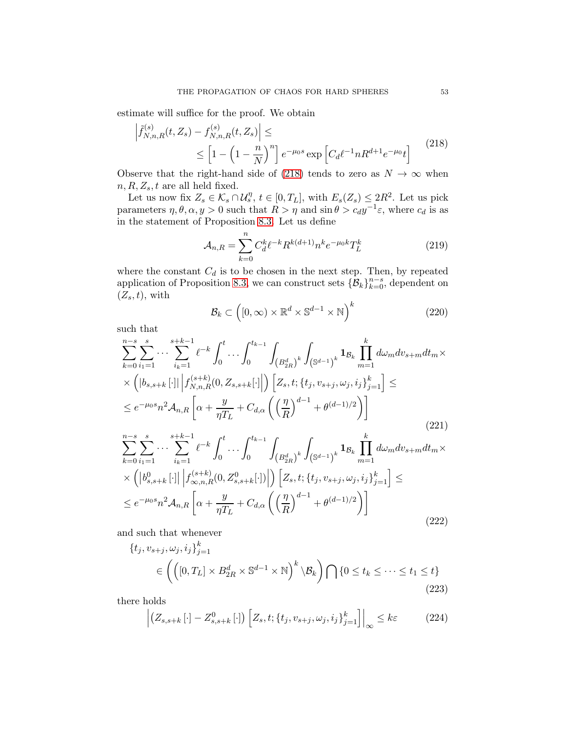estimate will suffice for the proof. We obtain

<span id="page-52-0"></span>
$$
\left| \tilde{f}_{N,n,R}^{(s)}(t, Z_s) - f_{N,n,R}^{(s)}(t, Z_s) \right| \le
$$
\n
$$
\le \left[ 1 - \left( 1 - \frac{n}{N} \right)^n \right] e^{-\mu_0 s} \exp \left[ C_d \ell^{-1} n R^{d+1} e^{-\mu_0 t} \right]
$$
\n(218)

Observe that the right-hand side of [\(218\)](#page-52-0) tends to zero as  $N \to \infty$  when  $n, R, Z_s, t$  are all held fixed.

Let us now fix  $Z_s \in \mathcal{K}_s \cap \mathcal{U}_s^n$ ,  $t \in [0, T_L]$ , with  $E_s(Z_s) \leq 2R^2$ . Let us pick parameters  $\eta, \theta, \alpha, y > 0$  such that  $R > \eta$  and  $\sin \theta > c_d y^{-1} \varepsilon$ , where  $c_d$  is as in the statement of Proposition [8.3.](#page-32-2) Let us define

$$
\mathcal{A}_{n,R} = \sum_{k=0}^{n} C_d^k \ell^{-k} R^{k(d+1)} n^k e^{-\mu_0 k} T_L^k \tag{219}
$$

where the constant  $C_d$  is to be chosen in the next step. Then, by repeated application of Proposition [8.3,](#page-32-2) we can construct sets  $\{\mathcal{B}_k\}_{k=0}^{n-s}$ , dependent on  $(Z_s, t)$ , with

$$
\mathcal{B}_k \subset \left( [0, \infty) \times \mathbb{R}^d \times \mathbb{S}^{d-1} \times \mathbb{N} \right)^k \tag{220}
$$

such that

$$
\sum_{k=0}^{n-s} \sum_{i_1=1}^{s} \cdots \sum_{i_k=1}^{s+k-1} \ell^{-k} \int_0^t \cdots \int_0^{t_{k-1}} \int_{(B_{2R}^d)^k} \int_{(\mathbb{S}^{d-1})^k} \mathbf{1}_{\mathcal{B}_k} \prod_{m=1}^k d\omega_m dv_{s+m} dt_m \times
$$
  
\n
$$
\times \left( |b_{s,s+k}[\cdot]| \left| f_{N,n,R}^{(s+k)}(0, Z_{s,s+k}[\cdot]|) \right| \left[ Z_s, t; \{t_j, v_{s+j}, \omega_j, i_j\}_{j=1}^k \right] \le
$$
  
\n
$$
\le e^{-\mu_0 s} n^2 \mathcal{A}_{n,R} \left[ \alpha + \frac{y}{\eta T_L} + C_{d,\alpha} \left( \left( \frac{\eta}{R} \right)^{d-1} + \theta^{(d-1)/2} \right) \right]
$$
\n(221)

$$
\sum_{k=0}^{n-s} \sum_{i_1=1}^s \cdots \sum_{i_k=1}^{s+k-1} \ell^{-k} \int_0^t \cdots \int_0^{t_{k-1}} \int_{(B_{2R}^d)^k} \int_{(\mathbb{S}^{d-1})^k} \mathbf{1}_{\mathcal{B}_k} \prod_{m=1}^k d\omega_m dv_{s+m} dt_m \times
$$
  
\n
$$
\times \left( |b_{s,s+k}^0[ \cdot] | \left| f_{\infty,n,R}^{(s+k)}(0, Z_{s,s+k}^0[ \cdot] ) \right| \right) \left[ Z_s, t; \{t_j, v_{s+j}, \omega_j, i_j\}_{j=1}^k \right] \le
$$
  
\n
$$
\le e^{-\mu_0 s} n^2 \mathcal{A}_{n,R} \left[ \alpha + \frac{y}{\eta T_L} + C_{d,\alpha} \left( \left( \frac{\eta}{R} \right)^{d-1} + \theta^{(d-1)/2} \right) \right]
$$
\n(222)

and such that whenever

$$
\{t_j, v_{s+j}, \omega_j, i_j\}_{j=1}^k
$$
  

$$
\in \left( \left( [0, T_L] \times B_{2R}^d \times \mathbb{S}^{d-1} \times \mathbb{N} \right)^k \setminus \mathcal{B}_k \right) \bigcap \{ 0 \le t_k \le \dots \le t_1 \le t \}
$$
  
(223)

there holds

<span id="page-52-1"></span>
$$
\left| \left( Z_{s,s+k} \left[ \cdot \right] - Z_{s,s+k}^0 \left[ \cdot \right] \right) \left[ Z_s, t; \{ t_j, v_{s+j}, \omega_j, i_j \}_{j=1}^k \right] \right|_\infty \leq k\varepsilon \tag{224}
$$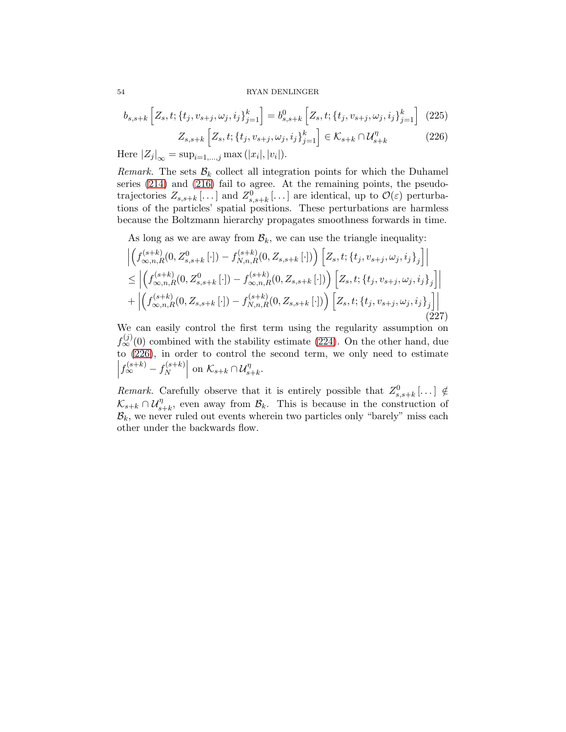$$
b_{s,s+k} \left[ Z_s, t; \{ t_j, v_{s+j}, \omega_j, i_j \}_{j=1}^k \right] = b_{s,s+k}^0 \left[ Z_s, t; \{ t_j, v_{s+j}, \omega_j, i_j \}_{j=1}^k \right] \tag{225}
$$

<span id="page-53-0"></span>
$$
Z_{s,s+k}\left[Z_s,t;\{t_j,v_{s+j},\omega_j,i_j\}_{j=1}^k\right] \in \mathcal{K}_{s+k} \cap \mathcal{U}_{s+k}^{\eta}
$$
\n
$$
(226)
$$

Here  $|Z_j|_{\infty} = \sup_{i=1,...,j} \max(|x_i|, |v_i|).$ 

Remark. The sets  $\mathcal{B}_k$  collect all integration points for which the Duhamel series [\(214\)](#page-51-0) and [\(216\)](#page-51-2) fail to agree. At the remaining points, the pseudotrajectories  $Z_{s,s+k}$ [...] and  $Z_{s,s+k}^0$ [...] are identical, up to  $\mathcal{O}(\varepsilon)$  perturbations of the particles' spatial positions. These perturbations are harmless because the Boltzmann hierarchy propagates smoothness forwards in time.

As long as we are away from  $\mathcal{B}_k$ , we can use the triangle inequality:

$$
\left| \left( f^{(s+k)}_{\infty,n,R}(0,Z_{s,s+k}^{0}\left[\cdot\right]) - f^{(s+k)}_{N,n,R}(0,Z_{s,s+k}\left[\cdot\right]) \right) \left[ Z_s, t; \{t_j, v_{s+j}, \omega_j, i_j\}_j \right] \right|
$$
  
\n
$$
\leq \left| \left( f^{(s+k)}_{\infty,n,R}(0,Z_{s,s+k}^{0}\left[\cdot\right]) - f^{(s+k)}_{\infty,n,R}(0,Z_{s,s+k}\left[\cdot\right]) \right) \left[ Z_s, t; \{t_j, v_{s+j}, \omega_j, i_j\}_j \right] \right|
$$
  
\n
$$
+ \left| \left( f^{(s+k)}_{\infty,n,R}(0,Z_{s,s+k}\left[\cdot\right]) - f^{(s+k)}_{N,n,R}(0,Z_{s,s+k}\left[\cdot\right]) \right) \left[ Z_s, t; \{t_j, v_{s+j}, \omega_j, i_j\}_j \right] \right|
$$
  
\n(227)

We can easily control the first term using the regularity assumption on  $f_{\infty}^{(j)}(0)$  combined with the stability estimate [\(224\)](#page-52-1). On the other hand, due to [\(226\)](#page-53-0), in order to control the second term, we only need to estimate  $\left| f_{\infty}^{(s+k)} - f_{N}^{(s+k)} \right|$  $\begin{vmatrix} \lambda(s+k) \\ N \end{vmatrix}$  on  $\mathcal{K}_{s+k} \cap \mathcal{U}_{s+k}^{\eta}$ .

Remark. Carefully observe that it is entirely possible that  $Z_{s,s+k}^0$ [...]  $\notin$  $\mathcal{K}_{s+k} \cap \mathcal{U}_{s+k}^{\eta}$ , even away from  $\mathcal{B}_k$ . This is because in the construction of  $\mathcal{B}_k$ , we never ruled out events wherein two particles only "barely" miss each other under the backwards flow.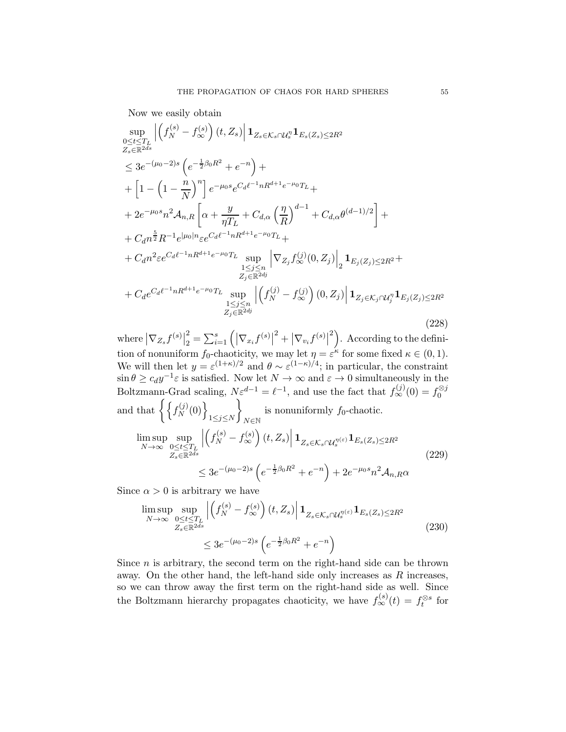Now we easily obtain

$$
\sup_{0 \leq t \leq T_{L}} \left| \left( f_{N}^{(s)} - f_{\infty}^{(s)} \right) (t, Z_{s}) \right| \mathbf{1}_{Z_{s} \in \mathcal{K}_{s} \cap \mathcal{U}_{s}^{\eta}} \mathbf{1}_{E_{s}(Z_{s}) \leq 2R^{2}}
$$
\n
$$
\leq 3e^{-(\mu_{0}-2)s} \left( e^{-\frac{1}{2}\beta_{0}R^{2}} + e^{-n} \right) +
$$
\n
$$
+ \left[ 1 - \left( 1 - \frac{n}{N} \right)^{n} \right] e^{-\mu_{0}s} e^{C_{d} \ell^{-1} n R^{d+1} e^{-\mu_{0}} T_{L}} +
$$
\n
$$
+ 2e^{-\mu_{0}s} n^{2} \mathcal{A}_{n,R} \left[ \alpha + \frac{y}{\eta T_{L}} + C_{d,\alpha} \left( \frac{\eta}{R} \right)^{d-1} + C_{d,\alpha} \theta^{(d-1)/2} \right] +
$$
\n
$$
+ C_{d} n^{\frac{5}{2}} R^{-1} e^{|\mu_{0}| n} \varepsilon e^{C_{d} \ell^{-1} n R^{d+1} e^{-\mu_{0}} T_{L}} +
$$
\n
$$
+ C_{d} n^{2} \varepsilon e^{C_{d} \ell^{-1} n R^{d+1} e^{-\mu_{0}} T_{L}} \sup_{\substack{1 \leq j \leq n \\ Z_{j} \in \mathbb{R}^{2dj}}} \left| \nabla_{Z_{j}} f_{\infty}^{(j)}(0, Z_{j}) \right|_{2} \mathbf{1}_{E_{j}(Z_{j}) \leq 2R^{2}} +
$$
\n
$$
+ C_{d} e^{C_{d} \ell^{-1} n R^{d+1} e^{-\mu_{0}} T_{L}} \sup_{\substack{1 \leq j \leq n \\ Z_{j} \in \mathbb{R}^{2dj}}} \left| \left( f_{N}^{(j)} - f_{\infty}^{(j)} \right) (0, Z_{j}) \right| \mathbf{1}_{Z_{j} \in \mathcal{K}_{j} \cap \mathcal{U}_{j}^{\eta}} \mathbf{1}_{E_{j}(Z_{j}) \leq 2R^{2}} \right| \tag{228}
$$

where  $\left|\nabla_{Z_s} f^{(s)}\right|$  $\sum_{i=1}^{2} = \sum_{i=1}^{s} (|\nabla_{x_i} f^{(s)}|)$  $2 + |\nabla_{v_i} f^{(s)}|$  $\binom{2}{1}$ . According to the definition of nonuniform  $f_0$ -chaoticity, we may let  $\eta = \varepsilon^{\kappa}$  for some fixed  $\kappa \in (0,1)$ . We will then let  $y = \varepsilon^{(1+\kappa)/2}$  and  $\theta \sim \varepsilon^{(1-\kappa)/4}$ ; in particular, the constraint  $\sin \theta \geq c_d y^{-1} \varepsilon$  is satisfied. Now let  $N \to \infty$  and  $\varepsilon \to 0$  simultaneously in the Boltzmann-Grad scaling,  $N\varepsilon^{d-1} = \ell^{-1}$ , and use the fact that  $f_{\infty}^{(j)}(0) = f_0^{\otimes j}$ <br>and that  $\left\{ \left\{ f_N^{(j)}(0) \right\} \right\}$  is nonuniformly  $f_0$ -chaotic.  $\left\{ \begin{matrix} (j)\ N\end{matrix}(0)\right\}$  $1\leq j \leq N$  $\mathcal{L}$  $N\in\mathbb{N}$ is nonuniformly  $f_0$ -chaotic. lim sup  $N\rightarrow\infty$ sup  $\sum_{S \in \mathbb{R}^{2ds}} 0 \leq t \leq T_L$  $\begin{array}{c} \begin{array}{c} \begin{array}{c} \end{array}\\ \begin{array}{c} \end{array} \end{array} \end{array}$  $\left(f_N^{(s)}-f_\infty^{(s)}\right)$ ∞  $\Big)$   $(t, Z_s)\Big|$  $\mathbf{1}_{Z_s \in \mathcal{K}_s \cap \mathcal{U}_s^{\eta(\varepsilon)}} \mathbf{1}_{E_s(Z_s) \leq 2R^2}$  $\leq 3e^{-(\mu_0-2)s}\left(e^{-\frac{1}{2}\beta_0R^2}+e^{-n}\right)+2e^{-\mu_0s}n^2{\cal A}_{n,R}\alpha$ (229)

Since  $\alpha > 0$  is arbitrary we have

$$
\limsup_{N \to \infty} \sup_{\substack{0 \le t \le T_L \\ Z_s \in \mathbb{R}^{2ds}}} \left| \left( f_N^{(s)} - f_\infty^{(s)} \right) (t, Z_s) \right| \mathbf{1}_{Z_s \in \mathcal{K}_s \cap \mathcal{U}_s^{\eta(\varepsilon)}} \mathbf{1}_{E_s(Z_s) \le 2R^2}
$$
\n
$$
\le 3e^{-(\mu_0 - 2)s} \left( e^{-\frac{1}{2}\beta_0 R^2} + e^{-n} \right)
$$
\n(230)

Since  $n$  is arbitrary, the second term on the right-hand side can be thrown away. On the other hand, the left-hand side only increases as  $R$  increases, so we can throw away the first term on the right-hand side as well. Since the Boltzmann hierarchy propagates chaoticity, we have  $f_{\infty}^{(s)}(t) = f_t^{\otimes s}$  for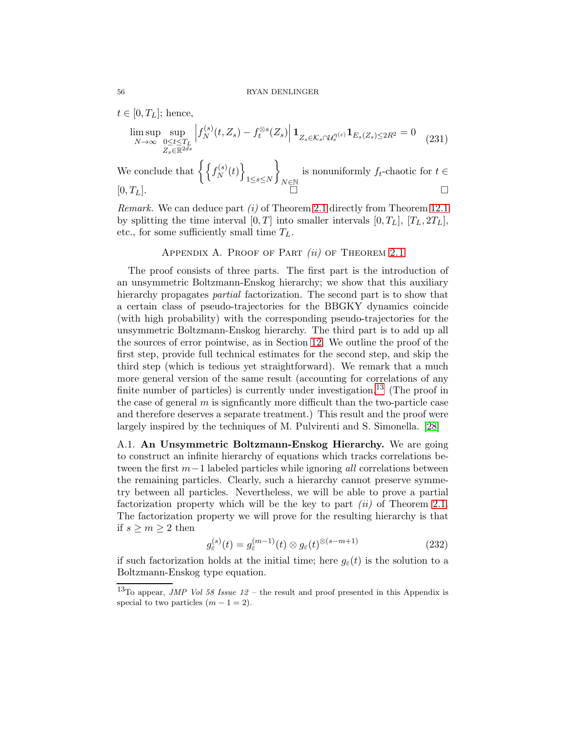$t \in [0, T<sub>L</sub>];$  hence,

$$
\limsup_{N \to \infty} \sup_{\substack{0 \le t \le T_L \\ Z_s \in \mathbb{R}^{2ds}}} \left| f_N^{(s)}(t, Z_s) - f_t^{\otimes s}(Z_s) \right| \mathbf{1}_{Z_s \in \mathcal{K}_s \cap \mathcal{U}_s^{\eta(\varepsilon)}} \mathbf{1}_{E_s(Z_s) \le 2R^2} = 0 \tag{231}
$$

We conclude that  $\left\{ \int_{N}^{(s)}$  $\left\{ \begin{matrix} s\ N \end{matrix} (t) \right\}$  $1\leq s\leq N$  $\mathcal{L}$ <sup>N</sup>∈<sup>N</sup> is nonuniformly  $f_t$ -chaotic for  $t \in$  $[0, T<sub>L</sub>].$ 

Remark. We can deduce part (i) of Theorem [2.1](#page-9-0) directly from Theorem [12.1](#page-49-1) by splitting the time interval  $[0, T]$  into smaller intervals  $[0, T<sub>L</sub>], [T<sub>L</sub>, 2T<sub>L</sub>],$ etc., for some sufficiently small time  $T_L$ .

# APPENDIX A. PROOF OF PART (ii) OF THEOREM [2.1](#page-9-0)

<span id="page-55-0"></span>The proof consists of three parts. The first part is the introduction of an unsymmetric Boltzmann-Enskog hierarchy; we show that this auxiliary hierarchy propagates *partial* factorization. The second part is to show that a certain class of pseudo-trajectories for the BBGKY dynamics coincide (with high probability) with the corresponding pseudo-trajectories for the unsymmetric Boltzmann-Enskog hierarchy. The third part is to add up all the sources of error pointwise, as in Section [12.](#page-49-0) We outline the proof of the first step, provide full technical estimates for the second step, and skip the third step (which is tedious yet straightforward). We remark that a much more general version of the same result (accounting for correlations of any finite number of particles) is currently under investigation.<sup>[13](#page-55-1)</sup> (The proof in the case of general  $m$  is signficantly more difficult than the two-particle case and therefore deserves a separate treatment.) This result and the proof were largely inspired by the techniques of M. Pulvirenti and S. Simonella. [\[28\]](#page-67-17)

A.1. An Unsymmetric Boltzmann-Enskog Hierarchy. We are going to construct an infinite hierarchy of equations which tracks correlations between the first  $m-1$  labeled particles while ignoring all correlations between the remaining particles. Clearly, such a hierarchy cannot preserve symmetry between all particles. Nevertheless, we will be able to prove a partial factorization property which will be the key to part  $(ii)$  of Theorem [2.1.](#page-9-0) The factorization property we will prove for the resulting hierarchy is that if  $s \geq m \geq 2$  then

$$
g_{\varepsilon}^{(s)}(t) = g_{\varepsilon}^{(m-1)}(t) \otimes g_{\varepsilon}(t)^{\otimes (s-m+1)}
$$
\n(232)

if such factorization holds at the initial time; here  $g_{\varepsilon}(t)$  is the solution to a Boltzmann-Enskog type equation.

<span id="page-55-1"></span><sup>&</sup>lt;sup>13</sup>To appear, *JMP Vol 58 Issue 12* – the result and proof presented in this Appendix is special to two particles  $(m - 1 = 2)$ .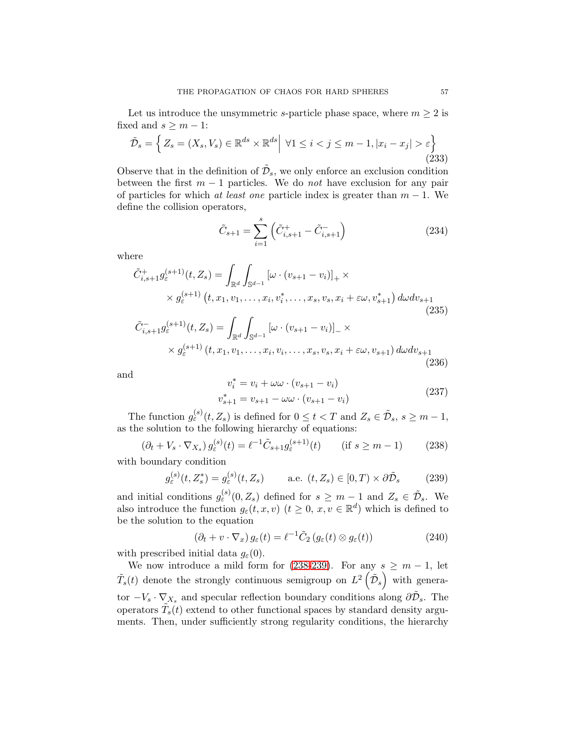Let us introduce the unsymmetric s-particle phase space, where  $m \geq 2$  is fixed and  $s \geq m - 1$ :

$$
\tilde{\mathcal{D}}_s = \left\{ Z_s = (X_s, V_s) \in \mathbb{R}^{ds} \times \mathbb{R}^{ds} \middle| \ \forall 1 \le i < j \le m - 1, |x_i - x_j| > \varepsilon \right\} \tag{233}
$$

Observe that in the definition of  $\tilde{\mathcal{D}}_s$ , we only enforce an exclusion condition between the first  $m - 1$  particles. We do not have exclusion for any pair of particles for which at least one particle index is greater than  $m - 1$ . We define the collision operators,

<span id="page-56-3"></span>
$$
\tilde{C}_{s+1} = \sum_{i=1}^{s} \left( \tilde{C}_{i,s+1}^{+} - \tilde{C}_{i,s+1}^{-} \right)
$$
\n(234)

where

$$
\tilde{C}_{i,s+1}^{+}g_{\varepsilon}^{(s+1)}(t, Z_s) = \int_{\mathbb{R}^d} \int_{\mathbb{S}^{d-1}} \left[ \omega \cdot (v_{s+1} - v_i) \right]_+ \times \times g_{\varepsilon}^{(s+1)}(t, x_1, v_1, \dots, x_i, v_i^*, \dots, x_s, v_s, x_i + \varepsilon \omega, v_{s+1}^*) d\omega dv_{s+1} \n\tilde{C}_{i,s+1}^{-}g_{\varepsilon}^{(s+1)}(t, Z_s) = \int_{\mathbb{R}^d} \int_{\mathbb{S}^{d-1}} \left[ \omega \cdot (v_{s+1} - v_i) \right]_- \times
$$
\n(235)

<span id="page-56-4"></span>
$$
\times g_{\varepsilon}^{(s+1)}(t, x_1, v_1, \dots, x_i, v_i, \dots, x_s, v_s, x_i + \varepsilon \omega, v_{s+1}) d\omega dv_{s+1}
$$
\n(236)

and

$$
v_i^* = v_i + \omega \omega \cdot (v_{s+1} - v_i)
$$
  
\n
$$
v_{s+1}^* = v_{s+1} - \omega \omega \cdot (v_{s+1} - v_i)
$$
\n(237)

The function  $g_{\varepsilon}^{(s)}(t, Z_s)$  is defined for  $0 \le t < T$  and  $Z_s \in \tilde{\mathcal{D}}_s$ ,  $s \ge m - 1$ , as the solution to the following hierarchy of equations:

<span id="page-56-0"></span>
$$
(\partial_t + V_s \cdot \nabla_{X_s}) g_{\varepsilon}^{(s)}(t) = \ell^{-1} \tilde{C}_{s+1} g_{\varepsilon}^{(s+1)}(t) \qquad (\text{if } s \ge m-1)
$$
 (238)

with boundary condition

<span id="page-56-1"></span>
$$
g_{\varepsilon}^{(s)}(t, Z_s^*) = g_{\varepsilon}^{(s)}(t, Z_s) \qquad \text{a.e. } (t, Z_s) \in [0, T) \times \partial \tilde{\mathcal{D}}_s \tag{239}
$$

and initial conditions  $g_{\varepsilon}^{(s)}(0, Z_s)$  defined for  $s \geq m-1$  and  $Z_s \in \tilde{\mathcal{D}}_s$ . We also introduce the function  $g_{\varepsilon}(t, x, v)$   $(t \geq 0, x, v \in \mathbb{R}^d)$  which is defined to be the solution to the equation

<span id="page-56-2"></span>
$$
(\partial_t + v \cdot \nabla_x) g_{\varepsilon}(t) = \ell^{-1} \tilde{C}_2 (g_{\varepsilon}(t) \otimes g_{\varepsilon}(t))
$$
\n(240)

with prescribed initial data  $g_{\varepsilon}(0)$ .

We now introduce a mild form for [\(238](#page-56-0)[-239\)](#page-56-1). For any  $s \geq m-1$ , let  $\tilde{T}_s(t)$  denote the strongly continuous semigroup on  $L^2(\tilde{\mathcal{D}}_s)$  with generator  $-V_s \cdot \nabla_{X_s}$  and specular reflection boundary conditions along  $\partial \tilde{\mathcal{D}}_s$ . The operators  $\tilde{T}_s(t)$  extend to other functional spaces by standard density arguments. Then, under sufficiently strong regularity conditions, the hierarchy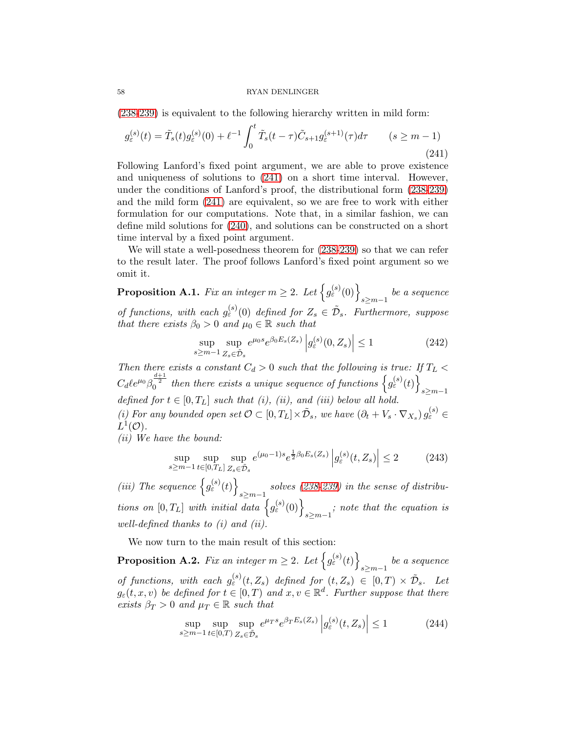[\(238](#page-56-0)[-239\)](#page-56-1) is equivalent to the following hierarchy written in mild form:

<span id="page-57-0"></span>
$$
g_{\varepsilon}^{(s)}(t) = \tilde{T}_s(t)g_{\varepsilon}^{(s)}(0) + \ell^{-1} \int_0^t \tilde{T}_s(t-\tau)\tilde{C}_{s+1}g_{\varepsilon}^{(s+1)}(\tau)d\tau \qquad (s \ge m-1)
$$
\n(241)

Following Lanford's fixed point argument, we are able to prove existence and uniqueness of solutions to [\(241\)](#page-57-0) on a short time interval. However, under the conditions of Lanford's proof, the distributional form [\(238-](#page-56-0)[239\)](#page-56-1) and the mild form [\(241\)](#page-57-0) are equivalent, so we are free to work with either formulation for our computations. Note that, in a similar fashion, we can define mild solutions for [\(240\)](#page-56-2), and solutions can be constructed on a short time interval by a fixed point argument.

We will state a well-posedness theorem for [\(238-](#page-56-0)[239\)](#page-56-1) so that we can refer to the result later. The proof follows Lanford's fixed point argument so we omit it.

<span id="page-57-1"></span>**Proposition A.1.** Fix an integer  $m \geq 2$ . Let  $\left\{ g_{\varepsilon}^{(s)}(0) \right\}$  $s \geq m-1$ be a sequence of functions, with each  $g_{\varepsilon}^{(s)}(0)$  defined for  $Z_s \in \tilde{\mathcal{D}}_s$ . Furthermore, suppose that there exists  $\beta_0 > 0$  and  $\mu_0 \in \mathbb{R}$  such that

$$
\sup_{s \ge m-1} \sup_{Z_s \in \tilde{\mathcal{D}}_s} e^{\mu_0 s} e^{\beta_0 E_s(Z_s)} \left| g_{\varepsilon}^{(s)}(0, Z_s) \right| \le 1 \tag{242}
$$

Then there exists a constant  $C_d > 0$  such that the following is true: If  $T_L$  <  $C_d \ell e^{\mu_0} \beta_0^{\frac{d+1}{2}}$  then there exists a unique sequence of functions  $\left\{g^{(s)}_\varepsilon(t)\right\}$  $s \geq m-1$ defined for  $t \in [0, T<sub>L</sub>]$  such that (i), (ii), and (iii) below all hold. (i) For any bounded open set  $\mathcal{O} \subset [0,T_L] \times \tilde{\mathcal{D}}_s$ , we have  $(\partial_t + V_s \cdot \nabla_{X_s}) g^{(s)}_{\varepsilon} \in$  $L^1(\mathcal{O})$ .

(ii) We have the bound:

$$
\sup_{s \ge m-1} \sup_{t \in [0,T_L]} \sup_{Z_s \in \tilde{\mathcal{D}}_s} e^{(\mu_0 - 1)s} e^{\frac{1}{2}\beta_0 E_s(Z_s)} \left| g_{\varepsilon}^{(s)}(t, Z_s) \right| \le 2 \tag{243}
$$

(iii) The sequence  $\left\{ g_{\varepsilon}^{(s)}(t) \right\}$  $s \geq m-1$ solves [\(238](#page-56-0)[-239\)](#page-56-1) in the sense of distributions on  $[0, T<sub>L</sub>]$  with initial data  $\left\{ g_{\varepsilon}^{(s)}(0) \right\}$  $s \geq m-1$ ; note that the equation is well-defined thanks to  $(i)$  and  $(ii)$ .

We now turn to the main result of this section:

<span id="page-57-2"></span>**Proposition A.2.** Fix an integer  $m \geq 2$ . Let  $\left\{ g^{(s)}_{\varepsilon}(t) \right\}$  $s \geq m-1$ be a sequence of functions, with each  $g_{\varepsilon}^{(s)}(t, Z_s)$  defined for  $(t, Z_s) \in [0, T) \times \tilde{\mathcal{D}}_s$ . Let  $g_{\varepsilon}(t,x,v)$  be defined for  $t \in [0,T)$  and  $x,v \in \mathbb{R}^d$ . Further suppose that there exists  $\beta_T > 0$  and  $\mu_T \in \mathbb{R}$  such that

$$
\sup_{s \ge m-1} \sup_{t \in [0,T)} \sup_{Z_s \in \tilde{\mathcal{D}}_s} e^{\mu_T s} e^{\beta_T E_s(Z_s)} \left| g_{\varepsilon}^{(s)}(t, Z_s) \right| \le 1 \tag{244}
$$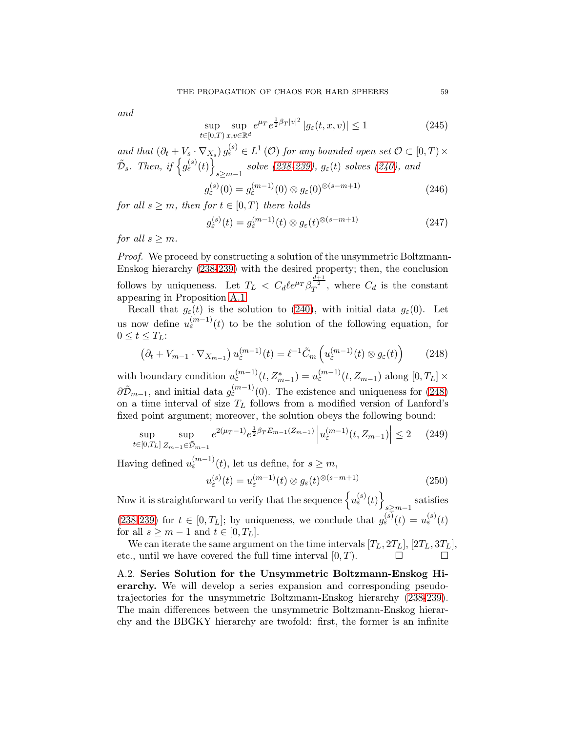and

$$
\sup_{t \in [0,T)} \sup_{x,v \in \mathbb{R}^d} e^{\mu_T} e^{\frac{1}{2}\beta_T |v|^2} |g_{\varepsilon}(t,x,v)| \le 1
$$
\n(245)

and that  $(\partial_t + V_s \cdot \nabla_{X_s}) g^{(s)}_\varepsilon \in L^1(\mathcal{O})$  for any bounded open set  $\mathcal{O} \subset [0,T) \times$  $\tilde{\mathcal{D}}_s$ . Then, if  $\left\{ g^{(s)}_{\varepsilon}(t) \right\}$  $s \geq m-1$ solve [\(238-](#page-56-0)[239\)](#page-56-1),  $g_{\varepsilon}(t)$  solves [\(240\)](#page-56-2), and

$$
g_{\varepsilon}^{(s)}(0) = g_{\varepsilon}^{(m-1)}(0) \otimes g_{\varepsilon}(0)^{\otimes (s-m+1)}
$$
(246)

for all  $s \geq m$ , then for  $t \in [0, T)$  there holds

$$
g_{\varepsilon}^{(s)}(t) = g_{\varepsilon}^{(m-1)}(t) \otimes g_{\varepsilon}(t)^{\otimes (s-m+1)} \tag{247}
$$

for all  $s > m$ .

Proof. We proceed by constructing a solution of the unsymmetric Boltzmann-Enskog hierarchy [\(238](#page-56-0)[-239\)](#page-56-1) with the desired property; then, the conclusion follows by uniqueness. Let  $T_L < C_d \ell e^{\mu_T} \beta_T^{\frac{d+1}{2}}$ , where  $C_d$  is the constant appearing in Proposition [A.1.](#page-57-1)

Recall that  $g_{\varepsilon}(t)$  is the solution to [\(240\)](#page-56-2), with initial data  $g_{\varepsilon}(0)$ . Let us now define  $u_{\varepsilon}^{(m-1)}(t)$  to be the solution of the following equation, for  $0 \leq t \leq T_L$ :

<span id="page-58-0"></span>
$$
\left(\partial_t + V_{m-1} \cdot \nabla_{X_{m-1}}\right) u_{\varepsilon}^{(m-1)}(t) = \ell^{-1} \tilde{C}_m \left( u_{\varepsilon}^{(m-1)}(t) \otimes g_{\varepsilon}(t) \right) \tag{248}
$$

with boundary condition  $u_{\varepsilon}^{(m-1)}(t, Z_{m-1}^*) = u_{\varepsilon}^{(m-1)}(t, Z_{m-1})$  along  $[0, T_L] \times$  $\partial \tilde{\mathcal{D}}_{m-1}$ , and initial data  $g_{\varepsilon}^{(m-1)}(0)$ . The existence and uniqueness for [\(248\)](#page-58-0) on a time interval of size  $T_L$  follows from a modified version of Lanford's fixed point argument; moreover, the solution obeys the following bound:

$$
\sup_{t \in [0,T_L]} \sup_{Z_{m-1} \in \tilde{\mathcal{D}}_{m-1}} e^{2(\mu_T - 1)} e^{\frac{1}{2}\beta_T E_{m-1}(Z_{m-1})} \left| u_{\varepsilon}^{(m-1)}(t, Z_{m-1}) \right| \le 2 \quad (249)
$$

Having defined  $u_{\varepsilon}^{(m-1)}(t)$ , let us define, for  $s \geq m$ ,

$$
u_{\varepsilon}^{(s)}(t) = u_{\varepsilon}^{(m-1)}(t) \otimes g_{\varepsilon}(t)^{\otimes (s-m+1)}
$$
\n(250)

Now it is straightforward to verify that the sequence  $\left\{ u_{\varepsilon}^{(s)}(t) \right\}$  $s \geq m-1$ satisfies [\(238](#page-56-0)[-239\)](#page-56-1) for  $t \in [0, T<sub>L</sub>]$ ; by uniqueness, we conclude that  $g_{\varepsilon}^{(s)}(t) = u_{\varepsilon}^{(s)}(t)$ for all  $s \geq m-1$  and  $t \in [0, T_{L}]$ .

We can iterate the same argument on the time intervals  $[T_L, 2T_L]$ ,  $[2T_L, 3T_L]$ , etc., until we have covered the full time interval  $[0, T)$ .

A.2. Series Solution for the Unsymmetric Boltzmann-Enskog Hierarchy. We will develop a series expansion and corresponding pseudotrajectories for the unsymmetric Boltzmann-Enskog hierarchy [\(238-](#page-56-0)[239\)](#page-56-1). The main differences between the unsymmetric Boltzmann-Enskog hierarchy and the BBGKY hierarchy are twofold: first, the former is an infinite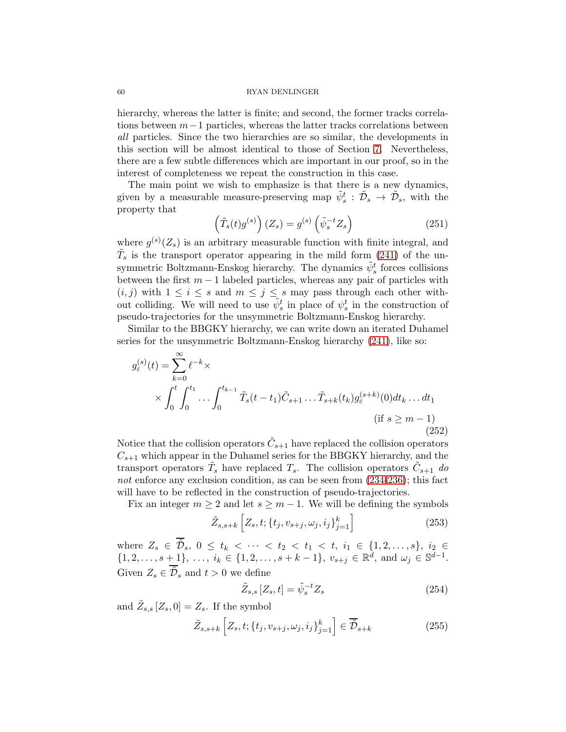hierarchy, whereas the latter is finite; and second, the former tracks correlations between  $m-1$  particles, whereas the latter tracks correlations between all particles. Since the two hierarchies are so similar, the developments in this section will be almost identical to those of Section [7.](#page-27-0) Nevertheless, there are a few subtle differences which are important in our proof, so in the interest of completeness we repeat the construction in this case.

The main point we wish to emphasize is that there is a new dynamics, given by a measurable measure-preserving map  $\tilde{\psi}_s^t : \tilde{\mathcal{D}}_s \to \tilde{\mathcal{D}}_s$ , with the property that

$$
\left(\tilde{T}_s(t)g^{(s)}\right)(Z_s) = g^{(s)}\left(\tilde{\psi}_s^{-t}Z_s\right) \tag{251}
$$

where  $g^{(s)}(Z_s)$  is an arbitrary measurable function with finite integral, and  $\tilde{T}_s$  is the transport operator appearing in the mild form [\(241\)](#page-57-0) of the unsymmetric Boltzmann-Enskog hierarchy. The dynamics  $\tilde{\psi}_s^t$  forces collisions between the first  $m-1$  labeled particles, whereas any pair of particles with  $(i, j)$  with  $1 \leq i \leq s$  and  $m \leq j \leq s$  may pass through each other without colliding. We will need to use  $\tilde{\psi}_s^t$  in place of  $\psi_s^t$  in the construction of pseudo-trajectories for the unsymmetric Boltzmann-Enskog hierarchy.

Similar to the BBGKY hierarchy, we can write down an iterated Duhamel series for the unsymmetric Boltzmann-Enskog hierarchy [\(241\)](#page-57-0), like so:

$$
g_{\varepsilon}^{(s)}(t) = \sum_{k=0}^{\infty} \ell^{-k} \times \times \int_{0}^{t} \int_{0}^{t_{1}} \dots \int_{0}^{t_{k-1}} \tilde{T}_{s}(t - t_{1}) \tilde{C}_{s+1} \dots \tilde{T}_{s+k}(t_{k}) g_{\varepsilon}^{(s+k)}(0) dt_{k} \dots dt_{1}
$$
\n(if  $s \ge m - 1$ )\n  
\n(252)

Notice that the collision operators  $\tilde{C}_{s+1}$  have replaced the collision operators  $C_{s+1}$  which appear in the Duhamel series for the BBGKY hierarchy, and the transport operators  $\tilde{T}_s$  have replaced  $T_s$ . The collision operators  $\tilde{C}_{s+1}$  do not enforce any exclusion condition, as can be seen from  $(234-236)$  $(234-236)$ ; this fact will have to be reflected in the construction of pseudo-trajectories.

Fix an integer  $m \geq 2$  and let  $s \geq m-1$ . We will be defining the symbols

$$
\tilde{Z}_{s,s+k}\left[Z_s, t; \{t_j, v_{s+j}, \omega_j, i_j\}_{j=1}^k\right]
$$
\n(253)

where  $Z_s \in \tilde{\mathcal{D}}_s, 0 \le t_k < \cdots < t_2 < t_1 < t, i_1 \in \{1, 2, \ldots, s\}, i_2 \in$  $\{1, 2, \ldots, s+1\}, \ldots, i_k \in \{1, 2, \ldots, s+k-1\}, v_{s+j} \in \mathbb{R}^d$ , and  $\omega_j \in \mathbb{S}^{d-1}$ . Given  $Z_s \in \tilde{\mathcal{D}}_s$  and  $t > 0$  we define

$$
\tilde{Z}_{s,s}\left[Z_s,t\right] = \tilde{\psi}_s^{-t} Z_s \tag{254}
$$

and  $\tilde{Z}_{s,s}[Z_s, 0] = Z_s$ . If the symbol

$$
\tilde{Z}_{s,s+k}\left[Z_s,t;\{t_j,v_{s+j},\omega_j,i_j\}_{j=1}^k\right] \in \overline{\tilde{\mathcal{D}}}_{s+k}
$$
\n(255)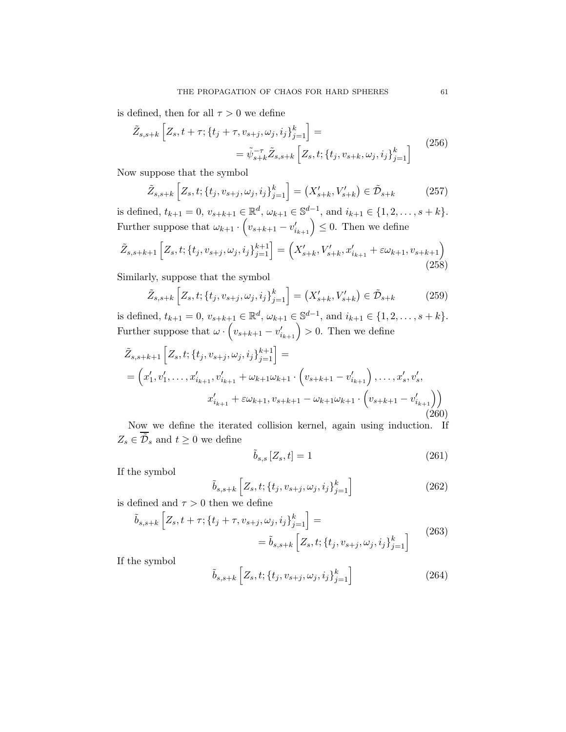is defined, then for all  $\tau > 0$  we define

$$
\tilde{Z}_{s,s+k} \left[ Z_s, t + \tau; \{ t_j + \tau, v_{s+j}, \omega_j, i_j \}_{j=1}^k \right] =
$$
\n
$$
= \tilde{\psi}_{s+k}^{-\tau} \tilde{Z}_{s,s+k} \left[ Z_s, t; \{ t_j, v_{s+k}, \omega_j, i_j \}_{j=1}^k \right]
$$
\n(256)

Now suppose that the symbol

$$
\tilde{Z}_{s,s+k} \left[ Z_s, t; \{ t_j, v_{s+j}, \omega_j, i_j \}_{j=1}^k \right] = \left( X'_{s+k}, V'_{s+k} \right) \in \tilde{\mathcal{D}}_{s+k} \tag{257}
$$

is defined,  $t_{k+1} = 0$ ,  $v_{s+k+1} \in \mathbb{R}^d$ ,  $\omega_{k+1} \in \mathbb{S}^{d-1}$ , and  $i_{k+1} \in \{1, 2, ..., s+k\}$ . Further suppose that  $\omega_{k+1} \cdot \left( v_{s+k+1} - v'_{i_{k+1}} \right) \leq 0$ . Then we define

$$
\tilde{Z}_{s,s+k+1}\left[Z_s,t;\{t_j,v_{s+j},\omega_j,i_j\}_{j=1}^{k+1}\right] = \left(X'_{s+k},V'_{s+k},x'_{i_{k+1}}+\varepsilon\omega_{k+1},v_{s+k+1}\right) \tag{258}
$$

Similarly, suppose that the symbol

$$
\tilde{Z}_{s,s+k}\left[Z_s,t;\{t_j,v_{s+j},\omega_j,i_j\}_{j=1}^k\right] = \left(X'_{s+k},V'_{s+k}\right) \in \tilde{\mathcal{D}}_{s+k} \tag{259}
$$

is defined,  $t_{k+1} = 0$ ,  $v_{s+k+1} \in \mathbb{R}^d$ ,  $\omega_{k+1} \in \mathbb{S}^{d-1}$ , and  $i_{k+1} \in \{1, 2, \ldots, s+k\}$ . Further suppose that  $\omega \cdot (v_{s+k+1} - v'_{i_{k+1}}) > 0$ . Then we define

$$
\tilde{Z}_{s,s+k+1}\left[Z_s,t;\{t_j,v_{s+j},\omega_j,i_j\}_{j=1}^{k+1}\right] =
$$
\n
$$
= \left(x'_1,v'_1,\ldots,x'_{i_{k+1}},v'_{i_{k+1}}+\omega_{k+1}\omega_{k+1}\cdot\left(v_{s+k+1}-v'_{i_{k+1}}\right),\ldots,x'_s,v'_s,\right.
$$
\n
$$
x'_{i_{k+1}} + \varepsilon\omega_{k+1},v_{s+k+1}-\omega_{k+1}\omega_{k+1}\cdot\left(v_{s+k+1}-v'_{i_{k+1}}\right)\right)
$$
\n(260)

Now we define the iterated collision kernel, again using induction. If  $Z_s \in \tilde{\mathcal{D}}_s$  and  $t \geq 0$  we define

$$
\tilde{b}_{s,s}\left[Z_s, t\right] = 1\tag{261}
$$

If the symbol

$$
\tilde{b}_{s,s+k} \left[ Z_s, t; \{ t_j, v_{s+j}, \omega_j, i_j \}_{j=1}^k \right]
$$
\n(262)

is defined and  $\tau > 0$  then we define

$$
\tilde{b}_{s,s+k} \left[ Z_s, t + \tau; \{ t_j + \tau, v_{s+j}, \omega_j, i_j \}_{j=1}^k \right] =
$$
\n
$$
= \tilde{b}_{s,s+k} \left[ Z_s, t; \{ t_j, v_{s+j}, \omega_j, i_j \}_{j=1}^k \right]
$$
\n(263)

If the symbol

$$
\tilde{b}_{s,s+k} \left[ Z_s, t; \{ t_j, v_{s+j}, \omega_j, i_j \}_{j=1}^k \right]
$$
 (264)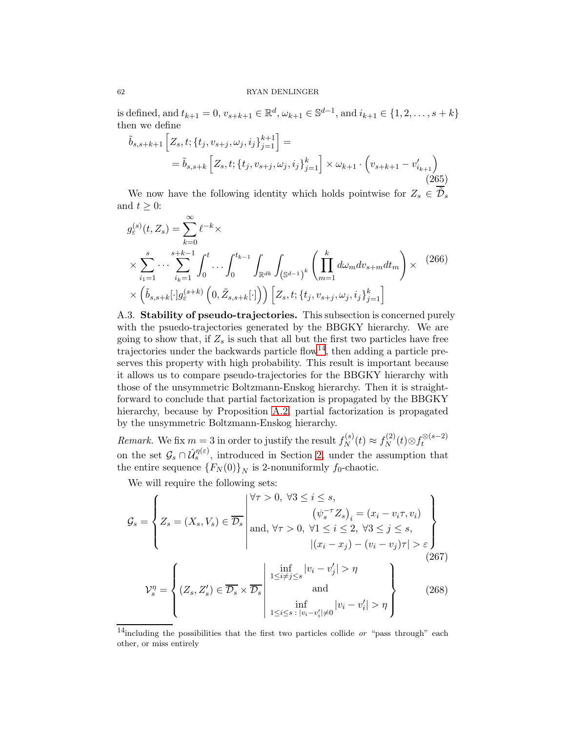is defined, and  $t_{k+1} = 0$ ,  $v_{s+k+1} \in \mathbb{R}^d$ ,  $\omega_{k+1} \in \mathbb{S}^{d-1}$ , and  $i_{k+1} \in \{1, 2, ..., s+k\}$ then we define

$$
\tilde{b}_{s,s+k+1} \left[ Z_s, t; \{ t_j, v_{s+j}, \omega_j, i_j \}_{j=1}^{k+1} \right] =
$$
\n
$$
= \tilde{b}_{s,s+k} \left[ Z_s, t; \{ t_j, v_{s+j}, \omega_j, i_j \}_{j=1}^k \right] \times \omega_{k+1} \cdot \left( v_{s+k+1} - v'_{i_{k+1}} \right)
$$
\n(265)

We now have the following identity which holds pointwise for  $Z_s \in \tilde{\mathcal{D}}_s$ and  $t \geq 0$ :

$$
g_{\varepsilon}^{(s)}(t, Z_s) = \sum_{k=0}^{\infty} \ell^{-k} \times
$$
  
 
$$
\times \sum_{i_1=1}^s \cdots \sum_{i_k=1}^{s+k-1} \int_0^t \cdots \int_0^{t_{k-1}} \int_{\mathbb{R}^{dk}} \int_{(\mathbb{S}^{d-1})^k} \left( \prod_{m=1}^k d\omega_m dv_{s+m} dt_m \right) \times (266)
$$
  
 
$$
\times \left( \tilde{b}_{s,s+k}[\cdot] g_{\varepsilon}^{(s+k)} \left( 0, \tilde{Z}_{s,s+k}[\cdot] \right) \right) \left[ Z_s, t; \{ t_j, v_{s+j}, \omega_j, i_j \}_{j=1}^k \right]
$$

A.3. Stability of pseudo-trajectories. This subsection is concerned purely with the psuedo-trajectories generated by the BBGKY hierarchy. We are going to show that, if  $Z_s$  is such that all but the first two particles have free trajectories under the backwards particle flow<sup>[14](#page-61-0)</sup>, then adding a particle preserves this property with high probability. This result is important because it allows us to compare pseudo-trajectories for the BBGKY hierarchy with those of the unsymmetric Boltzmann-Enskog hierarchy. Then it is straightforward to conclude that partial factorization is propagated by the BBGKY hierarchy, because by Proposition [A.2,](#page-57-2) partial factorization is propagated by the unsymmetric Boltzmann-Enskog hierarchy.

Remark. We fix  $m=3$  in order to justify the result  $f_N^{(s)}$  $f_N^{(s)}(t) \approx f_N^{(2)}$  $f_N^{(2)}(t)\otimes f_t^{\otimes (s-2)}$ on the set  $\mathcal{G}_s \cap \hat{\mathcal{U}}_s^{\eta(\varepsilon)}$ , introduced in Section [2,](#page-4-2) under the assumption that the entire sequence  $\{F_N(0)\}_N$  is 2-nonuniformly  $f_0$ -chaotic.

We will require the following sets:

$$
\mathcal{G}_{s} = \left\{ Z_{s} = (X_{s}, V_{s}) \in \overline{\mathcal{D}_{s}} \middle| \begin{aligned} &\forall \tau > 0, \ \forall 3 \leq i \leq s, \\ &(\psi_{s}^{-\tau} Z_{s})_{i} = (x_{i} - v_{i} \tau, v_{i}) \\ &\text{and, } \forall \tau > 0, \ \forall 1 \leq i \leq 2, \ \forall 3 \leq j \leq s, \\ &|(x_{i} - x_{j}) - (v_{i} - v_{j}) \tau| > \varepsilon \end{aligned} \right\}
$$
\n
$$
\mathcal{V}_{s}^{\eta} = \left\{ (Z_{s}, Z'_{s}) \in \overline{\mathcal{D}_{s}} \times \overline{\mathcal{D}_{s}} \middle| \begin{aligned} &\frac{\inf}{1 \leq i \neq j \leq s} |v_{i} - v'_{j}| > \eta \\ &\text{and} \\ &\frac{\inf}{1 \leq i \leq s : |v_{i} - v'_{i}| \neq 0} |v_{i} - v'_{i}| > \eta \end{aligned} \right\}
$$
\n(268)

<span id="page-61-0"></span> $14$ including the possibilities that the first two particles collide or "pass through" each other, or miss entirely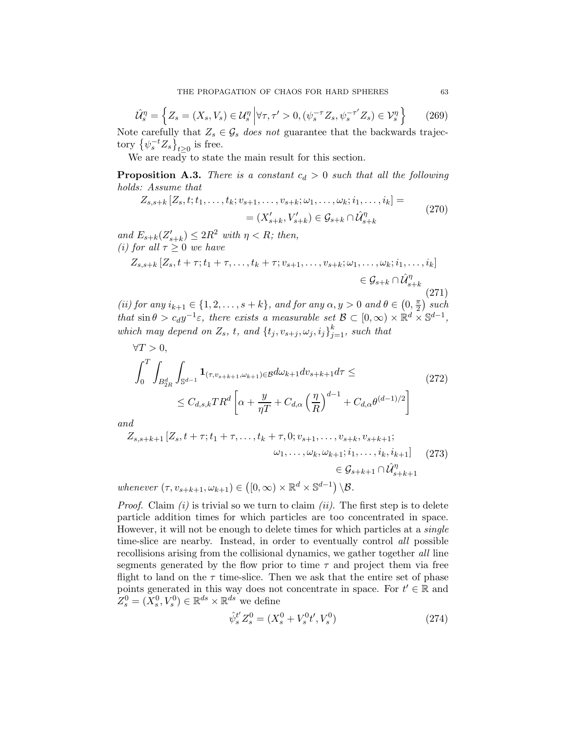$$
\hat{\mathcal{U}}_s^{\eta} = \left\{ Z_s = (X_s, V_s) \in \mathcal{U}_s^{\eta} \middle| \forall \tau, \tau' > 0, (\psi_s^{-\tau} Z_s, \psi_s^{-\tau'} Z_s) \in \mathcal{V}_s^{\eta} \right\}
$$
(269)

Note carefully that  $Z_s \in \mathcal{G}_s$  does not guarantee that the backwards trajectory  $\left\{\psi_s^{-t}Z_s\right\}_{t\geq 0}$  is free.

We are ready to state the main result for this section.

**Proposition A.3.** There is a constant  $c_d > 0$  such that all the following holds: Assume that

$$
Z_{s,s+k}[Z_s,t;t_1,\ldots,t_k;v_{s+1},\ldots,v_{s+k};\omega_1,\ldots,\omega_k;i_1,\ldots,i_k] =
$$
  
=  $(X'_{s+k},V'_{s+k}) \in \mathcal{G}_{s+k} \cap \hat{\mathcal{U}}_{s+k}^{\eta}$  (270)

and  $E_{s+k}(Z'_{s+k}) \leq 2R^2$  with  $\eta < R$ ; then, (*i*) for all  $\tau \geq 0$  we have

$$
Z_{s,s+k}[Z_s, t+\tau; t_1+\tau, \dots, t_k+\tau; v_{s+1}, \dots, v_{s+k}; \omega_1, \dots, \omega_k; i_1, \dots, i_k]
$$
  

$$
\in \mathcal{G}_{s+k} \cap \hat{\mathcal{U}}_{s+k}^{\eta}
$$
(271)

(ii) for any  $i_{k+1} \in \{1, 2, \ldots, s+k\}$ , and for any  $\alpha, y > 0$  and  $\theta \in (0, \frac{\pi}{2})$  $(\frac{\pi}{2})$  such that  $\sin \theta > c_d y^{-1} \varepsilon$ , there exists a measurable set  $\mathcal{B} \subset [0,\infty) \times \mathbb{R}^d \times \mathbb{S}^{d-1}$ , which may depend on  $Z_s$ , t, and  $\{t_j, v_{s+j}, \omega_j, i_j\}_{j=1}^{\kappa}$ , such that k

$$
\forall T > 0,
$$
\n
$$
\int_0^T \int_{B_{2R}^d} \int_{\mathbb{S}^{d-1}} \mathbf{1}_{(\tau, v_{s+k+1}, \omega_{k+1}) \in \mathcal{B}} d\omega_{k+1} dv_{s+k+1} d\tau \le
$$
\n
$$
\le C_{d,s,k} TR^d \left[ \alpha + \frac{y}{\eta T} + C_{d,\alpha} \left( \frac{\eta}{R} \right)^{d-1} + C_{d,\alpha} \theta^{(d-1)/2} \right]
$$
\n(272)

and

$$
Z_{s,s+k+1}[Z_s, t + \tau; t_1 + \tau, \dots, t_k + \tau, 0; v_{s+1}, \dots, v_{s+k}, v_{s+k+1};
$$
  
\n
$$
\omega_1, \dots, \omega_k, \omega_{k+1}; i_1, \dots, i_k, i_{k+1}]
$$
 (273)  
\n
$$
\in \mathcal{G}_{s+k+1} \cap \hat{\mathcal{U}}_{s+k+1}^{\eta}
$$
  
\nhenever  $(\tau, v_1, \dots, v_k, \tau) \in ([0, \infty) \times \mathbb{R}^d \times \mathbb{S}^{d-1}) \setminus \mathcal{B}$ 

whenever  $(\tau, v_{s+k+1}, \omega_{k+1}) \in ([0, \infty) \times \mathbb{R}^d \times \mathbb{S}^{d-1}) \setminus \mathcal{B}$ .

*Proof.* Claim  $(i)$  is trivial so we turn to claim  $(ii)$ . The first step is to delete particle addition times for which particles are too concentrated in space. However, it will not be enough to delete times for which particles at a *single* time-slice are nearby. Instead, in order to eventually control all possible recollisions arising from the collisional dynamics, we gather together all line segments generated by the flow prior to time  $\tau$  and project them via free flight to land on the  $\tau$  time-slice. Then we ask that the entire set of phase points generated in this way does not concentrate in space. For  $t' \in \mathbb{R}$  and  $Z_s^0 = (X_s^0, V_s^0) \in \mathbb{R}^{ds} \times \mathbb{R}^{ds}$  we define

$$
\hat{\psi}_s^{t'} Z_s^0 = (X_s^0 + V_s^0 t', V_s^0) \tag{274}
$$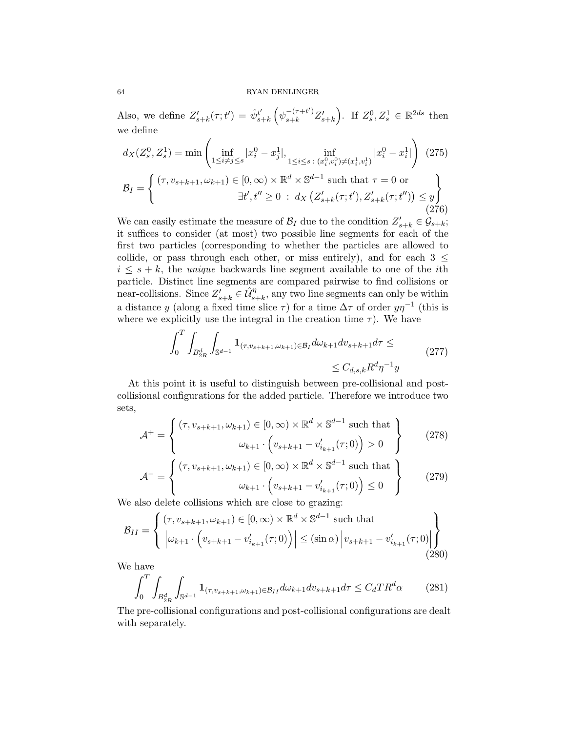Also, we define  $Z'_{s+k}(\tau;t') = \hat{\psi}_{s}^{t'}$ .  $_{s+k}^{t'}\left(\psi_{s+k}^{-(\tau+t')}Z_{s+k}'\right)$ . If  $Z_s^0, Z_s^1 \in \mathbb{R}^{2ds}$  then we define

$$
d_X(Z_s^0, Z_s^1) = \min \left( \inf_{1 \le i \ne j \le s} |x_i^0 - x_j^1|, \inf_{1 \le i \le s \,:\, (x_i^0, v_i^0) \ne (x_i^1, v_i^1)} |x_i^0 - x_i^1| \right) \tag{275}
$$
\n
$$
\mathcal{B}_I = \left\{ \begin{array}{c} (\tau, v_{s+k+1}, \omega_{k+1}) \in [0, \infty) \times \mathbb{R}^d \times \mathbb{S}^{d-1} \text{ such that } \tau = 0 \text{ or } \\ \exists t', t'' \ge 0 \,:\, d_X\left(Z_{s+k}'(\tau; t'), Z_{s+k}'(\tau; t'')\right) \le y \end{array} \right\} \tag{276}
$$

We can easily estimate the measure of  $\mathcal{B}_I$  due to the condition  $Z'_{s+k} \in \mathcal{G}_{s+k}$ ; it suffices to consider (at most) two possible line segments for each of the first two particles (corresponding to whether the particles are allowed to collide, or pass through each other, or miss entirely), and for each  $3 \leq$  $i \leq s + k$ , the *unique* backwards line segment available to one of the *i*th particle. Distinct line segments are compared pairwise to find collisions or near-collisions. Since  $Z'_{s+k} \in \hat{\mathcal{U}}_{s+k}^{\eta}$ , any two line segments can only be within a distance y (along a fixed time slice  $\tau$ ) for a time  $\Delta \tau$  of order  $y\eta^{-1}$  (this is where we explicitly use the integral in the creation time  $\tau$ ). We have

$$
\int_{0}^{T} \int_{B_{2R}^{d}} \int_{\mathbb{S}^{d-1}} \mathbf{1}_{(\tau, v_{s+k+1}, \omega_{k+1}) \in \mathcal{B}_{I}} d\omega_{k+1} dv_{s+k+1} d\tau \leq
$$
\n
$$
\leq C_{d,s,k} R^{d} \eta^{-1} y
$$
\n(277)

At this point it is useful to distinguish between pre-collisional and postcollisional configurations for the added particle. Therefore we introduce two sets,

$$
\mathcal{A}^{+} = \begin{cases}\n(\tau, v_{s+k+1}, \omega_{k+1}) \in [0, \infty) \times \mathbb{R}^{d} \times \mathbb{S}^{d-1} \text{ such that} \\
\omega_{k+1} \cdot \left( v_{s+k+1} - v'_{i_{k+1}}(\tau; 0) \right) > 0\n\end{cases}
$$
\n
$$
\mathcal{A}^{-} = \begin{cases}\n(\tau, v_{s+k+1}, \omega_{k+1}) \in [0, \infty) \times \mathbb{R}^{d} \times \mathbb{S}^{d-1} \text{ such that} \\
\omega_{k+1} \cdot \left( v_{s+k+1} - v'_{i_{k+1}}(\tau; 0) \right) \leq 0\n\end{cases}
$$
\n(279)

We also delete collisions which are close to grazing:

$$
\mathcal{B}_{II} = \left\{ \begin{aligned} & (\tau, v_{s+k+1}, \omega_{k+1}) \in [0, \infty) \times \mathbb{R}^d \times \mathbb{S}^{d-1} \text{ such that} \\ & |\omega_{k+1} \cdot \left( v_{s+k+1} - v'_{i_{k+1}}(\tau; 0) \right) | \leq (\sin \alpha) |v_{s+k+1} - v'_{i_{k+1}}(\tau; 0)| \end{aligned} \right\} (280)
$$

We have

$$
\int_{0}^{T} \int_{B_{2R}^{d}} \int_{\mathbb{S}^{d-1}} \mathbf{1}_{(\tau, v_{s+k+1}, \omega_{k+1}) \in \mathcal{B}_{II}} d\omega_{k+1} dv_{s+k+1} d\tau \leq C_{d} TR^{d} \alpha \qquad (281)
$$

The pre-collisional configurations and post-collisional configurations are dealt with separately.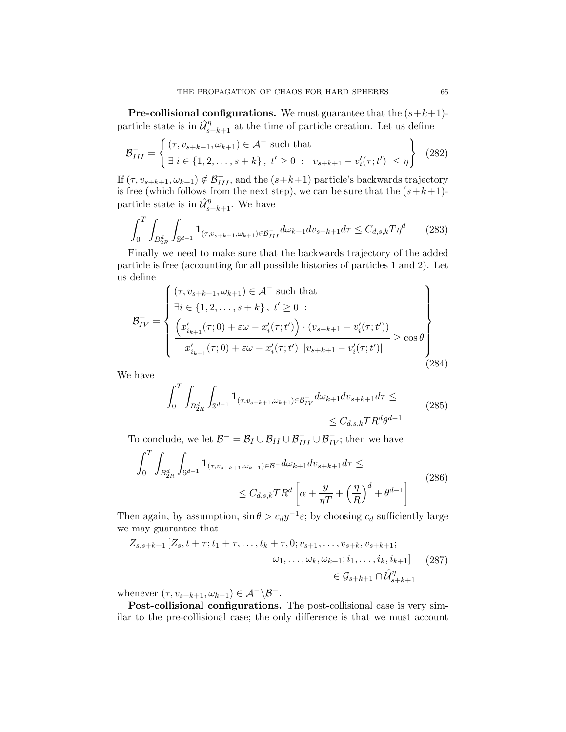**Pre-collisional configurations.** We must guarantee that the  $(s+k+1)$ particle state is in  $\hat{\mathcal{U}}_{s+k+1}^{\eta}$  at the time of particle creation. Let us define

$$
\mathcal{B}_{III}^{-} = \left\{ \begin{aligned} & (\tau, v_{s+k+1}, \omega_{k+1}) \in \mathcal{A}^{-} \text{ such that} \\ & \exists i \in \{1, 2, \dots, s+k\}, \ t' \ge 0 \ : \ |v_{s+k+1} - v'_i(\tau; t')| \le \eta \end{aligned} \right\} \tag{282}
$$

If  $(\tau, v_{s+k+1}, \omega_{k+1}) \notin \mathcal{B}_{III}^-$ , and the  $(s+k+1)$  particle's backwards trajectory is free (which follows from the next step), we can be sure that the  $(s+k+1)$ particle state is in  $\hat{\mathcal{U}}_{s+k+1}^{\eta}$ . We have

$$
\int_{0}^{T} \int_{B_{2R}^{d}} \int_{\mathbb{S}^{d-1}} \mathbf{1}_{(\tau, v_{s+k+1}, \omega_{k+1}) \in \mathcal{B}_{III}^{-}} d\omega_{k+1} dv_{s+k+1} d\tau \leq C_{d,s,k} T \eta^{d} \qquad (283)
$$

Finally we need to make sure that the backwards trajectory of the added particle is free (accounting for all possible histories of particles 1 and 2). Let us define

$$
\mathcal{B}_{IV}^{-} = \begin{cases}\n(\tau, v_{s+k+1}, \omega_{k+1}) \in \mathcal{A}^{-} \text{ such that} \\
\exists i \in \{1, 2, ..., s+k\}, \ t' \ge 0 : \\
\frac{\left(x'_{i_{k+1}}(\tau; 0) + \varepsilon \omega - x'_{i}(\tau; t')\right) \cdot \left(v_{s+k+1} - v'_{i}(\tau; t')\right)}{\left|x'_{i_{k+1}}(\tau; 0) + \varepsilon \omega - x'_{i}(\tau; t')\right| |v_{s+k+1} - v'_{i}(\tau; t')|} \ge \cos \theta \\
\end{cases}
$$
\n(284)

We have

$$
\int_{0}^{T} \int_{B_{2R}^{d}} \int_{\mathbb{S}^{d-1}} \mathbf{1}_{(\tau, v_{s+k+1}, \omega_{k+1}) \in \mathcal{B}_{IV}^{-}} d\omega_{k+1} dv_{s+k+1} d\tau \leq
$$
\n
$$
\leq C_{d,s,k} T R^{d} \theta^{d-1}
$$
\n(285)

To conclude, we let  $\mathcal{B}^- = \mathcal{B}_I \cup \mathcal{B}_{II} \cup \mathcal{B}_{III}^- \cup \mathcal{B}_{IV}^-$ ; then we have

$$
\int_0^T \int_{B_{2R}^d} \int_{\mathbb{S}^{d-1}} \mathbf{1}_{(\tau, v_{s+k+1}, \omega_{k+1}) \in \mathcal{B}} - d\omega_{k+1} dv_{s+k+1} d\tau \le
$$
\n
$$
\le C_{d,s,k} TR^d \left[ \alpha + \frac{y}{\eta T} + \left( \frac{\eta}{R} \right)^d + \theta^{d-1} \right] \tag{286}
$$

Then again, by assumption,  $\sin \theta > c_d y^{-1} \varepsilon$ ; by choosing  $c_d$  sufficiently large we may guarantee that

$$
Z_{s,s+k+1}[Z_s, t + \tau; t_1 + \tau, \dots, t_k + \tau, 0; v_{s+1}, \dots, v_{s+k}, v_{s+k+1};
$$
  

$$
\omega_1, \dots, \omega_k, \omega_{k+1}; i_1, \dots, i_k, i_{k+1}]
$$
 (287)  

$$
\in \mathcal{G}_{s+k+1} \cap \hat{\mathcal{U}}_{s+k+1}^{\eta}
$$

whenever  $(\tau, v_{s+k+1}, \omega_{k+1}) \in \mathcal{A}^{-} \backslash \mathcal{B}^{-}$ .

Post-collisional configurations. The post-collisional case is very similar to the pre-collisional case; the only difference is that we must account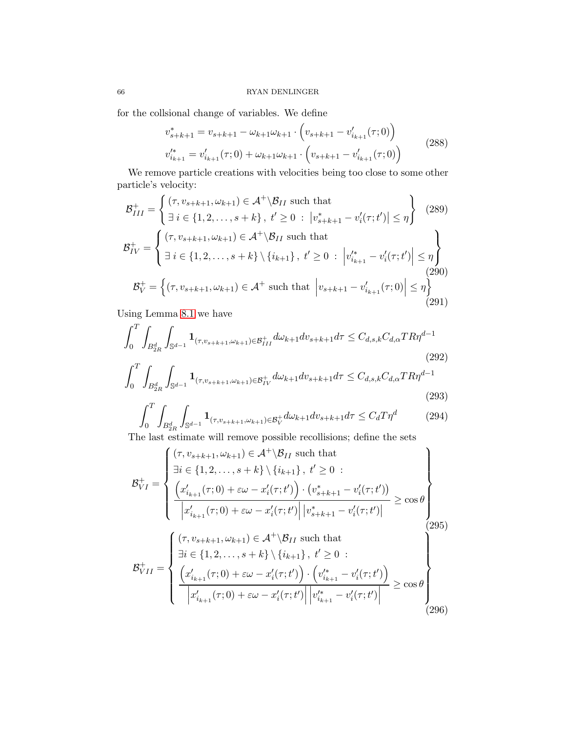for the collsional change of variables. We define

$$
v_{s+k+1}^{*} = v_{s+k+1} - \omega_{k+1}\omega_{k+1} \cdot \left(v_{s+k+1} - v'_{i_{k+1}}(\tau;0)\right)
$$
  

$$
v_{i_{k+1}}^{\prime*} = v'_{i_{k+1}}(\tau;0) + \omega_{k+1}\omega_{k+1} \cdot \left(v_{s+k+1} - v'_{i_{k+1}}(\tau;0)\right)
$$
 (288)

We remove particle creations with velocities being too close to some other particle's velocity:

$$
\mathcal{B}_{III}^{+} = \begin{cases}\n(\tau, v_{s+k+1}, \omega_{k+1}) \in \mathcal{A}^{+} \setminus \mathcal{B}_{II} \text{ such that} \\
\exists i \in \{1, 2, ..., s+k\}, t' \ge 0 : |v_{s+k+1}^{*} - v_{i}'(\tau; t')| \le \eta\n\end{cases}
$$
\n
$$
\mathcal{B}_{IV}^{+} = \begin{cases}\n(\tau, v_{s+k+1}, \omega_{k+1}) \in \mathcal{A}^{+} \setminus \mathcal{B}_{II} \text{ such that} \\
\exists i \in \{1, 2, ..., s+k\} \setminus \{i_{k+1}\}, t' \ge 0 : |v_{i_{k+1}}'^{*} - v_{i}'(\tau; t')| \le \eta\n\end{cases}
$$
\n
$$
\mathcal{B}_{V}^{+} = \left\{(\tau, v_{s+k+1}, \omega_{k+1}) \in \mathcal{A}^{+} \text{ such that } |v_{s+k+1} - v_{i_{k+1}}'(\tau; 0)| \le \eta\right\}
$$
\n(290)\n(291)

Using Lemma [8.1](#page-31-1) we have

$$
\int_{0}^{T} \int_{B_{2R}^{d}} \int_{\mathbb{S}^{d-1}} \mathbf{1}_{(\tau, v_{s+k+1}, \omega_{k+1}) \in \mathcal{B}_{III}^{+}} d\omega_{k+1} dv_{s+k+1} d\tau \leq C_{d,s,k} C_{d,\alpha} T R \eta^{d-1}
$$
\n
$$
\int_{0}^{T} \int_{B_{2R}^{d}} \int_{\mathbb{S}^{d-1}} \mathbf{1}_{(\tau, v_{s+k+1}, \omega_{k+1}) \in \mathcal{B}_{IV}^{+}} d\omega_{k+1} dv_{s+k+1} d\tau \leq C_{d,s,k} C_{d,\alpha} T R \eta^{d-1}
$$
\n(293)

$$
\int_{0}^{T} \int_{B_{2R}^{d}} \int_{\mathbb{S}^{d-1}} \mathbf{1}_{(\tau, v_{s+k+1}, \omega_{k+1}) \in \mathcal{B}_{V}^{+}} d\omega_{k+1} dv_{s+k+1} d\tau \leq C_{d} T \eta^{d}
$$
(294)

The last estimate will remove possible recollisions; define the sets

$$
\mathcal{B}_{VI}^{+} = \begin{cases}\n(\tau, v_{s+k+1}, \omega_{k+1}) \in \mathcal{A}^{+} \setminus \mathcal{B}_{II} \text{ such that} \\
\exists i \in \{1, 2, ..., s+k\} \setminus \{i_{k+1}\}, t' \ge 0 : \\
\underbrace{(x'_{i_{k+1}}(\tau; 0) + \varepsilon \omega - x'_{i}(\tau; t')) \cdot (v_{s+k+1}^{*} - v'_{i}(\tau; t'))}_{\big| v_{s+k+1}^{*} - v'_{i}(\tau; t')\big|} \ge \cos \theta \\
\hline\n\begin{cases}\n(\tau, v_{s+k+1}, \omega_{k+1}) \in \mathcal{A}^{+} \setminus \mathcal{B}_{II} \text{ such that} \\
\exists i \in \{1, 2, ..., s+k\} \setminus \{i_{k+1}\}, t' \ge 0 : \\
\underbrace{(x'_{i_{k+1}}(\tau; 0) + \varepsilon \omega - x'_{i}(\tau; t')) \cdot (v'^*_{i_{k+1}} - v'_{i}(\tau; t'))}_{\big| v'^*_{i_{k+1}} - v'_{i}(\tau; t')\big|} \ge \cos \theta \\
\hline\n\end{cases}\n\tag{295}
$$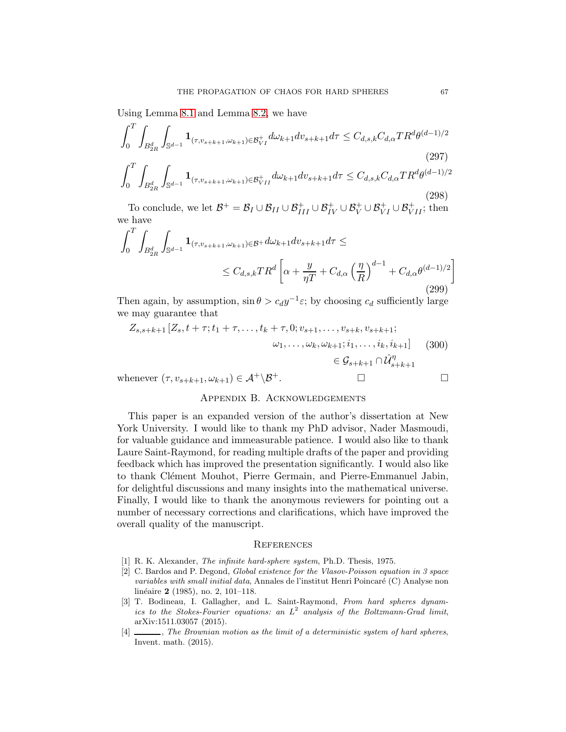Using Lemma [8.1](#page-31-1) and Lemma [8.2,](#page-31-2) we have

$$
\int_{0}^{T} \int_{B_{2R}^{d}} \int_{\mathbb{S}^{d-1}} \mathbf{1}_{(\tau, v_{s+k+1}, \omega_{k+1}) \in \mathcal{B}_{VI}^+} d\omega_{k+1} dv_{s+k+1} d\tau \leq C_{d,s,k} C_{d,\alpha} T R^d \theta^{(d-1)/2}
$$
\n(297)

$$
\int_{0}^{T} \int_{B_{2R}^{d}} \int_{\mathbb{S}^{d-1}} \mathbf{1}_{(\tau, v_{s+k+1}, \omega_{k+1}) \in \mathcal{B}_{VII}^{+}} d\omega_{k+1} dv_{s+k+1} d\tau \leq C_{d,s,k} C_{d,\alpha} T R^{d} \theta^{(d-1)/2}
$$
\n(298)

To conclude, we let  $\mathcal{B}^+ = \mathcal{B}_I \cup \mathcal{B}_{II} \cup \mathcal{B}_{III}^+ \cup \mathcal{B}_{IV}^+ \cup \mathcal{B}_{VI}^+ \cup \mathcal{B}_{VII}^+$ ; then we have

$$
\int_{0}^{T} \int_{B_{2R}^{d}} \int_{\mathbb{S}^{d-1}} \mathbf{1}_{(\tau, v_{s+k+1}, \omega_{k+1}) \in \mathcal{B}^{+}} d\omega_{k+1} dv_{s+k+1} d\tau \le
$$
\n
$$
\leq C_{d,s,k} TR^{d} \left[ \alpha + \frac{y}{\eta T} + C_{d,\alpha} \left( \frac{\eta}{R} \right)^{d-1} + C_{d,\alpha} \theta^{(d-1)/2} \right]
$$
\n(299)

Then again, by assumption,  $\sin \theta > c_d y^{-1} \varepsilon$ ; by choosing  $c_d$  sufficiently large we may guarantee that

$$
Z_{s,s+k+1}[Z_s, t+\tau; t_1+\tau, \dots, t_k+\tau, 0; v_{s+1}, \dots, v_{s+k}, v_{s+k+1};
$$
  
\n
$$
\omega_1, \dots, \omega_k, \omega_{k+1}; i_1, \dots, i_k, i_{k+1}]
$$
 (300)  
\n
$$
\in \mathcal{G}_{s+k+1} \cap \hat{\mathcal{U}}_{s+k+1}^{\eta}
$$
  
\nwhenever  $(\tau, v_{s+k+1}, \omega_{k+1}) \in \mathcal{A}^+ \backslash \mathcal{B}^+$ .

# Appendix B. Acknowledgements

This paper is an expanded version of the author's dissertation at New York University. I would like to thank my PhD advisor, Nader Masmoudi, for valuable guidance and immeasurable patience. I would also like to thank Laure Saint-Raymond, for reading multiple drafts of the paper and providing feedback which has improved the presentation significantly. I would also like to thank Clément Mouhot, Pierre Germain, and Pierre-Emmanuel Jabin, for delightful discussions and many insights into the mathematical universe. Finally, I would like to thank the anonymous reviewers for pointing out a number of necessary corrections and clarifications, which have improved the overall quality of the manuscript.

### **REFERENCES**

- <span id="page-66-2"></span>[1] R. K. Alexander, The infinite hard-sphere system, Ph.D. Thesis, 1975.
- <span id="page-66-3"></span>[2] C. Bardos and P. Degond, Global existence for the Vlasov-Poisson equation in 3 space variables with small initial data, Annales de l'institut Henri Poincaré (C) Analyse non linéaire  $2$  (1985), no. 2, 101–118.
- <span id="page-66-0"></span>[3] T. Bodineau, I. Gallagher, and L. Saint-Raymond, From hard spheres dynamics to the Stokes-Fourier equations: an  $L^2$  analysis of the Boltzmann-Grad limit, arXiv:1511.03057 (2015).
- <span id="page-66-1"></span>[4] \_\_\_\_\_, The Brownian motion as the limit of a deterministic system of hard spheres, Invent. math. (2015).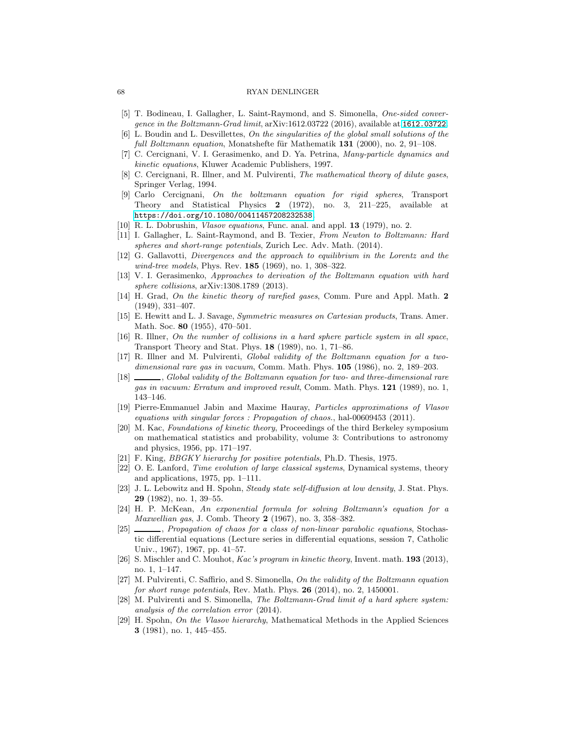- <span id="page-67-14"></span>[5] T. Bodineau, I. Gallagher, L. Saint-Raymond, and S. Simonella, One-sided convergence in the Boltzmann-Grad limit, arXiv:1612.03722 (2016), available at <1612.03722>.
- <span id="page-67-23"></span>L. Boudin and L. Desvillettes, On the singularities of the global small solutions of the full Boltzmann equation, Monatshefte für Mathematik 131 (2000), no. 2, 91–108.
- <span id="page-67-19"></span>[7] C. Cercignani, V. I. Gerasimenko, and D. Ya. Petrina, *Many-particle dynamics and* kinetic equations, Kluwer Academic Publishers, 1997.
- <span id="page-67-21"></span>[8] C. Cercignani, R. Illner, and M. Pulvirenti, The mathematical theory of dilute gases, Springer Verlag, 1994.
- [9] Carlo Cercignani, On the boltzmann equation for rigid spheres, Transport Theory and Statistical Physics 2 (1972), no. 3, 211–225, available at <https://doi.org/10.1080/00411457208232538>.
- <span id="page-67-10"></span>[10] R. L. Dobrushin, Vlasov equations, Func. anal. and appl. 13 (1979), no. 2.
- <span id="page-67-2"></span>[11] I. Gallagher, L. Saint-Raymond, and B. Texier, From Newton to Boltzmann: Hard spheres and short-range potentials, Zurich Lec. Adv. Math. (2014).
- <span id="page-67-9"></span>[12] G. Gallavotti, Divergences and the approach to equilibrium in the Lorentz and the wind-tree models, Phys. Rev. **185** (1969), no. 1, 308–322.
- <span id="page-67-20"></span>[13] V. I. Gerasimenko, Approaches to derivation of the Boltzmann equation with hard sphere collisions, arXiv:1308.1789 (2013).
- <span id="page-67-0"></span>[14] H. Grad, On the kinetic theory of rarefied gases, Comm. Pure and Appl. Math. 2 (1949), 331–407.
- <span id="page-67-18"></span>[15] E. Hewitt and L. J. Savage, Symmetric measures on Cartesian products, Trans. Amer. Math. Soc. 80 (1955), 470–501.
- <span id="page-67-3"></span>[16] R. Illner, On the number of collisions in a hard sphere particle system in all space, Transport Theory and Stat. Phys. 18 (1989), no. 1, 71–86.
- <span id="page-67-13"></span>[17] R. Illner and M. Pulvirenti, Global validity of the Boltzmann equation for a twodimensional rare gas in vacuum, Comm. Math. Phys. **105** (1986), no. 2, 189–203.
- <span id="page-67-4"></span>[18] , Global validity of the Boltzmann equation for two- and three-dimensional rare gas in vacuum: Erratum and improved result, Comm. Math. Phys. 121 (1989), no. 1, 143–146.
- <span id="page-67-11"></span>[19] Pierre-Emmanuel Jabin and Maxime Hauray, Particles approximations of Vlasov equations with singular forces : Propagation of chaos., hal-00609453 (2011).
- <span id="page-67-6"></span>[20] M. Kac, Foundations of kinetic theory, Proceedings of the third Berkeley symposium on mathematical statistics and probability, volume 3: Contributions to astronomy and physics, 1956, pp. 171–197.
- <span id="page-67-15"></span>[21] F. King, *BBGKY hierarchy for positive potentials*, Ph.D. Thesis, 1975.
- <span id="page-67-1"></span>[22] O. E. Lanford, Time evolution of large classical systems, Dynamical systems, theory and applications, 1975, pp. 1–111.
- <span id="page-67-5"></span>[23] J. L. Lebowitz and H. Spohn, Steady state self-diffusion at low density, J. Stat. Phys. 29 (1982), no. 1, 39–55.
- <span id="page-67-7"></span>[24] H. P. McKean, An exponential formula for solving Boltzmann's equation for a Maxwellian gas, J. Comb. Theory 2 (1967), no. 3, 358–382.
- <span id="page-67-12"></span>[25] , Propagation of chaos for a class of non-linear parabolic equations, Stochastic differential equations (Lecture series in differential equations, session 7, Catholic Univ., 1967), 1967, pp. 41–57.
- <span id="page-67-8"></span>[26] S. Mischler and C. Mouhot, Kac's program in kinetic theory, Invent. math. 193 (2013), no. 1, 1–147.
- <span id="page-67-16"></span>[27] M. Pulvirenti, C. Saffirio, and S. Simonella, On the validity of the Boltzmann equation for short range potentials, Rev. Math. Phys.  $26$  (2014), no. 2, 1450001.
- <span id="page-67-17"></span>[28] M. Pulvirenti and S. Simonella, The Boltzmann-Grad limit of a hard sphere system: analysis of the correlation error (2014).
- <span id="page-67-22"></span>[29] H. Spohn, On the Vlasov hierarchy, Mathematical Methods in the Applied Sciences 3 (1981), no. 1, 445–455.